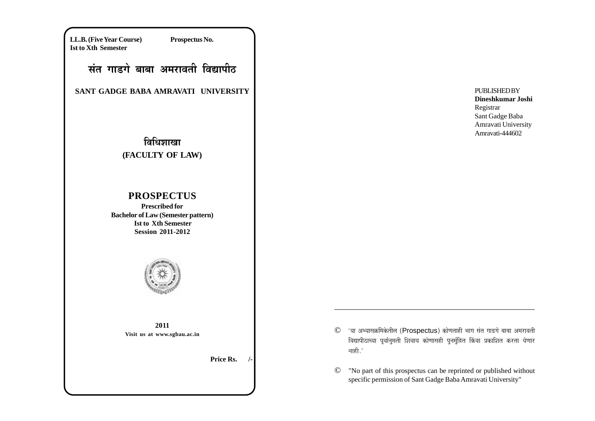**LL.B. (Five Year Course) Prospectus No. Ist to Xth Semester**

# संत गाडगे बाबा अमरावती विद्यापी**ठ**

**SANT GADGE BABA AMRAVATI UNIVERSITY**

# <u>विधिशाखा</u> **(FACULTY OF LAW)**

## **PROSPECTUS**

**Prescribed for Bachelor of Law (Semester pattern) Ist to Xth Semester Session 2011-2012**



**2011 Visit us at www.sgbau.ac.in**

**Price Rs.** 

- © 'या अभ्यासक्रमिकेतील (Prospectus) कोणताही भाग संत गाडगे बाबा अमरावती विद्यापीठाच्या पूर्वानुमती शिवाय कोणासही पुनर्मुद्रित किंवा प्रकाशित करता येणार नाही $.^\prime$
- © "No part of this prospectus can be reprinted or published without specific permission of Sant Gadge Baba Amravati University"

**PUBLISHED BY Dineshkumar Joshi** Registrar Sant Gadge Baba Amravati University Amravati-444602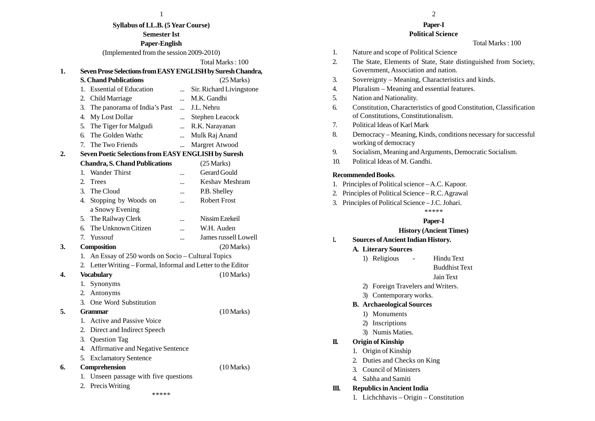| ш |  |
|---|--|
|   |  |

**Syllabus of LL.B. (5 Year Course) Semester Ist**

**Paper-English**

(Implemented from the session 2009-2010)

#### Total Marks : 100

#### **1. Seven Prose Selections from EASY ENGLISH by Suresh Chandra,**

- **S. Chand Publications** (25 Marks) 1. Essential of Education ... Sir. Richard Livingstone 2. Child Marriage ... M.K. Gandhi 3. The panorama of India's Past ... J.L. Nehru 4. My Lost Dollar ... Stephen Leacock
- 5. The Tiger for Malgudi ... R.K. Narayanan
- 6. The Golden Wathc ... Mulk Raj Anand
- 7. The Two Friends ... Margret Atwood

## **2. Seven Poetic Selections from EASY ENGLISH by Suresh**

**Chandra, S. Chand Publications** (25 Marks) 1. Wander Thirst ... Gerard Gould 2. Trees ... Keshav Meshram 3. The Cloud ... P.B. Shelley 4. Stopping by Woods on ... Robert Frost a Snowy Evening 5. The Railway Clerk ... Nissim Ezekeil 6. The Unknown Citizen ... W.H. Auden 7. Yussouf ... James russell Lowell **3. Composition** (20 Marks) 1. An Essay of 250 words on Socio – Cultural Topics 2. Letter Writing – Formal, Informal and Letter to the Editor **4. Vocabulary** (10 Marks) 1. Synonyms 2. Antonyms 3. One Word Substitution **5. Grammar** (10 Marks) 1. Active and Passive Voice 2. Direct and Indirect Speech 3. Question Tag 4. Affirmative and Negative Sentence 5. Exclamatory Sentence **6. Comprehension** (10 Marks) 1. Unseen passage with five questions 2. Precis Writing

\*\*\*\*\*

 $\frac{1}{2}$ 

#### **Paper-I Political Science**

Total Marks : 100

- 1. Nature and scope of Political Science
- 2. The State, Elements of State, State distinguished from Society, Government, Association and nation.
- 3. Sovereignty Meaning, Characteristics and kinds.
- 4. Pluralism Meaning and essential features.
- 5. Nation and Nationality.
- 6. Constitution, Characteristics of good Constitution, Classification of Constitutions, Constitutionalism.
- 7. Political Ideas of Karl Mark
- 8. Democracy Meaning, Kinds, conditions necessary for successful working of democracy
- 9. Socialism, Meaning and Arguments, Democratic Socialism.
- 10. Political Ideas of M. Gandhi.

## **Recommended Books**.

- 1. Principles of Political science A.C. Kapoor.
- 2. Principles of Political Science R.C. Agrawal
- 3. Principles of Political Science J.C. Johari.

## \*\*\*\*\*

## **Paper-I**

## **History (Ancient Times)**

- I**. Sources of Ancient Indian History.**
	- **A. Literary Sources**
		- 1) Religious Hindu Text
			- Buddhist Text

## Jain Text

- 2) Foreign Travelers and Writers.
- 3) Contemporary works.

## **B. Archaeological Sources**

- 1) Monuments
- 2) Inscriptions
- 3) Numis Maties.

## **II. Origin of Kinship**

- 1. Origin of Kinship
- 2. Duties and Checks on King
- 3. Council of Ministers
- 4. Sabha and Samiti

## **III. Republics in Ancient India**

1. Lichchhavis – Origin – Constitution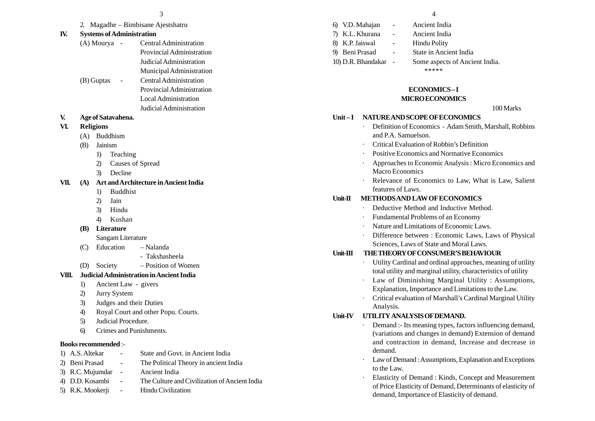| $\overline{\phantom{a}}$ |  |  |  |
|--------------------------|--|--|--|
|                          |  |  |  |

2. Magadhe – Bimbisane Ajestshatru

## **IV. Systems of Administration**

- (A) Mourya Central Administration Provincial Administration Judicial Administration Municipal Administration (B) Guptas - Central Administration
- Provincial Administration Local Administration Judicial Administration
- **V. Age of Satavahena.**

## **VI. Religions**

- (A) Buddhism
- (B) Jainism
	- 1) Teaching
	- 2) Causes of Spread
	- 3) Decline

## **VII. (A) Art and Architecture in Ancient India**

- 1) Buddhist
- 2) Jain
- 3) Hindu
- 4) Kushan

## **(B) Literature**

Sangam Literature

- (C) Education Nalanda
	- Takshasheela
- (D) Society Position of Women

## **VIII. Judicial Administration in Ancient India**

- 1) Ancient Law givers
- 2) Jurry System
- 3) Judges and their Duties
- 4) Royal Court and other Popu. Courts.
- 5) Judicial Procedure.
- 6) Crimes and Punishments.

#### **Books recommended** :-

- 1) A.S. Altekar State and Govt. in Ancient India
- 2) Beni Prasad The Political Theory in ancient India
- 3) R.C. Mujumdar Ancient India
- 4) D.D. Kosambi The Culture and Civilization of Ancient India
- 5) R.K. Mookerji Hindu Civilization

6) V.D. Mahajan - Ancient India 7) K.L. Khurana - Ancient India 8) K.P. Jaiswal - Hindu Polity 9) Beni Prasad - State in Ancient India 10) D.R. Bhandakar - Some aspects of Ancient India.

\*\*\*\*\*

## **ECONOMICS – I**

## **MICRO ECONOMICS**

#### 100 Marks

## **Unit – I NATURE AND SCOPE OF ECONOMICS**

- Definition of Economics Adam Smith, Marshall, Robbins and P.A. Samuelson.
- Critical Evaluation of Robbin's Definition
- Positive Economics and Normative Economics
- Approaches to Economic Analysis : Micro Economics and Macro Economics
- Relevance of Economics to Law, What is Law, Salient features of Laws.

## **Unit-II METHODS AND LAW OF ECONOMICS**

- Deductive Method and Inductive Method.
- Fundamental Problems of an Economy
- Nature and Limitations of Economic Laws.
- Difference between : Economic Laws, Laws of Physical Sciences, Laws of State and Moral Laws.

## **Unit-III THE THEORY OF CONSUMER'S BEHAVIOUR**

- Utility Cardinal and ordinal approaches, meaning of utility total utility and marginal utility, characteristics of utility
- Law of Diminishing Marginal Utility : Assumptions, Explanation, Importance and Limitations to the Law.
- Critical evaluation of Marshall's Cardinal Marginal Utility Analysis.

## **Unit-IV UTILITY ANALYSIS OF DEMAND.**

- Demand :- Its meaning types, factors influencing demand, (variations and changes in demand) Extension of demand and contraction in demand, Increase and decrease in demand.
- Law of Demand : Assumptions, Explanation and Exceptions to the Law.
- Elasticity of Demand : Kinds, Concept and Measurement of Price Elasticity of Demand, Determinants of elasticity of demand, Importance of Elasticity of demand.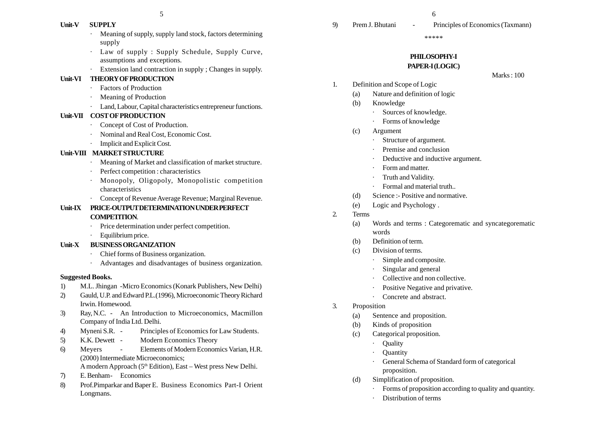## **Unit-V SUPPLY**

- Meaning of supply, supply land stock, factors determining supply
- Law of supply : Supply Schedule, Supply Curve, assumptions and exceptions.
- Extension land contraction in supply ; Changes in supply.

## **Unit-VI THEORY OF PRODUCTION**

- Factors of Production
- Meaning of Production
- · Land, Labour, Capital characteristics entrepreneur functions.

## **Unit-VII COST OF PRODUCTION**

- · Concept of Cost of Production.
- Nominal and Real Cost, Economic Cost.
- Implicit and Explicit Cost.

## **Unit-VIII MARKET STRUCTURE**

- Meaning of Market and classification of market structure.
- Perfect competition : characteristics
- Monopoly, Oligopoly, Monopolistic competition characteristics
- · Concept of Revenue Average Revenue; Marginal Revenue.

## **Unit-IX PRICE-OUTPUT DETERMINATION UNDER PERFECT COMPETITION**.

- Price determination under perfect competition.
- ·Equilibrium price.

## **Unit-X BUSINESS ORGANIZATION**

- Chief forms of Business organization.
- ·Advantages and disadvantages of business organization.

## **Suggested Books.**

- 1) M.L. Jhingan -Micro Economics (Konark Publishers, New Delhi)
- 2) Gauld, U.P. and Edward P.L.(1996), Microeconomic Theory Richard Irwin. Homewood.
- 3) Ray, N.C. An Introduction to Microeconomics, Macmillon Company of India Ltd. Delhi.
- 4) Myneni S.R. Principles of Economics for Law Students.
- 5) K.K. Dewett Modern Economics Theory
- 6) Meyers Elements of Modern Economics Varian, H.R. (2000) Intermediate Microeconomics; A modern Approach (5th Edition), East – West press New Delhi.
- 7) E. Benham- Economics
- 8) Prof.Pimparkar and Baper E. Business Economics Part-I Orient Longmans.

#### \*\*\*\*\*

## **PHILOSOPHY-I PAPER-I (LOGIC)**

Marks : 100

- 1. Definition and Scope of Logic
	- (a) Nature and definition of logic
	- (b) Knowledge
		- · Sources of knowledge.
		- Forms of knowledge
	- (c) Argument
		- Structure of argument.
		- Premise and conclusion
		- Deductive and inductive argument.
		- Form and matter.
		- Truth and Validity.
		- Formal and material truth..
	- (d) Science :- Positive and normative.
	- (e) Logic and Psychology .
- 2. Terms
	- (a) Words and terms : Categorematic and syncategorematic words
	- (b) Definition of term.
	- (c) Division of terms.
		- Simple and composite.
		- Singular and general
		- Collective and non collective.
		- Positive Negative and privative.
		- · Concrete and abstract.
- 3. Proposition
	- (a) Sentence and proposition.
	- (b) Kinds of proposition
	- (c) Categorical proposition.
		- ·Quality
		- **Ouantity**
		- General Schema of Standard form of categorical proposition.
	- (d) Simplification of proposition.
		- Forms of proposition according to quality and quantity.
		- Distribution of terms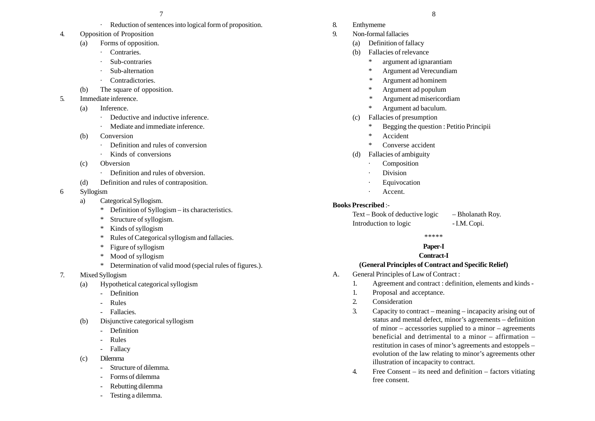- Reduction of sentences into logical form of proposition.
- 4. Opposition of Proposition
	- (a) Forms of opposition.
		- Contraries.
		- Sub-contraries
		- Sub-alternation
		- Contradictories.
	- (b) The square of opposition.
- 5. Immediate inference.
	- (a) Inference.
		- Deductive and inductive inference.
		- Mediate and immediate inference.
	- (b) Conversion
		- Definition and rules of conversion
		- Kinds of conversions
	- (c) Obversion
		- · Definition and rules of obversion.
	- (d) Definition and rules of contraposition.
- 6 Syllogism
	- a) Categorical Syllogism.
		- \*Definition of Syllogism – its characteristics.
		- \*Structure of syllogism.
		- \*Kinds of syllogism
		- \*Rules of Categorical syllogism and fallacies.
		- \*Figure of syllogism
		- \*Mood of syllogism
		- \* Determination of valid mood (special rules of figures.).
- 7. Mixed Syllogism
	- (a) Hypothetical categorical syllogism
		- Definition
		- -Rules
		- Fallacies.
	- (b) Disjunctive categorical syllogism
		- -Definition
		- -Rules
		- Fallacy
	- (c) Dilemma
		- Structure of dilemma.
		- Forms of dilemma
		- Rebutting dilemma
		- Testing a dilemma.
- 8. Enthymeme
- 9. Non-formal fallacies
	- (a) Definition of fallacy
	- (b) Fallacies of relevance
		- \*argument ad ignarantiam
		- \*Argument ad Verecundiam
		- \* Argument ad hominem
		- \*Argument ad populum
		- \* Argument ad misericordiam
		- \*Argument ad baculum.
	- (c) Fallacies of presumption
		- \*Begging the question : Petitio Principii
		- \*Accident
		- \*Converse accident
	- (d) Fallacies of ambiguity
		- Composition
		- Division
		- Equivocation
		- Accent.

#### **Books Prescribed** :-

Text – Book of deductive logic – Bholanath Roy. Introduction to logic - I.M. Copi.

\*\*\*\*\*

#### **Paper-I**

## **Contract-I**

#### **(General Principles of Contract and Specific Relief)**

- A. General Principles of Law of Contract :
	- 1. Agreement and contract : definition, elements and kinds -
	- 1. Proposal and acceptance.
	- 2. Consideration
	- 3. Capacity to contract meaning incapacity arising out of status and mental defect, minor's agreements – definition of minor – accessories supplied to a minor – agreements beneficial and detrimental to a minor – affirmation – restitution in cases of minor's agreements and estoppels – evolution of the law relating to minor's agreements other illustration of incapacity to contract.
	- 4. Free Consent its need and definition factors vitiating free consent.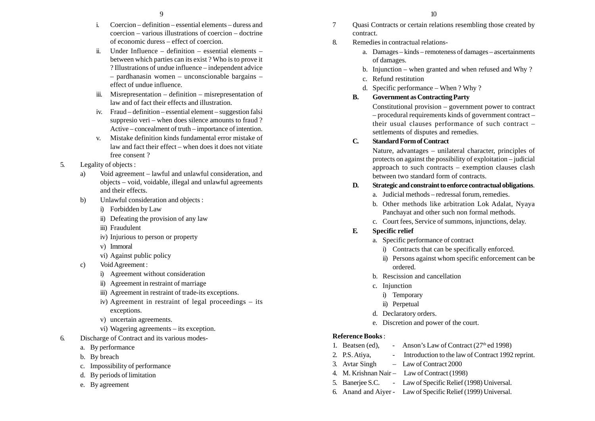- i. Coercion definition essential elements duress and coercion – various illustrations of coercion – doctrine of economic duress – effect of coercion.
- ii. Under Influence definition essential elements between which parties can its exist ? Who is to prove it ? Illustrations of undue influence – independent advice – pardhanasin women – unconscionable bargains – effect of undue influence.
- iii. Misrepresentation definition misrepresentation of law and of fact their effects and illustration.
- iv. Fraud definition essential element suggestion falsi suppresio veri – when does silence amounts to fraud ? Active – concealment of truth – importance of intention.
- v. Mistake definition kinds fundamental error mistake of law and fact their effect – when does it does not vitiate free consent ?

## 5. Legality of objects :

- a) Void agreement lawful and unlawful consideration, and objects – void, voidable, illegal and unlawful agreements and their effects.
- b) Unlawful consideration and objects :
	- i) Forbidden by Law
	- ii) Defeating the provision of any law
	- iii) Fraudulent
	- iv) Injurious to person or property
	- v) Immoral
	- vi) Against public policy
- c) Void Agreement :
	- i) Agreement without consideration
	- ii) Agreement in restraint of marriage
	- iii) Agreement in restraint of trade-its exceptions.
	- iv) Agreement in restraint of legal proceedings its exceptions.
	- v) uncertain agreements.
	- vi) Wagering agreements its exception.
- 6. Discharge of Contract and its various modes
	- a. By performance
	- b. By breach
	- c. Impossibility of performance
	- d. By periods of limitation
	- e. By agreement
- 7 Quasi Contracts or certain relations resembling those created by contract.
- 8. Remedies in contractual relations
	- a. Damages kinds remoteness of damages ascertainments of damages.
	- b. Injunction when granted and when refused and Why ?
	- c. Refund restitution
	- d. Specific performance When ? Why ?
	- **B. Government as Contracting Party**

Constitutional provision – government power to contract – procedural requirements kinds of government contract – their usual clauses performance of such contract – settlements of disputes and remedies.

## **C. Standard Form of Contract**

Nature, advantages – unilateral character, principles of protects on against the possibility of exploitation – judicial approach to such contracts – exemption clauses clash between two standard form of contracts.

## **D. Strategic and constraint to enforce contractual obligations**.

- a. Judicial methods redressal forum, remedies.
- b. Other methods like arbitration Lok Adalat, Nyaya Panchayat and other such non formal methods.
- c. Court fees, Service of summons, injunctions, delay.

## **E. Specific relief**

- a. Specific performance of contract
	- i) Contracts that can be specifically enforced.
	- ii) Persons against whom specific enforcement can be ordered.
- b. Rescission and cancellation
- c. Injunction
	- i) Temporary
	- ii) Perpetual
- d. Declaratory orders.
- e. Discretion and power of the court.

## **Reference Books** :

- 1. Beatsen (ed), Anson's Law of Contract  $(27<sup>th</sup>$  ed 1998)
- 2. P.S. Atiya, Fig. 2. Introduction to the law of Contract 1992 reprint.
- 3. Avtar Singh Law of Contract 2000
- 4. M. Krishnan Nair Law of Contract (1998)
- 5. Banerjee S.C. Law of Specific Relief (1998) Universal.
- 6. Anand and Aiyer Law of Specific Relief (1999) Universal.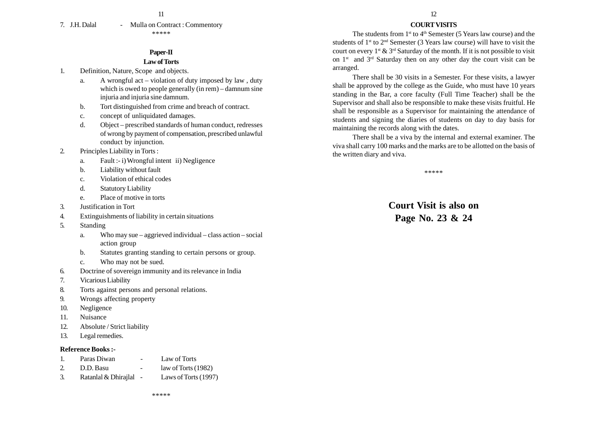11

7. J.H. Dalal - Mulla on Contract : Commentory \*\*\*\*\*

#### **Paper-II**

#### **Law of Torts**

- 1. Definition, Nature, Scope and objects.
	- a. A wrongful act violation of duty imposed by law , duty which is owed to people generally (in rem) – damnum sine injuria and injuria sine damnum.
	- b. Tort distinguished from crime and breach of contract.
	- c. concept of unliquidated damages.
	- d. Object prescribed standards of human conduct, redresses of wrong by payment of compensation, prescribed unlawful conduct by injunction.
- 2. Principles Liability in Torts :
	- a. Fault :- i) Wrongful intent ii) Negligence
	- b. Liability without fault
	- c. Violation of ethical codes
	- d. Statutory Liability
	- e. Place of motive in torts
- 3. Justification in Tort
- 4. Extinguishments of liability in certain situations
- 5. Standing
	- a. Who may sue aggrieved individual class action social action group
	- b. Statutes granting standing to certain persons or group.
	- c. Who may not be sued.
- 6. Doctrine of sovereign immunity and its relevance in India
- 7. Vicarious Liability
- 8. Torts against persons and personal relations.
- 9. Wrongs affecting property
- 10. Negligence
- 11. Nuisance
- 12. Absolute / Strict liability
- 13. Legal remedies.

#### **Reference Books :-**

- 1. Paras Diwan Law of Torts
- 2. D.D. Basu law of Torts (1982)
- 3. Ratanlal & Dhirajlal Laws of Torts (1997)

#### **COURT VISITS**

The students from  $1<sup>st</sup>$  to  $4<sup>th</sup>$  Semester (5 Years law course) and the students of  $1^{st}$  to  $2^{nd}$  Semester (3 Years law course) will have to visit the court on every  $1^{st} \& 3^{rd}$  Saturday of the month. If it is not possible to visit on  $1^{st}$  and  $3^{rd}$  Saturday then on any other day the court visit can be arranged.

There shall be 30 visits in a Semester. For these visits, a lawyer shall be approved by the college as the Guide, who must have 10 years standing in the Bar, a core faculty (Full Time Teacher) shall be the Supervisor and shall also be responsible to make these visits fruitful. He shall be responsible as a Supervisor for maintaining the attendance of students and signing the diaries of students on day to day basis for maintaining the records along with the dates.

There shall be a viva by the internal and external examiner. The viva shall carry 100 marks and the marks are to be allotted on the basis of the written diary and viva.

\*\*\*\*\*

**Court Visit is also on Page No. 23 & 24**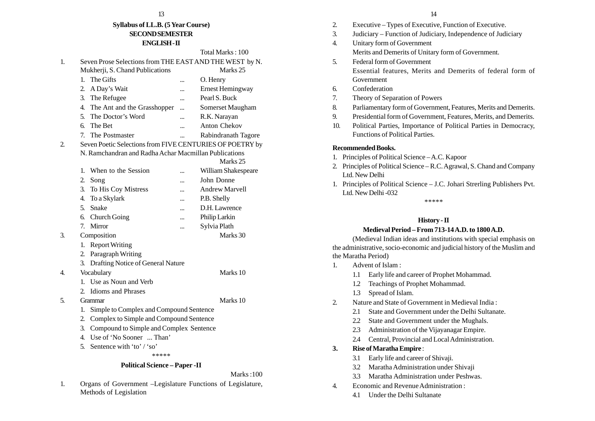## **Syllabus of LL.B. (5 Year Course) SECOND SEMESTER ENGLISH - II**

## Total Marks : 100 1. Seven Prose Selections from THE EAST AND THE WEST by N. Mukherji, S. Chand Publications Marks 25 1. The Gifts ... C. Henry 2. A Day's Wait ... Ernest Hemingway 3. The Refugee ... Pearl S. Buck 4. The Ant and the Grasshopper ... Somerset Maugham 5. The Doctor's Word ... R.K. Narayan 6. The Bet ... Anton Chekov 7. The Postmaster ... Rabindranath Tagore 2. Seven Poetic Selections from FIVE CENTURIES OF POETRY by N. Ramchandran and Radha Achar Macmillan Publications Marks 25 1. When to the Session ... William Shakespeare 2. Song ... John Donne 3. To His Coy Mistress ... Andrew Marvell 4. To a Skylark ... P.B. Shelly 5. Snake ... D.H. Lawrence 6. Church Going ... Philip Larkin 7. Mirror ... Sylvia Plath 3. Composition Marks 30 1. Report Writing 2. Paragraph Writing 3. Drafting Notice of General Nature 4. Vocabulary Marks 10 1. Use as Noun and Verb 2. Idioms and Phrases 5. Grammar Marks 10 1. Simple to Complex and Compound Sentence 2. Complex to Simple and Compound Sentence 3. Compound to Simple and Complex Sentence 4. Use of 'No Sooner ... Than' 5. Sentence with 'to' / 'so' \*\*\*\*\*

#### **Political Science – Paper -II**

#### Marks :100

1. Organs of Government –Legislature Functions of Legislature, Methods of Legislation

- 2. Executive Types of Executive, Function of Executive.
- 3. Judiciary Function of Judiciary, Independence of Judiciary
- 4. Unitary form of Government Merits and Demerits of Unitary form of Government.
- 5. Federal form of Government Essential features, Merits and Demerits of federal form of Government
- 6. Confederation
- 7. Theory of Separation of Powers
- 8. Parliamentary form of Government, Features, Merits and Demerits.
- 9. Presidential form of Government, Features, Merits, and Demerits.
- 10. Political Parties, Importance of Political Parties in Democracy, Functions of Political Parties.

#### **Recommended Books.**

- 1. Principles of Political Science A.C. Kapoor
- 2. Principles of Political Science R.C. Agrawal, S. Chand and Company Ltd. New Delhi
- 1. Principles of Political Science J.C. Johari Strerling Publishers Pvt. Ltd. New Delhi -032

\*\*\*\*\*

## **History - II**

## **Medieval Period – From 713-14 A.D. to 1800 A.D.**

(Medieval Indian ideas and institutions with special emphasis on the administrative, socio-economic and judicial history of the Muslim and the Maratha Period)

- 1. Advent of Islam :
	- 1.1 Early life and career of Prophet Mohammad.
	- 1.2 Teachings of Prophet Mohammad.
	- 1.3 Spread of Islam.
- 2. Nature and State of Government in Medieval India :
	- 2.1 State and Government under the Delhi Sultanate.
	- 2.2 State and Government under the Mughals.
	- 2.3 Administration of the Vijayanagar Empire.
	- 2.4 Central, Provincial and Local Administration.

## **3. Rise of Maratha Empire** :

- 3.1 Early life and career of Shivaji.
- 3.2 Maratha Administration under Shivaji
- 3.3 Maratha Administration under Peshwas.
- 4. Economic and Revenue Administration :
	- 4.1 Under the Delhi Sultanate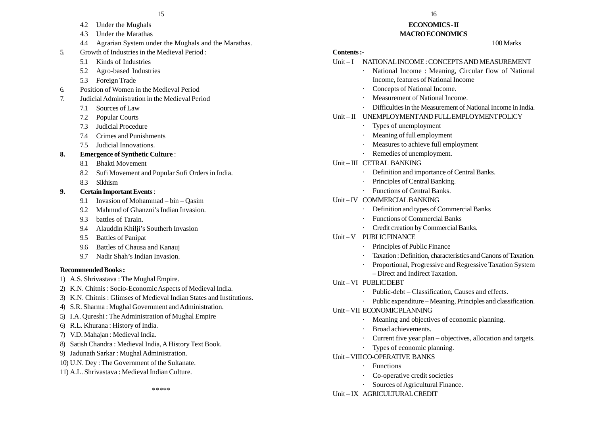- 4.2 Under the Mughals
- 4.3 Under the Marathas
- 4.4 Agrarian System under the Mughals and the Marathas.
- 5. Growth of Industries in the Medieval Period :
	- 5.1 Kinds of Industries
	- 5.2 Agro-based Industries
	- 5.3 Foreign Trade
- 6. Position of Women in the Medieval Period
- 7. Judicial Administration in the Medieval Period
	- 7.1 Sources of Law
	- 7.2 Popular Courts
	- 7.3 Judicial Procedure
	- 7.4 Crimes and Punishments
	- 7.5 Judicial Innovations.
- **8. Emergence of Synthetic Culture** :
	- 8.1 Bhakti Movement
	- 8.2 Sufi Movement and Popular Sufi Orders in India.
	- 8.3 Sikhism

#### **9. Certain Important Events** :

- 9.1 Invasion of Mohammad bin Qasim
- 9.2 Mahmud of Ghanzni's Indian Invasion.
- 9.3 battles of Tarain.
- 9.4 Alauddin Khilji's Southerh Invasion
- 9.5 Battles of Panipat
- 9.6 Battles of Chausa and Kanauj
- 9.7 Nadir Shah's Indian Invasion.

#### **Recommended Books :**

- 1) A.S. Shrivastava : The Mughal Empire.
- 2) K.N. Chitnis : Socio-Economic Aspects of Medieval India.
- 3) K.N. Chitnis : Glimses of Medieval Indian States and Institutions.
- 4) S.R. Sharma : Mughal Government and Administration.
- 5) I.A. Qureshi : The Administration of Mughal Empire
- 6) R.L. Khurana : History of India.
- 7) V.D. Mahajan : Medieval India.
- 8) Satish Chandra : Medieval India, A History Text Book.
- 9) Jadunath Sarkar : Mughal Administration.
- 10) U.N. Dey : The Government of the Sultanate.
- 11) A.L. Shrivastava : Medieval Indian Culture.

 $15$  15

#### **ECONOMICS - II MACRO ECONOMICS**

#### 100 Marks

#### **Contents :-**

#### Unit – I NATIONAL INCOME : CONCEPTS AND MEASUREMENT

- National Income : Meaning, Circular flow of National Income, features of National Income
- Concepts of National Income.
- Measurement of National Income.
- Difficulties in the Measurement of National Income in India.

#### Unit – II UNEMPLOYMENT AND FULL EMPLOYMENT POLICY

- Types of unemployment
- Meaning of full employment
- Measures to achieve full employment
- Remedies of unemployment.

#### Unit – III CETRAL BANKING

- Definition and importance of Central Banks.
- Principles of Central Banking.
- Functions of Central Banks.

#### Unit – IV COMMERCIAL BANKING

- Definition and types of Commercial Banks
- Functions of Commercial Banks
- · Credit creation by Commercial Banks.

#### Unit – V PUBLIC FINANCE

- Principles of Public Finance
- Taxation : Definition, characteristics and Canons of Taxation.
- Proportional, Progressive and Regressive Taxation System – Direct and Indirect Taxation.

#### Unit – VI PUBLIC DEBT

- Public-debt Classification, Causes and effects.
- Public expenditure Meaning, Principles and classification.

#### Unit – VII ECONOMIC PLANNING

- Meaning and objectives of economic planning.
- Broad achievements.
- Current five year plan objectives, allocation and targets.
- Types of economic planning.

#### Unit – VIIICO-OPERATIVE BANKS

- Functions
- Co-operative credit societies
- Sources of Agricultural Finance.

#### Unit – IX AGRICULTURAL CREDIT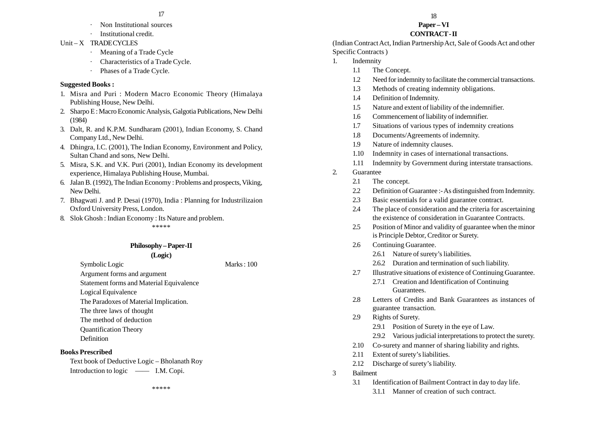- Non Institutional sources
- ·Institutional credit.
- Unit X TRADE CYCLES
	- · Meaning of a Trade Cycle
	- Characteristics of a Trade Cycle.
	- ·Phases of a Trade Cycle.

## **Suggested Books :**

- 1. Misra and Puri : Modern Macro Economic Theory (Himalaya Publishing House, New Delhi.
- 2. Sharpo E : Macro Economic Analysis, Galgotia Publications, New Delhi (1984)
- 3. Dalt, R. and K.P.M. Sundharam (2001), Indian Economy, S. Chand Company Ltd., New Delhi.
- 4. Dhingra, I.C. (2001), The Indian Economy, Environment and Policy, Sultan Chand and sons, New Delhi.
- 5. Misra, S.K. and V.K. Puri (2001), Indian Economy its development experience, Himalaya Publishing House, Mumbai.
- 6. Jalan B. (1992), The Indian Economy : Problems and prospects, Viking, New Delhi.
- 7. Bhagwati J. and P. Desai (1970), India : Planning for Industrilizaion Oxford University Press, London.
- 8. Slok Ghosh : Indian Economy : Its Nature and problem.

\*\*\*\*\*

## **Philosophy – Paper-II**

**(Logic)**

Symbolic Logic Marks : 100 Argument forms and argument Statement forms and Material Equivalence

Logical Equivalence

- The Paradoxes of Material Implication.
- The three laws of thought
- The method of deduction
- Quantification Theory
- Definition

## **Books Prescribed**

Text book of Deductive Logic – Bholanath Roy Introduction to logic —— I.M. Copi.

\*\*\*\*\*

#### $17$

# **Paper – VI**

## **CONTRACT - II**

(Indian Contract Act, Indian Partnership Act, Sale of Goods Act and other Specific Contracts )

- 1. Indemnity
	- 1.1 The Concept.
	- 1.2 Need for indemnity to facilitate the commercial transactions.
	- 1.3 Methods of creating indemnity obligations.
	- 1.4 Definition of Indemnity.
	- 1.5 Nature and extent of liability of the indemnifier.
	- 1.6 Commencement of liability of indemnifier.
	- 1.7 Situations of various types of indemnity creations
	- 1.8 Documents/Agreements of indemnity.
	- 1.9 Nature of indemnity clauses.
	- 1.10 Indemnity in cases of international transactions.
	- 1.11 Indemnity by Government during interstate transactions.
- 2. Guarantee
	- 2.1 The concept.
	- 2.2 Definition of Guarantee :- As distinguished from Indemnity.
	- 2.3 Basic essentials for a valid guarantee contract.
	- 2.4 The place of consideration and the criteria for ascertaining the existence of consideration in Guarantee Contracts.
	- 2.5 Position of Minor and validity of guarantee when the minor is Principle Debtor, Creditor or Surety.
	- 2.6 Continuing Guarantee.
		- 2.6.1 Nature of surety's liabilities.
		- 2.6.2 Duration and termination of such liability.
	- 2.7 Illustrative situations of existence of Continuing Guarantee.
		- 2.7.1 Creation and Identification of Continuing Guarantees.
	- 2.8 Letters of Credits and Bank Guarantees as instances of guarantee transaction.
	- 2.9 Rights of Surety.
		- 2.9.1 Position of Surety in the eye of Law.
		- 2.9.2 Various judicial interpretations to protect the surety.
	- 2.10 Co-surety and manner of sharing liability and rights.
	- 2.11 Extent of surety's liabilities.
	- 2.12 Discharge of surety's liability.
- 3 Bailment
	- 3.1 Identification of Bailment Contract in day to day life.
		- 3.1.1 Manner of creation of such contract.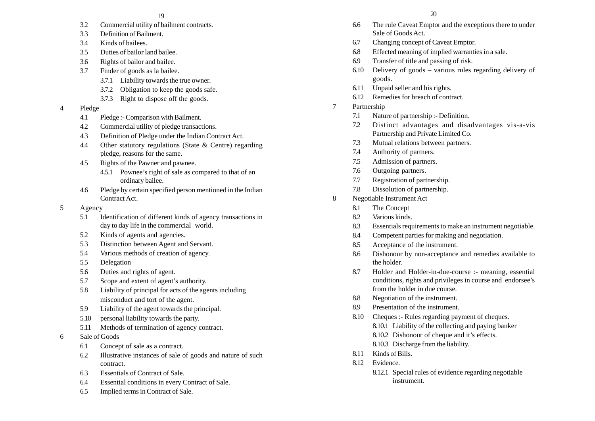- 3.2 Commercial utility of bailment contracts.
- 3.3 Definition of Bailment.
- 3.4 Kinds of bailees.
- 3.5 Duties of bailor land bailee.
- 3.6 Rights of bailor and bailee.
- 3.7 Finder of goods as la bailee.
	- 3.7.1 Liability towards the true owner.
	- 3.7.2 Obligation to keep the goods safe.
	- 3.7.3 Right to dispose off the goods.
- 4 Pledge
	- 4.1 Pledge :- Comparison with Bailment.
	- 4.2 Commercial utility of pledge transactions.
	- 4.3 Definition of Pledge under the Indian Contract Act.
	- 4.4 Other statutory regulations (State & Centre) regarding pledge, reasons for the same.
	- 4.5 Rights of the Pawner and pawnee.
		- 4.5.1 Pownee's right of sale as compared to that of an ordinary bailee.
	- 4.6 Pledge by certain specified person mentioned in the Indian Contract Act.
- 5 Agency
	- 5.1 Identification of different kinds of agency transactions in day to day life in the commercial world.
	- 5.2 Kinds of agents and agencies.
	- 5.3 Distinction between Agent and Servant.
	- 5.4 Various methods of creation of agency.
	- 5.5 Delegation
	- 5.6 Duties and rights of agent.
	- 5.7 Scope and extent of agent's authority.
	- 5.8 Liability of principal for acts of the agents including misconduct and tort of the agent.
	- 5.9 Liability of the agent towards the principal.
	- 5.10 personal liability towards the party.
	- 5.11 Methods of termination of agency contract.
- 6 Sale of Goods
	- 6.1 Concept of sale as a contract.
	- 6.2 Illustrative instances of sale of goods and nature of such contract.
	- 6.3 Essentials of Contract of Sale.
	- 6.4 Essential conditions in every Contract of Sale.
	- 6.5 Implied terms in Contract of Sale.
- 6.6 The rule Caveat Emptor and the exceptions there to under Sale of Goods Act.
- 6.7 Changing concept of Caveat Emptor.
- 6.8 Effected meaning of implied warranties in a sale.
- 6.9 Transfer of title and passing of risk.
- 6.10 Delivery of goods various rules regarding delivery of goods.
- 6.11 Unpaid seller and his rights.
- 6.12 Remedies for breach of contract.
- 7 Partnership
	- 7.1 Nature of partnership :- Definition.
	- 7.2 Distinct advantages and disadvantages vis-a-vis Partnership and Private Limited Co.
	- 7.3 Mutual relations between partners.
	- 7.4 Authority of partners.
	- 7.5 Admission of partners.
	- 7.6 Outgoing partners.
	- 7.7 Registration of partnership.
	- 7.8 Dissolution of partnership.
- 8 Negotiable Instrument Act
	- 8.1 The Concept
	- 8.2 Various kinds.
	- 8.3 Essentials requirements to make an instrument negotiable.
	- 8.4 Competent parties for making and negotiation.
	- 8.5 Acceptance of the instrument.
	- 8.6 Dishonour by non-acceptance and remedies available to the holder.
	- 8.7 Holder and Holder-in-due-course :- meaning, essential conditions, rights and privileges in course and endorsee's from the holder in due course.
	- 8.8 Negotiation of the instrument.
	- 8.9 Presentation of the instrument.
	- 8.10 Cheques :- Rules regarding payment of cheques. 8.10.1 Liability of the collecting and paying banker 8.10.2 Dishonour of cheque and it's effects. 8.10.3 Discharge from the liability.
	- 8.11 Kinds of Bills.
	- 8.12 Evidence.
		- 8.12.1 Special rules of evidence regarding negotiable instrument.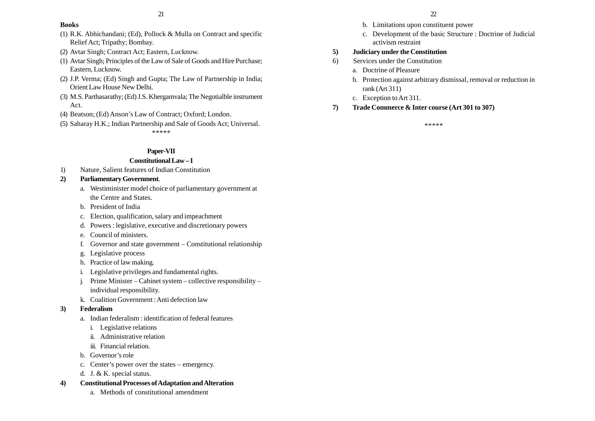#### **Books**

- (1) R.K. Abhichandani; (Ed), Pollock & Mulla on Contract and specific Relief Act; Tripathy; Bombay.
- (2) Avtar Singh; Contract Act; Eastern, Lucknow.
- (1) Avtar Singh; Principles of the Law of Sale of Goods and Hire Purchase; Eastern, Lucknow.
- (2) J.P. Verma; (Ed) Singh and Gupta; The Law of Partnership in India; Orient Law House New Delhi.
- (3) M.S. Parthasarathy; (Ed) J.S. Khergamvala; The Negotialble instrument Act.
- (4) Beatson; (Ed) Anson's Law of Contract; Oxford; London.
- (5) Saharay H.K.; Indian Partnership and Sale of Goods Act; Universal. \*\*\*\*\*

## **Paper-VII**

#### **Constitutional Law – I**

- 1) Nature, Salient features of Indian Constitution
- **2) Parliamentary Government**.
	- a. Westiminister model choice of parliamentary government at the Centre and States.
	- b. President of India
	- c. Election, qualification, salary and impeachment
	- d. Powers : legislative, executive and discretionary powers
	- e. Council of ministers.
	- f. Governor and state government Constitutional relationship
	- g. Legislative process
	- h. Practice of law making.
	- i. Legislative privileges and fundamental rights.
	- j. Prime Minister Cabinet system collective responsibility individual responsibility.
	- k. Coalition Government : Anti defection law

## **3) Federalism**

- a. Indian federalism : identification of federal features
	- i. Legislative relations
	- ii. Administrative relation
	- iii. Financial relation.
- b. Governor's role
- c. Center's power over the states emergency.
- d. J. & K. special status.
- **4) Constitutional Processes of Adaptation and Alteration**
	- a. Methods of constitutional amendment
- b. Limitations upon constituent power
- c. Development of the basic Structure : Doctrine of Judicial activism restraint

## **5) Judiciary under the Constitution**

- 6) Services under the Constitution
	- a. Doctrine of Pleasure
	- b. Protection against arbitrary dismissal, removal or reduction in rank (Art 311)
	- c. Exception to Art 311.
- **7) Trade Commerce & Inter course (Art 301 to 307)**

\*\*\*\*\*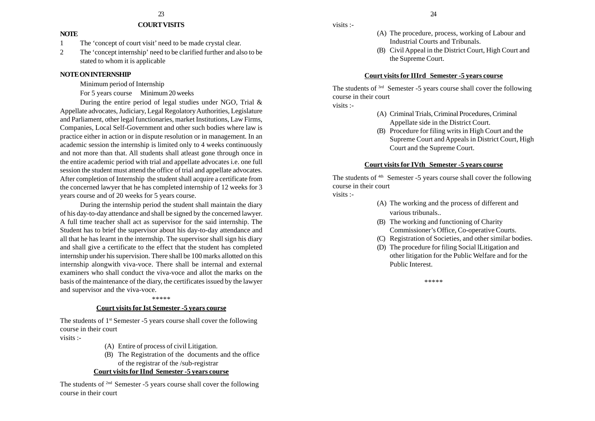#### **COURT VISITS**

#### **NOTE**

- 1 The 'concept of court visit' need to be made crystal clear.
- 2 The 'concept internship' need to be clarified further and also to be stated to whom it is applicable

## **NOTE ON INTERNSHIP**

Minimum period of Internship

For 5 years course Minimum 20 weeks

During the entire period of legal studies under NGO, Trial & Appellate advocates, Judiciary, Legal Regolatory Authorities, Legislature and Parliament, other legal functionaries, market Institutions, Law Firms, Companies, Local Self-Government and other such bodies where law is practice either in action or in dispute resolution or in management. In an academic session the internship is limited only to 4 weeks continuously and not more than that. All students shall atleast gone through once in the entire academic period with trial and appellate advocates i.e. one full session the student must attend the office of trial and appellate advocates. After completion of Internship the student shall acquire a certificate from the concerned lawyer that he has completed internship of 12 weeks for 3 years course and of 20 weeks for 5 years course.

During the internship period the student shall maintain the diary of his day-to-day attendance and shall be signed by the concerned lawyer. A full time teacher shall act as supervisor for the said internship. The Student has to brief the supervisor about his day-to-day attendance and all that he has learnt in the internship. The supervisor shall sign his diary and shall give a certificate to the effect that the student has completed internship under his supervision. There shall be 100 marks allotted on this internship alongwith viva-voce. There shall be internal and external examiners who shall conduct the viva-voce and allot the marks on the basis of the maintenance of the diary, the certificates issued by the lawyer and supervisor and the viva-voce.

#### \*\*\*\*\*

#### **Court visits for Ist Semester -5 years course**

The students of 1<sup>st</sup> Semester -5 years course shall cover the following course in their court visits :-

- (A) Entire of process of civil Litigation.
- (B) The Registration of the documents and the office of the registrar of the /sub-registrar

## **Court visits for IInd Semester -5 years course**

The students of <sup>2nd</sup> Semester -5 years course shall cover the following course in their court

visits :-

- (A) The procedure, process, working of Labour and Industrial Courts and Tribunals.
- (B) Civil Appeal in the District Court, High Court and the Supreme Court.

#### **Court visits for IIIrd Semester -5 years course**

The students of 3rd Semester -5 years course shall cover the following course in their court

visits :-

- (A) Criminal Trials, Criminal Procedures, Criminal Appellate side in the District Court.
- (B) Procedure for filing writs in High Court and the Supreme Court and Appeals in District Court, High Court and the Supreme Court.

#### **Court visits for IVth Semester -5 years course**

The students of <sup>4th</sup> Semester -5 years course shall cover the following course in their court

visits :-

- (A) The working and the process of different and various tribunals..
- (B) The working and functioning of Charity Commissioner's Office, Co-operative Courts.
- (C) Registration of Societies, and other similar bodies.
- (D) The procedure for filing Social lLitigation and other litigation for the Public Welfare and for the Public Interest.

\*\*\*\*\*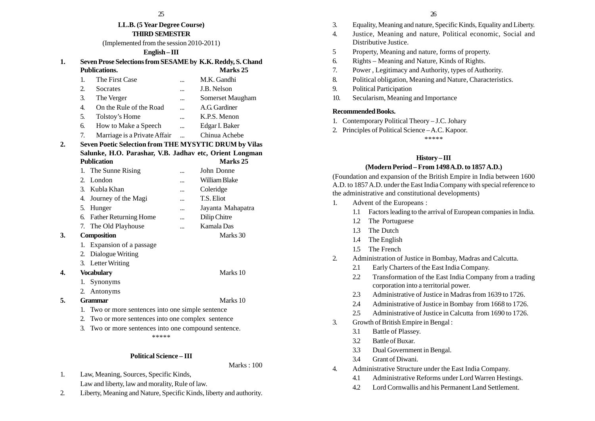#### **LL.B. (5 Year Degree Course) THIRD SEMESTER**

(Implemented from the session 2010-2011)

#### **English – III**

| Seven Prose Selections from SESAME by K.K. Reddy, S. Chand |          |
|------------------------------------------------------------|----------|
| Publications                                               | Marks 25 |

|    |    | 1 импеации                                              |           | ., <i></i>       |
|----|----|---------------------------------------------------------|-----------|------------------|
|    | 1. | The First Case                                          | $\ddotsc$ | M.K. Gandhi      |
|    | 2. | Socrates                                                | $\ddotsc$ | J.B. Nelson      |
|    | 3. | The Verger                                              | $\cdots$  | Somerset Maugham |
|    | 4. | On the Rule of the Road                                 |           | A.G. Gardiner    |
|    | 5. | Tolstoy's Home                                          |           | K.P.S. Menon     |
|    | 6. | How to Make a Speech                                    |           | Edgar I. Baker   |
|    | 7. | Marriage is a Private Affair                            |           | Chinua Achebe    |
| 2. |    | Seven Poetic Selection from THE MYSYTIC DRUM by Vilas   |           |                  |
|    |    | Salunke, H.O. Parashar, V.B. Jadhav etc, Orient Longman |           |                  |
|    |    | <b>Publication</b>                                      |           | <b>Marks</b> 25  |

|    |             | 1. The Sunne Rising                               | <br>John Donne        |
|----|-------------|---------------------------------------------------|-----------------------|
|    | $2^{\circ}$ | London                                            | <br>William Blake     |
|    |             | 3. Kubla Khan                                     | <br>Coleridge         |
|    | 4.          | Journey of the Magi                               | <br>T.S. Eliot        |
|    |             | 5. Hunger                                         | <br>Jayanta Mahapatra |
|    |             | 6. Father Returning Home                          | <br>Dilip Chitre      |
|    |             | 7. The Old Playhouse                              | Kamala Das            |
| 3. |             | <b>Composition</b>                                | Marks 30              |
|    |             | 1. Expansion of a passage                         |                       |
|    |             | 2. Dialogue Writing                               |                       |
|    |             | 3. Letter Writing                                 |                       |
| 4. |             | Vocabulary                                        | Marks 10              |
|    |             | 1. Synonyms                                       |                       |
|    |             | 2. Antonyms                                       |                       |
| 5. |             | Grammar                                           | Marks 10              |
|    |             | 1. Two or more sentences into one simple sentence |                       |

- 2. Two or more sentences into one complex sentence
- 3. Two or more sentences into one compound sentence.

\*\*\*\*\*

#### **Political Science – III**

Marks : 100

- 1. Law, Meaning, Sources, Specific Kinds, Law and liberty, law and morality, Rule of law.
- 2. Liberty, Meaning and Nature, Specific Kinds, liberty and authority.
- 3. Equality, Meaning and nature, Specific Kinds, Equality and Liberty.
- 4. Justice, Meaning and nature, Political economic, Social and Distributive Justice.
- 5 Property, Meaning and nature, forms of property.
- 6. Rights Meaning and Nature, Kinds of Rights.
- 7. Power , Legitimacy and Authority, types of Authority.
- 8. Political obligation, Meaning and Nature, Characteristics.
- 9. Political Participation
- 10. Secularism, Meaning and Importance

## **Recommended Books.**

- 1. Contemporary Political Theory J.C. Johary
- 2. Principles of Political Science A.C. Kapoor.

\*\*\*\*\*

## **History – III**

## **(Modern Period – From 1498 A.D. to 1857 A.D.)**

(Foundation and expansion of the British Empire in India between 1600 A.D. to 1857 A.D. under the East India Company with special reference to the administrative and constitutional developments)

- 1. Advent of the Europeans :
	- 1.1 Factors leading to the arrival of European companies in India.
	- 1.2 The Portuguese
	- 1.3 The Dutch
	- 1.4 The English
	- 1.5 The French
- 2. Administration of Justice in Bombay, Madras and Calcutta.
	- 2.1 Early Charters of the East India Company.
	- 2.2 Transformation of the East India Company from a trading corporation into a territorial power.
	- 2.3 Administrative of Justice in Madras from 1639 to 1726.
	- 2.4 Administrative of Justice in Bombay from 1668 to 1726.
	- 2.5 Administrative of Justice in Calcutta from 1690 to 1726.
- 3. Growth of British Empire in Bengal :
	- 3.1 Battle of Plassey.
	- 3.2 Battle of Buxar.
	- 3.3 Dual Government in Bengal.
	- 3.4 Grant of Diwani.
- 4. Administrative Structure under the East India Company.
	- 4.1 Administrative Reforms under Lord Warren Hestings.
	- 4.2 Lord Cornwallis and his Permanent Land Settlement.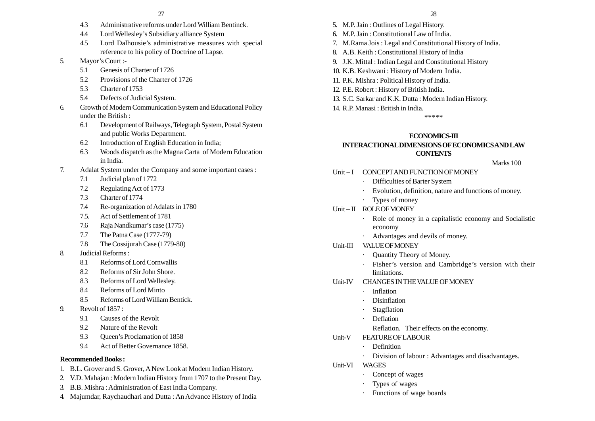- 4.3 Administrative reforms under Lord William Bentinck.
- 4.4 Lord Wellesley's Subsidiary alliance System
- 4.5 Lord Dalhousie's administrative measures with special reference to his policy of Doctrine of Lapse.
- 5. Mayor's Court :-
	- 5.1 Genesis of Charter of 1726
	- 5.2 Provisions of the Charter of 1726
	- 5.3 Charter of 1753
	- 5.4 Defects of Judicial System.
- 6. Growth of Modern Communication System and Educational Policy under the British :
	- 6.1 Development of Railways, Telegraph System, Postal System and public Works Department.
	- 6.2 Introduction of English Education in India;
	- 6.3 Woods dispatch as the Magna Carta of Modern Education in India.
- 7. Adalat System under the Company and some important cases :
	- 7.1 Judicial plan of 1772
	- 7.2 Regulating Act of 1773
	- 7.3 Charter of 1774
	- 7.4 Re-organization of Adalats in 1780
	- 7.5. Act of Settlement of 1781
	- 7.6 Raja Nandkumar's case (1775)
	- 7.7 The Patna Case (1777-79)
	- 7.8 The Cossijurah Case (1779-80)
- 8. Judicial Reforms :
	- 8.1 Reforms of Lord Cornwallis
	- 8.2 Reforms of Sir John Shore.
	- 8.3 Reforms of Lord Wellesley.
	- 8.4 Reforms of Lord Minto
	- 8.5 Reforms of Lord William Bentick.
- 9. Revolt of 1857 :
	- 9.1 Causes of the Revolt
	- 9.2 Nature of the Revolt
	- 9.3 Queen's Proclamation of 1858
	- 9.4 Act of Better Governance 1858.

## **Recommended Books :**

- 1. B.L. Grover and S. Grover, A New Look at Modern Indian History.
- 2. V.D. Mahajan : Modern Indian History from 1707 to the Present Day.
- 3. B.B. Mishra : Administration of East India Company.
- 4. Majumdar, Raychaudhari and Dutta : An Advance History of India
- 5. M.P. Jain : Outlines of Legal History.
- 6. M.P. Jain : Constitutional Law of India.
- 7. M.Rama Jois : Legal and Constitutional History of India.
- 8. A.B. Keith : Constitutional History of India
- 9. J.K. Mittal : Indian Legal and Constitutional History
- 10. K.B. Keshwani : History of Modern India.
- 11. P.K. Mishra : Political History of India.
- 12. P.E. Robert : History of British India.
- 13. S.C. Sarkar and K.K. Dutta : Modern Indian History.
- 14. R.P. Manasi : British in India.

\*\*\*\*\*

## **ECONOMICS-III**

## **INTERACTIONAL DIMENSIONS OF ECONOMICS AND LAW CONTENTS**

Marks 100 Unit-I CONCEPT AND FUNCTION OF MONEY Difficulties of Barter System Evolution, definition, nature and functions of money. · Types of money Unit – II ROLE OF MONEY Role of money in a capitalistic economy and Socialistic economy · Advantages and devils of money. Unit-III VALUE OF MONEY · Quantity Theory of Money. · Fisher's version and Cambridge's version with their limitations. Unit-IV CHANGES IN THE VALUE OF MONEY · Inflation Disinflation Stagflation · Deflation Reflation. Their effects on the economy. Unit-V FEATURE OF LABOUR Definition Division of labour : Advantages and disadvantages. Unit-VI WAGES Concept of wages Types of wages Functions of wage boards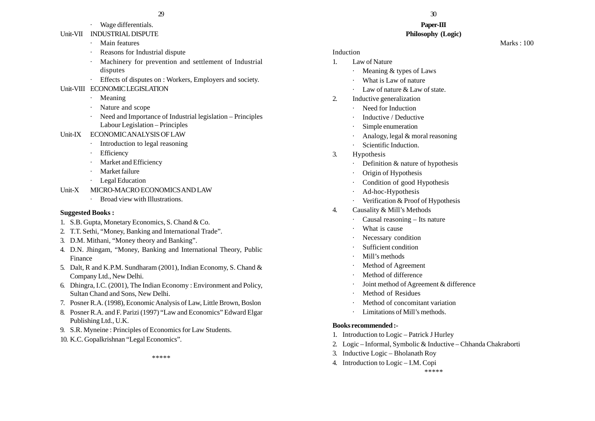# Wage differentials.

## Unit-VII INDUSTRIAL DISPUTE

- ·Main features
- Reasons for Industrial dispute
- Machinery for prevention and settlement of Industrial disputes
- · Effects of disputes on : Workers, Employers and society.

## Unit-VIII ECONOMIC LEGISLATION

- ·Meaning
- Nature and scope
- Need and Importance of Industrial legislation Principles Labour Legislation – Principles
- Unit-IX ECONOMIC ANALYSIS OF LAW
	- Introduction to legal reasoning
	- **Efficiency**
	- Market and Efficiency
	- Market failure
	- Legal Education
- Unit-X MICRO-MACRO ECONOMICS AND LAW
	- ·Broad view with Illustrations.

## **Suggested Books :**

- 1. S.B. Gupta, Monetary Economics, S. Chand & Co.
- 2. T.T. Sethi, "Money, Banking and International Trade".
- 3. D.M. Mithani, "Money theory and Banking".
- 4. D.N. Jhingam, "Money, Banking and International Theory, Public Finance
- 5. Dalt, R and K.P.M. Sundharam (2001), Indian Economy, S. Chand & Company Ltd., New Delhi.
- 6. Dhingra, I.C. (2001), The Indian Economy : Environment and Policy, Sultan Chand and Sons, New Delhi.
- 7. Posner R.A. (1998), Economic Analysis of Law, Little Brown, Boslon
- 8. Posner R.A. and F. Parizi (1997) "Law and Economics" Edward Elgar Publishing Ltd., U.K.
- 9. S.R. Myneine : Principles of Economics for Law Students.
- 10. K.C. Gopalkrishnan "Legal Economics".

\*\*\*\*\*

## $29$  30

#### **Paper-III Philosophy (Logic)**

Marks : 100

## Induction

- 1. Law of Nature
	- ·Meaning & types of Laws
	- What is Law of nature
	- Law of nature & Law of state.
- 2. Inductive generalization
	- ·Need for Induction
	- Inductive / Deductive
	- Simple enumeration
	- Analogy, legal & moral reasoning
	- ·Scientific Induction.
- 3. Hypothesis
	- ·Definition & nature of hypothesis
	- Origin of Hypothesis
	- Condition of good Hypothesis
	- Ad-hoc-Hypothesis
	- Verification & Proof of Hypothesis
- 4. Causality & Mill's Methods
	- Causal reasoning Its nature
	- What is cause
	- Necessary condition
	- Sufficient condition
	- Mill's methods
	- Method of Agreement
	- Method of difference
	- Joint method of Agreement & difference
	- Method of Residues
	- Method of concomitant variation
	- Limitations of Mill's methods.

## **Books recommended :-**

- 1. Introduction to Logic Patrick J Hurley
- 2. Logic Informal, Symbolic & Inductive Chhanda Chakraborti
- 3. Inductive Logic Bholanath Roy
- 4. Introduction to Logic I.M. Copi

\*\*\*\*\*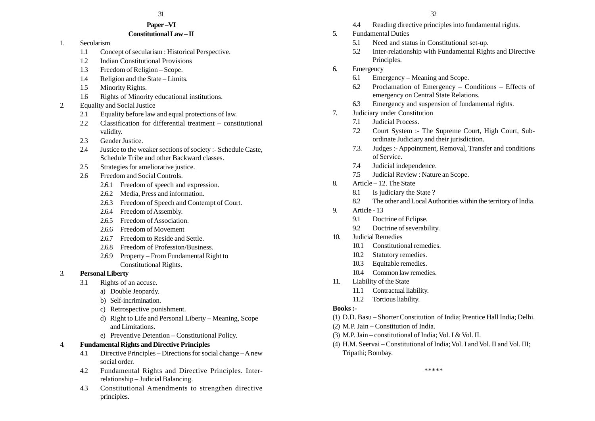#### **Paper –VI Constitutional Law – II**

- 1. Secularism
	- 1.1 Concept of secularism : Historical Perspective.
	- 1.2 Indian Constitutional Provisions
	- 1.3 Freedom of Religion Scope.
	- 1.4 Religion and the State Limits.
	- 1.5 Minority Rights.
	- 1.6 Rights of Minority educational institutions.
- 2. Equality and Social Justice
	- 2.1 Equality before law and equal protections of law.
	- 2.2 Classification for differential treatment constitutional validity.
	- 2.3 Gender Justice.
	- 2.4 Justice to the weaker sections of society :- Schedule Caste, Schedule Tribe and other Backward classes.
	- 2.5 Strategies for ameliorative justice.
	- 2.6 Freedom and Social Controls.
		- 2.6.1 Freedom of speech and expression.
		- 2.6.2 Media, Press and information.
		- 2.6.3 Freedom of Speech and Contempt of Court.
		- 2.6.4 Freedom of Assembly.
		- 2.6.5 Freedom of Association.
		- 2.6.6 Freedom of Movement
		- 2.6.7 Freedom to Reside and Settle.
		- 2.6.8 Freedom of Profession/Business.
		- 2.6.9 Property From Fundamental Right to Constitutional Rights.
- 3. **Personal Liberty**
	- 3.1 Rights of an accuse.
		- a) Double Jeopardy.
		- b) Self-incrimination.
		- c) Retrospective punishment.
		- d) Right to Life and Personal Liberty Meaning, Scope and Limitations.
		- e) Preventive Detention Constitutional Policy.

## 4. **Fundamental Rights and Directive Principles**

- 4.1 Directive Principles Directions for social change A new social order.
- 4.2 Fundamental Rights and Directive Principles. Interrelationship – Judicial Balancing.
- 4.3 Constitutional Amendments to strengthen directive principles.
- 4.4 Reading directive principles into fundamental rights.
- 5. Fundamental Duties
	- 5.1 Need and status in Constitutional set-up.
	- 5.2 Inter-relationship with Fundamental Rights and Directive Principles.
- 6. Emergency
	- 6.1 Emergency Meaning and Scope.
	- 6.2 Proclamation of Emergency Conditions Effects of emergency on Central State Relations.
	- 6.3 Emergency and suspension of fundamental rights.
- 7. Judiciary under Constitution
	- 7.1 Judicial Process.
	- 7.2 Court System :- The Supreme Court, High Court, Subordinate Judiciary and their jurisdiction.
	- 7.3. Judges :- Appointment, Removal, Transfer and conditions of Service.
	- 7.4 Judicial independence.
	- 7.5 Judicial Review : Nature an Scope.
- 8. Article 12. The State
	- 8.1 Is judiciary the State ?
	- 8.2 The other and Local Authorities within the territory of India.
- 9. Article 13
	- 9.1 Doctrine of Eclipse.
	- 9.2 Doctrine of severability.
- 10. Judicial Remedies
	- 10.1 Constitutional remedies.
	- 10.2 Statutory remedies.
	- 10.3 Equitable remedies.
	- 10.4 Common law remedies.
- 11. Liability of the State
	- 11.1 Contractual liability.
	- 11.2 Tortious liability.

## **Books :-**

- (1) D.D. Basu Shorter Constitution of India; Prentice Hall India; Delhi.
- (2) M.P. Jain Constitution of India.
- (3) M.P. Jain constitutional of India; Vol. I & Vol. II.
- (4) H.M. Seervai Constitutional of India; Vol. I and Vol. II and Vol. III; Tripathi; Bombay.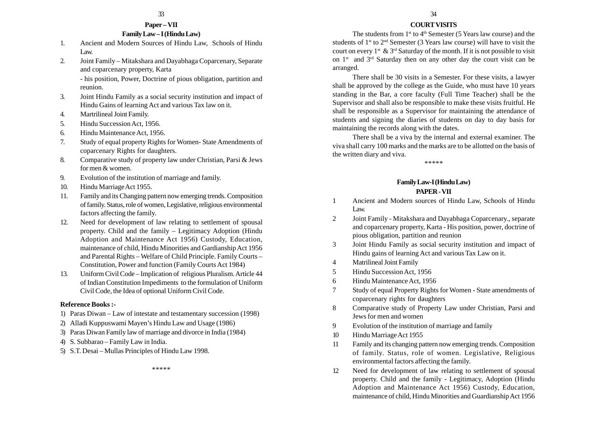# **Paper – VII**

## **Family Law – I (Hindu Law)**

- 1. Ancient and Modern Sources of Hindu Law, Schools of Hindu Law.
- 2. Joint Family Mitakshara and Dayabhaga Coparcenary, Separate and coparcenary property, Karta

- his position, Power, Doctrine of pious obligation, partition and reunion.

- 3. Joint Hindu Family as a social security institution and impact of Hindu Gains of learning Act and various Tax law on it.
- 4. Martrilineal Joint Family.
- 5. Hindu Succession Act, 1956.
- 6. Hindu Maintenance Act, 1956.
- 7. Study of equal property Rights for Women- State Amendments of coparcenary Rights for daughters.
- 8. Comparative study of property law under Christian, Parsi & Jews for men & women.
- 9. Evolution of the institution of marriage and family.
- 10. Hindu Marriage Act 1955.
- 11. Family and its Changing pattern now emerging trends. Composition of family. Status, role of women, Legislative, religious environmental factors affecting the family.
- 12. Need for development of law relating to settlement of spousal property. Child and the family – Legitimacy Adoption (Hindu Adoption and Maintenance Act 1956) Custody, Education, maintenance of child, Hindu Minorities and Gardianship Act 1956 and Parental Rights – Welfare of Child Principle. Family Courts – Constitution, Power and function (Family Courts Act 1984)
- 13. Uniform Civil Code Implication of religious Pluralism. Article 44 of Indian Constitution Impediments to the formulation of Uniform Civil Code, the Idea of optional Uniform Civil Code.

#### **Reference Books :-**

1) Paras Diwan – Law of intestate and testamentary succession (1998)

\*\*\*\*\*

- 2) Alladi Kuppuswami Mayen's Hindu Law and Usage (1986)
- 3) Paras Diwan Family law of marriage and divorce in India (1984)
- 4) S. Subbarao Family Law in India.
- 5) S.T. Desai Mullas Principles of Hindu Law 1998.

# There shall be 30 visits in a Semester. For these visits, a lawyer

arranged.

shall be approved by the college as the Guide, who must have 10 years standing in the Bar, a core faculty (Full Time Teacher) shall be the Supervisor and shall also be responsible to make these visits fruitful. He shall be responsible as a Supervisor for maintaining the attendance of students and signing the diaries of students on day to day basis for maintaining the records along with the dates.

There shall be a viva by the internal and external examiner. The viva shall carry 100 marks and the marks are to be allotted on the basis of the written diary and viva.

\*\*\*\*\*

#### **Family Law-I (Hindu Law) PAPER - VII**

- 1 Ancient and Modern sources of Hindu Law, Schools of Hindu Law.
- 2 Joint Family Mitakshara and Dayabhaga Coparcenary., separate and coparcenary property, Karta - His position, power, doctrine of pious obligation, partition and reunion
- 3 Joint Hindu Family as social security institution and impact of Hindu gains of learning Act and various Tax Law on it.
- 4 Matrilineal Joint Family
- 5 Hindu Succession Act, 1956
- 6 Hindu Maintenance Act, 1956
- 7 Study of equal Property Rights for Women State amendments of coparcenary rights for daughters
- 8 Comparative study of Property Law under Christian, Parsi and Jews for men and women
- 9 Evolution of the institution of marriage and family
- 10 Hindu Marriage Act 1955
- 11 Family and its changing pattern now emerging trends. Composition of family. Status, role of women. Legislative, Religious environmental factors affecting the family.
- 12 Need for development of law relating to settlement of spousal property. Child and the family - Legitimacy, Adoption (Hindu Adoption and Maintenance Act 1956) Custody, Education, maintenance of child, Hindu Minorities and Guardianship Act 1956

 $33$  33

**COURT VISITS** The students from 1<sup>st</sup> to 4<sup>th</sup> Semester (5 Years law course) and the students of  $1<sup>st</sup>$  to  $2<sup>nd</sup>$  Semester (3 Years law course) will have to visit the court on every  $1^{st} \& 3^{rd}$  Saturday of the month. If it is not possible to visit on  $1^{st}$  and  $3^{rd}$  Saturday then on any other day the court visit can be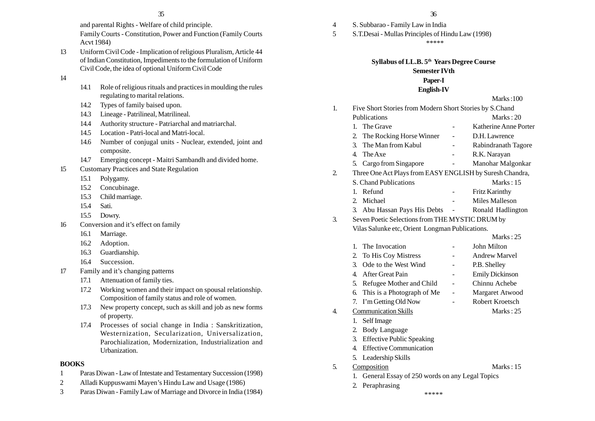and parental Rights - Welfare of child principle.

Family Courts - Constitution, Power and Function (Family Courts Acvt 1984)

- 13 Uniform Civil Code Implication of religious Pluralism, Article 44 of Indian Constitution, Impediments to the formulation of Uniform Civil Code, the idea of optional Uniform Civil Code
- 14
- 14.1 Role of religious rituals and practices in moulding the rules regulating to marital relations.
- 14.2 Types of family baised upon.
- 14.3 Lineage Patrilineal, Matrilineal.
- 14.4 Authority structure Patriarchal and matriarchal.
- 14.5 Location Patri-local and Matri-local.
- 14.6 Number of conjugal units Nuclear, extended, joint and composite.
- 14.7 Emerging concept Maitri Sambandh and divided home.
- 15 Customary Practices and State Regulation
	- 15.1 Polygamy.
	- 15.2 Concubinage.
	- 15.3 Child marriage.
	- 15.4 Sati.
	- 15.5 Dowry.
- 16 Conversion and it's effect on family
	- 16.1 Marriage.
	- 16.2 Adoption.
	- 16.3 Guardianship.
	- 16.4 Succession.
- 17 Family and it's changing patterns
	- 17.1 Attenuation of family ties.
	- 17.2 Working women and their impact on spousal relationship. Composition of family status and role of women.
	- 17.3 New property concept, such as skill and job as new forms of property.
	- 17.4 Processes of social change in India : Sanskritization, Westernization, Secularization, Universalization, Parochialization, Modernization, Industrialization and Urbanization.

## **BOOKS**

- 1 Paras Diwan Law of Intestate and Testamentary Succession (1998)
- 2 Alladi Kuppuswami Mayen's Hindu Law and Usage (1986)
- 3 Paras Diwan Family Law of Marriage and Divorce in India (1984)
- 4 S. Subbarao Family Law in India
- 5 S.T.Desai Mullas Principles of Hindu Law (1998)

\*\*\*\*\*

## **Syllabus of LL.B. 5th Years Degree Course Semester IVth Paper-I**

## **English-IV**

## $M = 1.100$

|    |                                                          |  | <b>WEARS</b> .IVV      |  |  |
|----|----------------------------------------------------------|--|------------------------|--|--|
| 1. | Five Short Stories from Modern Short Stories by S.Chand  |  |                        |  |  |
|    | Publications                                             |  | Marks: $20$            |  |  |
|    | 1. The Grave                                             |  | Katherine Anne Porter  |  |  |
|    | The Rocking Horse Winner<br>2.                           |  | D.H. Lawrence          |  |  |
|    | 3. The Man from Kabul                                    |  | Rabindranath Tagore    |  |  |
|    | 4. The Axe                                               |  | R.K. Narayan           |  |  |
|    | 5.<br>Cargo from Singapore                               |  | Manohar Malgonkar      |  |  |
| 2. | Three One Act Plays from EASY ENGLISH by Suresh Chandra, |  |                        |  |  |
|    | S. Chand Publications                                    |  | Marks: 15              |  |  |
|    | Refund<br>1.                                             |  | Fritz Karinthy         |  |  |
|    | 2. Michael                                               |  | Miles Malleson         |  |  |
|    | 3. Abu Hassan Pays His Debts                             |  | Ronald Hadlington      |  |  |
| 3. | Seven Poetic Selections from THE MYSTIC DRUM by          |  |                        |  |  |
|    | Vilas Salunke etc, Orient Longman Publications.          |  |                        |  |  |
|    |                                                          |  | Marks: $25$            |  |  |
|    | The Invocation<br>1.                                     |  | John Milton            |  |  |
|    | To His Coy Mistress<br>2.                                |  | <b>Andrew Marvel</b>   |  |  |
|    | Ode to the West Wind<br>3.                               |  | P.B. Shelley           |  |  |
|    | After Great Pain<br>4.                                   |  | <b>Emily Dickinson</b> |  |  |
|    | 5.<br>Refugee Mother and Child                           |  | Chinnu Achebe          |  |  |
|    | This is a Photograph of Me<br>6.                         |  | Margaret Atwood        |  |  |
|    | I'm Getting Old Now<br>7.                                |  | Robert Kroetsch        |  |  |
| 4. | <b>Communication Skills</b>                              |  | Marks: $25$            |  |  |
|    | Self Image<br>1.                                         |  |                        |  |  |
|    | <b>Body Language</b><br>2.                               |  |                        |  |  |
|    | <b>Effective Public Speaking</b><br>3.                   |  |                        |  |  |
|    | <b>Effective Communication</b><br>4.                     |  |                        |  |  |
|    | 5.<br>Leadership Skills                                  |  |                        |  |  |
|    |                                                          |  |                        |  |  |

- 5. Composition Marks : 15
	- 1. General Essay of 250 words on any Legal Topics
	- 2. Peraphrasing
- 
- 
- -
- \*\*\*\*\*
- 
-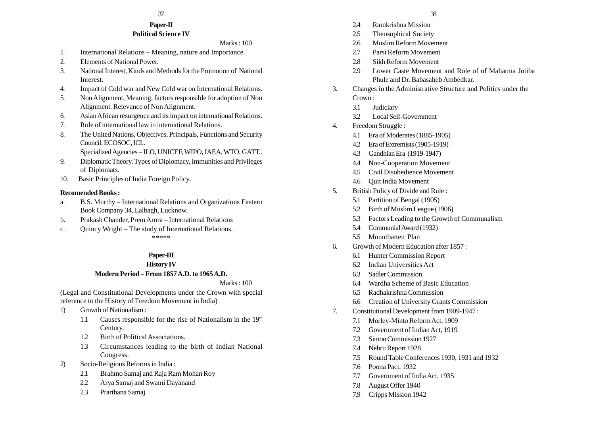#### **Paper-II Political Science IV**

#### Marks : 100

- 1. International Relations Meaning, nature and Importance.
- 2. Elements of National Power.
- 3. National Interest, Kinds and Methods for the Promotion of National Interest.
- 4. Impact of Cold war and New Cold war on International Relations.
- 5. Non Alignment, Meaning, factors responsible for adoption of Non Alignment. Relevance of Non Alignment.
- 6. Asian African resurgence and its impact on international Relations.
- 7. Role of international law in international Relations.
- 8. The United Nations, Objectives, Principals, Functions and Security Council, ECOSOC, ICI..
	- Specialized Agencies ILO, UNICEF, WIPO, IAEA, WTO, GATT..
- 9. Diplomatic Theory. Types of Diplomacy, Immunities and Privileges of Diplomats.
- 10. Basic Principles of India Foreign Policy.

#### **Recomended Books :**

- a. B.S. Murthy International Relations and Organizations Eastern Book Company 34, Lalbagh, Lucknow.
- b. Prakash Chander, Prem Arora International Relations
- c. Quincy Wright The study of International Relations.

\*\*\*\*\*

## **Paper-III**

## **History IV**

## **Modern Period – From 1857 A.D. to 1965 A.D.**

#### Marks : 100

(Legal and Constitutional Developments under the Crown with special reference to the History of Freedom Movement in India)

- 1) Growth of Nationalism :
	- 1.1 Causes responsible for the rise of Nationalism in the  $19<sup>th</sup>$ Century.
	- 1.2 Birth of Political Associations.
	- 1.3 Circumstances leading to the birth of Indian National Congress.
- 2) Socio-Religious Reforms in India :
	- 2.1 Brahmo Samaj and Raja Ram Mohan Roy
	- 2.2 Arya Samaj and Swami Dayanand
	- 2.3 Prarthana Samaj
- 2.4 Ramkrishna Mission
- 2.5 Theosophical Society
- 2.6 Muslim Reform Movement
- 2.7 Parsi Reform Movement
- 2.8 Sikh Reform Movement
- 2.9 Lower Caste Movement and Role of of Mahatma Jotiba Phule and Dr. Babasaheb Ambedkar.
- 3. Changes in the Administrative Structure and Politics under the Crown :
	- 3.1 Judiciary
	- 3.2 Local Self-Government
- 4. Freedom Struggle :
	- 4.1 Era of Moderates (1885-1905)
	- 4.2 Era of Extremists (1905-1919)
	- 4.3 Gandhian Era (1919-1947)
	- 4.4 Non-Cooperation Movement
	- 4.5 Civil Disobedience Movement
	- 4.6 Quit India Movement
- 5. British Policy of Divide and Rule :
	- 5.1 Partition of Bengal (1905)
	- 5.2 Birth of Muslim League (1906)
	- 5.3 Factors Leading to the Growth of Communalism
	- 5.4 Communial Award (1932)
	- 5.5 Mountbatten Plan
- 6. Growth of Modern Education after 1857 :
	- 6.1 Hunter Commission Report
	- 6.2 Indian Universities Act
	- 6.3 Sadler Commission
	- 6.4 Wardha Scheme of Basic Education
	- 6.5 Radhakrishna Commission
	- 6.6 Creation of University Grants Commission
- 7. Constitutional Development from 1909-1947 :
	- 7.1 Morley-Minto Reform Act, 1909
	- 7.2 Government of Indian Act, 1919
	- 7.3 Simon Commission 1927
	- 7.4 Nehru Report 1928
	- 7.5 Round Table Conferences 1930, 1931 and 1932
	- 7.6 Poona Pact, 1932
	- 7.7 Government of India Act, 1935
	- 7.8 August Offer 1940
	- 7.9 Cripps Mission 1942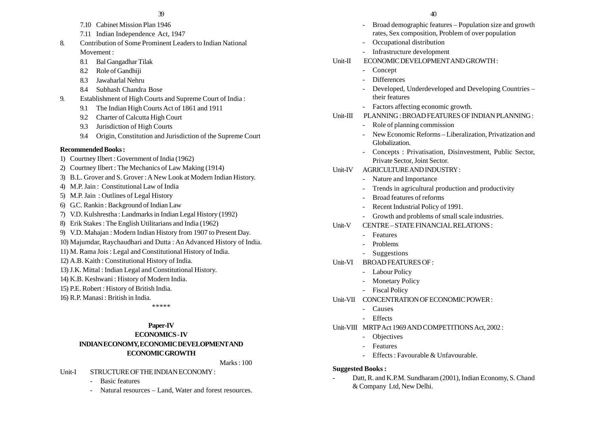- 7.10 Cabinet Mission Plan 1946
- 7.11 Indian Independence Act, 1947
- 8. Contribution of Some Prominent Leaders to Indian National Movement :
	- 8.1 Bal Gangadhar Tilak
	- 8.2 Role of Gandhiji
	- 8.3 Jawaharlal Nehru
	- 8.4 Subhash Chandra Bose
- 9. Establishment of High Courts and Supreme Court of India :
	- 9.1 The Indian High Courts Act of 1861 and 1911
	- 9.2 Charter of Calcutta High Court
	- 9.3 Jurisdiction of High Courts
	- 9.4 Origin, Constitution and Jurisdiction of the Supreme Court

## **Recommended Books :**

- 1) Courtney Ilbert : Government of India (1962)
- 2) Courtney Ilbert : The Mechanics of Law Making (1914)
- 3) B.L. Grover and S. Grover : A New Look at Modern Indian History.
- 4) M.P. Jain : Constitutional Law of India
- 5) M.P. Jain : Outlines of Legal History
- 6) G.C. Rankin : Background of Indian Law
- 7) V.D. Kulshrestha : Landmarks in Indian Legal History (1992)
- 8) Erik Stakes : The English Utilitarians and India (1962)
- 9) V.D. Mahajan : Modern Indian History from 1907 to Present Day.
- 10) Majumdar, Raychaudhari and Dutta : An Advanced History of India.
- 11) M. Rama Jois : Legal and Constitutional History of India.
- 12) A.B. Kaith : Constitutional History of India.
- 13) J.K. Mittal : Indian Legal and Constitutional History.
- 14) K.B. Keshwani : History of Modern India.
- 15) P.E. Robert : History of British India.
- 16) R.P. Manasi : British in India.

\*\*\*\*\*

## **Paper-IV**

## **ECONOMICS - IV**

# **INDIAN ECONOMY, ECONOMIC DEVELOPMENT AND ECONOMIC GROWTH**

Marks : 100

## Unit-I STRUCTURE OF THE INDIAN ECONOMY :

- -Basic features
- -Natural resources – Land, Water and forest resources.

- Broad demographic features Population size and growth rates, Sex composition, Problem of over population
- Occupational distribution
- Infrastructure development
- Unit-II ECONOMIC DEVELOPMENT AND GROWTH :
	- Concept
	- **Differences**
	- Developed, Underdeveloped and Developing Countries their features
	- Factors affecting economic growth.

## Unit-III PLANNING : BROAD FEATURES OF INDIAN PLANNING :

- Role of planning commission
- New Economic Reforms Liberalization, Privatization and Globalization.
- Concepts : Privatisation, Disinvestment, Public Sector, Private Sector, Joint Sector.

## Unit-IV AGRICULTURE AND INDUSTRY :

- Nature and Importance
- Trends in agricultural production and productivity
- Broad features of reforms
- -Recent Industrial Policy of 1991.
- Growth and problems of small scale industries.
- Unit-V CENTRE STATE FINANCIAL RELATIONS :
	- Features
	- Problems
	- Suggestions
- Unit-VI BROAD FEATURES OF :
	- Labour Policy
	- Monetary Policy
	- Fiscal Policy
- Unit-VII CONCENTRATION OF ECONOMIC POWER :
	- Causes
	- Effects
- Unit-VIII MRTP Act 1969 AND COMPETITIONS Act, 2002 :
	- Objectives
	- Features
	- Effects : Favourable & Unfavourable.

## **Suggested Books :**

 Datt, R. and K.P.M. Sundharam (2001), Indian Economy, S. Chand & Company Ltd, New Delhi.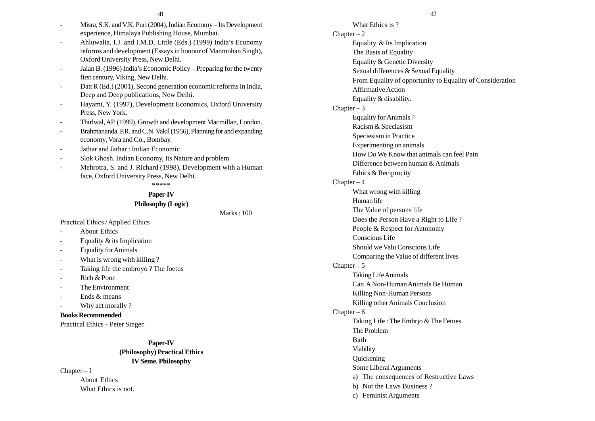- Misra, S.K. and V.K. Puri (2004), Indian Economy Its Development experience, Himalaya Publishing House, Mumbai.
- Ahluwalia, I.J. and I.M.D. Little (Eds.) (1999) India's Economy reforms and development (Essays in honour of Manmohan Singh), Oxford University Press, New Delhi.
- - Jalan B. (1996) India's Economic Policy – Preparing for the twenty first century, Viking, New Delhi.
- - Datt R (Ed.) (2001), Second generation economic reforms in India, Deep and Deep publications, New Delhi.
- Hayami, Y. (1997), Development Economics, Oxford University Press, New York.
- Thirlwal, AP. (1999), Growth and development Macmillan, London.
- - Brahmananda. P.R. and C.N. Vakil (1956), Planning for and expanding economy, Vora and Co., Bombay.
- Jathar and Jathar : Indian Economic
- Slok Ghosh. Indian Economy, Its Nature and problem
- Mehrotra, S. and J. Richard (1998), Development with a Human face, Oxford University Press, New Delhi.

\*\*\*\*\*

# **Paper-IV**

## **Philosophy (Logic)**

Marks : 100

Practical Ethics / Applied Ethics

- About Ethics
- Equality & its Implication
- -Equality for Animals
- -What is wrong with killing ?
- Taking life the embroyo ? The foetus
- Rich & Poor
- The Environment
- Ends & means
- Why act morally ?

**Books Recommended**

Practical Ethics – Peter Singer.

## **Paper-IV (Philosophy) Practical Ethics IV Seme. Philosophy**

 $Chapter - I$ 

About Ethics What Ethics is not.

## $41$   $42$

What Ethics is ?  $Chapter - 2$ Equality & Its Implication The Basis of Equality Equality & Genetic Diversity Sexual differences & Sexual Equality From Equality of opportunity to Equality of Consideration Affirmative Action Equality & disability. Chapter  $-3$ Equality for Animals ? Racism & Speciasism Speciesism in Practice Experimenting on animals How Do We Know that animals can feel Pain Difference between human & Animals Ethics & Reciprocity  $Chapter - 4$ What wrong with killing Human life The Value of persons life Does the Person Have a Right to Life ? People & Respect for Autonomy Conscious Life Should we Valu Conscious Life Comparing the Value of different lives  $Chapter - 5$ Taking Life Animals Can A Non-Human Animals Be Human Killing Non-Human Persons Killing other Animals Conclusion  $Chapter - 6$ Taking Life : The Embrjo & The Fetues The Problem Birth Viability Quickening Some Liberal Arguments a) The consequences of Restructive Laws b) Not the Laws Business ?

c) Feminist Arguments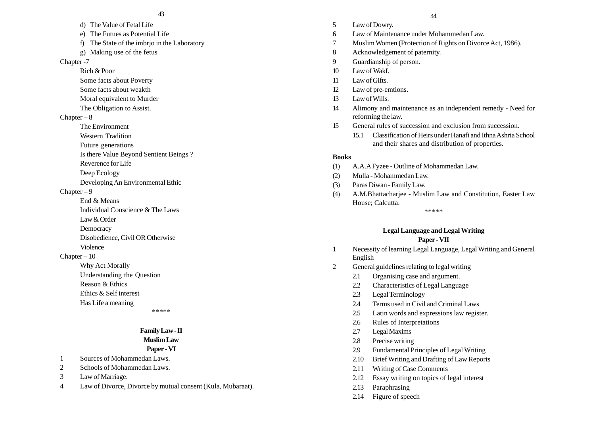- d) The Value of Fetal Life
- e) The Futues as Potential Life
- f) The State of the imbrjo in the Laboratory
- g) Making use of the fetus

#### Chapter -7

- Rich & Poor
- Some facts about Poverty
- Some facts about weakth
- Moral equivalent to Murder
- The Obligation to Assist.

#### $Chapter - 8$

- The Environment
- Western Tradition
- Future generations
- Is there Value Beyond Sentient Beings ?
- Reverence for Life
- Deep Ecology
- Developing An Environmental Ethic

#### $Chapter - 9$

- End & Means
- Individual Conscience & The Laws
- Law & Order
- **Democracy**
- Disobedience, Civil OR Otherwise
- Violence

## Chapter – 10

- Why Act Morally
- Understanding the Question
- Reason & Ethics
- Ethics & Self interest
- Has Life a meaning

\*\*\*\*\*

#### **Family Law - II Muslim Law**

# **Paper - VI**

- 1 Sources of Mohammedan Laws.
- 2 Schools of Mohammedan Laws.
- 3 Law of Marriage.
- 4 Law of Divorce, Divorce by mutual consent (Kula, Mubaraat).

#### 43 44

- 5 Law of Dowry.
- 6 Law of Maintenance under Mohammedan Law.
- 7 Muslim Women (Protection of Rights on Divorce Act, 1986).
- 8 Acknowledgement of paternity.
- 9 Guardianship of person.
- 10 Law of Wakf.
- 11 Law of Gifts.
- 12 Law of pre-emtions.
- 13 Law of Wills.
- 14 Alimony and maintenance as an independent remedy Need for reforming the law.
- 15 General rules of succession and exclusion from succession.
	- 15.1 Classification of Heirs under Hanafi and Ithna Ashria School and their shares and distribution of properties.

## **Books**

- (1) A.A.A Fyzee Outline of Mohammedan Law.
- (2) Mulla Mohammedan Law.
- (3) Paras Diwan Family Law.
- (4) A.M.Bhattacharjee Muslim Law and Constitution, Easter Law House; Calcutta.

\*\*\*\*\*

# **Legal Language and Legal Writing**

## **Paper - VII**

- 1 Necessity of learning Legal Language, Legal Writing and General English
- 2 General guidelines relating to legal writing
	- 2.1 Organising case and argument.
	- 2.2 Characteristics of Legal Language
	- 2.3 Legal Terminology
	- 2.4 Terms used in Civil and Criminal Laws
	- 2.5 Latin words and expressions law register.
	- 2.6 Rules of Interpretations
	- 2.7 Legal Maxims
	- 2.8 Precise writing
	- 2.9 Fundamental Principles of Legal Writing
	- 2.10 Brief Writing and Drafting of Law Reports
	- 2.11 Writing of Case Comments
	- 2.12 Essay writing on topics of legal interest
	- 2.13 Paraphrasing
	- 2.14 Figure of speech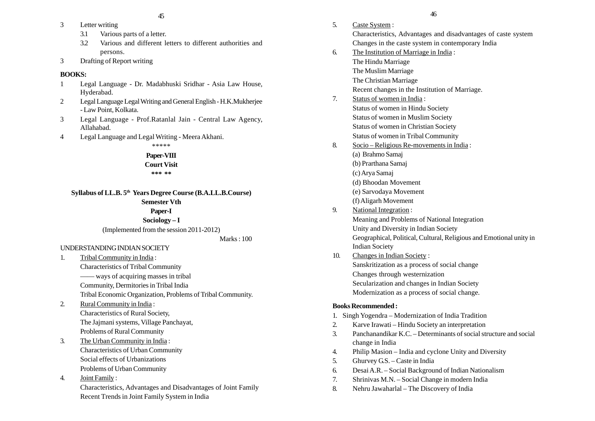- 3 Letter writing
	- 3.1 Various parts of a letter.
	- 3.2 Various and different letters to different authorities and persons.
- 3 Drafting of Report writing

## **BOOKS:**

- 1 Legal Language Dr. Madabhuski Sridhar Asia Law House, Hyderabad.
- 2 Legal Language Legal Writing and General English H.K.Mukherjee - Law Point, Kolkata.
- 3 Legal Language Prof.Ratanlal Jain Central Law Agency, Allahabad.
- 4 Legal Language and Legal Writing Meera Akhani.

\*\*\*\*\*

## **Paper-VIII**

**Court Visit \*\*\* \*\***

**Syllabus of LL.B. 5th Years Degree Course (B.A.LL.B.Course) Semester Vth**

## **Paper-I**

## **Sociology – I**

(Implemented from the session 2011-2012)

## Marks : 100

## UNDERSTANDING INDIAN SOCIETY

- 1. Tribal Community in India : Characteristics of Tribal Community —— ways of acquiring masses in tribal Community, Dermitories in Tribal India Tribal Economic Organization, Problems of Tribal Community. 2. Rural Community in India : Characteristics of Rural Society, The Jajmani systems, Village Panchayat,
- Problems of Rural Community 3. The Urban Community in India :
- Characteristics of Urban Community Social effects of Urbanizations Problems of Urban Community
- 4. Joint Family :

Characteristics, Advantages and Disadvantages of Joint Family Recent Trends in Joint Family System in India

5. Caste System : Characteristics, Advantages and disadvantages of caste system Changes in the caste system in contemporary India 6. The Institution of Marriage in India : The Hindu Marriage The Muslim Marriage The Christian Marriage Recent changes in the Institution of Marriage. 7. Status of women in India : Status of women in Hindu Society Status of women in Muslim Society Status of women in Christian Society Status of women in Tribal Community 8. Socio – Religious Re-movements in India : (a) Brahmo Samaj (b) Prarthana Samaj (c) Arya Samaj (d) Bhoodan Movement (e) Sarvodaya Movement (f) Aligarh Movement 9. National Integration : Meaning and Problems of National Integration Unity and Diversity in Indian Society Geographical, Political, Cultural, Religious and Emotional unity in Indian Society 10. Changes in Indian Society : Sanskritization as a process of social change Changes through westernization Secularization and changes in Indian Society Modernization as a process of social change. **Books Recommended :** 1. Singh Yogendra – Modernization of India Tradition 2. Karve Irawati – Hindu Society an interpretation 3. Panchanandikar K.C. – Determinants of social structure and social change in India 4. Philip Masion – India and cyclone Unity and Diversity 5. Ghurvey G.S. – Caste in India 6. Desai A.R. – Social Background of Indian Nationalism 7. Shrinivas M.N. – Social Change in modern India 8. Nehru Jawaharlal – The Discovery of India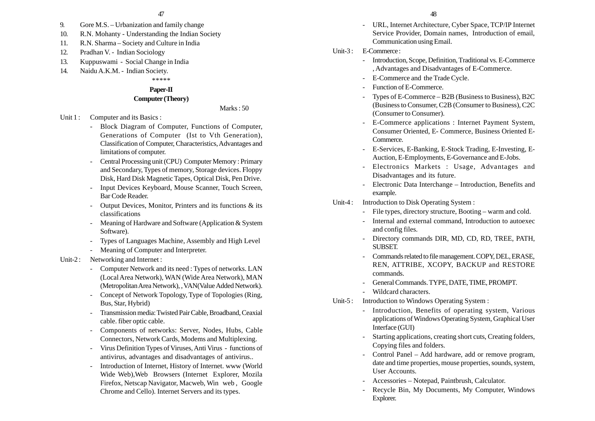- 9. Gore M.S. Urbanization and family change
- 10. R.N. Mohanty Understanding the Indian Society
- 11. R.N. Sharma Society and Culture in India
- 12. Pradhan V. Indian Sociology
- 13. Kuppuswami Social Change in India
- 14. Naidu A.K.M. Indian Society.

## \*\*\*\*\*

## **Paper-II**

## **Computer (Theory)**

Marks  $\cdot$  50

Unit 1 : Computer and its Basics :

- Block Diagram of Computer, Functions of Computer, Generations of Computer (Ist to Vth Generation), Classification of Computer, Characteristics, Advantages and limitations of computer.
- Central Processing unit (CPU) Computer Memory : Primary and Secondary, Types of memory, Storage devices. Floppy Disk, Hard Disk Magnetic Tapes, Optical Disk, Pen Drive.
- - Input Devices Keyboard, Mouse Scanner, Touch Screen, Bar Code Reader.
- Output Devices, Monitor, Printers and its functions & its classifications
- - Meaning of Hardware and Software (Application & System Software).
- Types of Languages Machine, Assembly and High Level
- -Meaning of Computer and Interpreter.

#### Unit-2: Networking and Internet :

- Computer Network and its need : Types of networks. LAN (Local Area Network), WAN (Wide Area Network), MAN (Metropolitan Area Network), , VAN(Value Added Network).
- - Concept of Network Topology, Type of Topologies (Ring, Bus, Star, Hybrid)
- - Transmission media: Twisted Pair Cable, Broadband, Ceaxial cable. fiber optic cable.
- - Components of networks: Server, Nodes, Hubs, Cable Connectors, Network Cards, Modems and Multiplexing.
- Virus Definition Types of Viruses, Anti Virus functions of antivirus, advantages and disadvantages of antivirus..
- Introduction of Internet, History of Internet. www (World Wide Web),Web Browsers (Internet Explorer, Mozila Firefox, Netscap Navigator, Macweb, Win web , Google Chrome and Cello). Internet Servers and its types.

- URL, Internet Architecture, Cyber Space, TCP/IP Internet Service Provider, Domain names, Introduction of email, Communication using Email.

#### Unit-3 : E-Commerce :

- Introduction, Scope, Definition, Traditional vs. E-Commerce , Advantages and Disadvantages of E-Commerce.
- -E-Commerce and the Trade Cycle.
- Function of E-Commerce.
- Types of E-Commerce B2B (Business to Business), B2C (Business to Consumer, C2B (Consumer to Business), C2C (Consumer to Consumer).
- E-Commerce applications : Internet Payment System, Consumer Oriented, E- Commerce, Business Oriented E-Commerce.
- E-Services, E-Banking, E-Stock Trading, E-Investing, E-Auction, E-Employments, E-Governance and E-Jobs.
- Electronics Markets : Usage, Advantages and Disadvantages and its future.
- Electronic Data Interchange Introduction, Benefits and example.
- Unit-4 : Introduction to Disk Operating System :
	- File types, directory structure, Booting warm and cold.
	- Internal and external command, Introduction to autoexec and config files.
	- Directory commands DIR, MD, CD, RD, TREE, PATH, SUBSET.
	- Commands related to file management. COPY, DEL, ERASE, REN, ATTRIBE, XCOPY, BACKUP and RESTORE commands.
	- General Commands. TYPE, DATE, TIME, PROMPT.
	- Wildcard characters.
- Unit-5 : Introduction to Windows Operating System :
	- Introduction, Benefits of operating system, Various applications of Windows Operating System, Graphical User Interface (GUI)
	- Starting applications, creating short cuts, Creating folders, Copying files and folders.
	- Control Panel Add hardware, add or remove program, date and time properties, mouse properties, sounds, system, User Accounts.
	- Accessories Notepad, Paintbrush, Calculator.
	- Recycle Bin, My Documents, My Computer, Windows Explorer.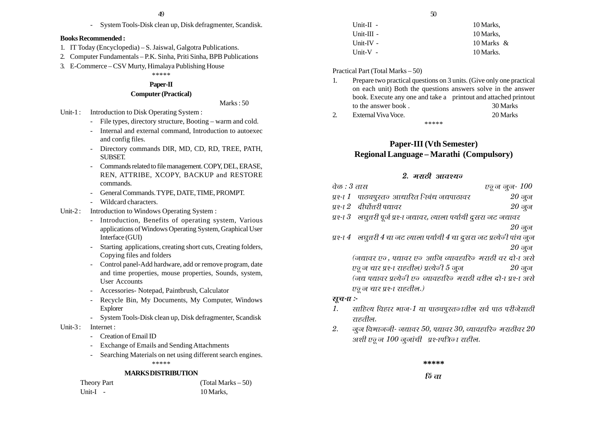- System Tools-Disk clean up, Disk defragmenter, Scandisk.

#### **Books Recommended :**

- 1. IT Today (Encyclopedia) S. Jaiswal, Galgotra Publications.
- 2. Computer Fundamentals P.K. Sinha, Priti Sinha, BPB Publications
- 3. E-Commerce CSV Murty, Himalaya Publishing House

#### \*\*\*\*\***Paper-II**

# **Computer (Practical)**

Marks : 50

- Unit-1 : Introduction to Disk Operating System :
	- File types, directory structure, Booting warm and cold.
	- Internal and external command, Introduction to autoexec and config files.
	- Directory commands DIR, MD, CD, RD, TREE, PATH, SUBSET.
	- - Commands related to file management. COPY, DEL, ERASE, REN, ATTRIBE, XCOPY, BACKUP and RESTORE commands.
	- General Commands. TYPE, DATE, TIME, PROMPT.
	- -Wildcard characters.
- Unit-2 : Introduction to Windows Operating System :
	- - Introduction, Benefits of operating system, Various applications of Windows Operating System, Graphical User Interface (GUI)
	- Starting applications, creating short cuts, Creating folders, Copying files and folders
	- Control panel-Add hardware, add or remove program, date and time properties, mouse properties, Sounds, system, User Accounts
	- Accessories- Notepad, Paintbrush, Calculator
	- Recycle Bin, My Documents, My Computer, Windows Explorer
	- -System Tools-Disk clean up, Disk defragmenter, Scandisk
- Unit-3: Internet :
	- -Creation of Email ID
	- Exchange of Emails and Sending Attachments
	- Searching Materials on net using different search engines. \*\*\*\*\*

#### **MARKS DISTRIBUTION**

| <b>Theory Part</b> | (Total Marks $-50$ ) |
|--------------------|----------------------|
| Unit- $I -$        | 10 Marks,            |

| $Unit-II -$  | 10 Marks.  |
|--------------|------------|
| $Unit-III -$ | 10 Marks.  |
| Unit-IV $-$  | 10 Marks & |
| Unit- $V -$  | 10 Marks.  |

#### Practical Part (Total Marks – 50)

- 1. Prepare two practical questions on 3 units. (Give only one practical on each unit) Both the questions answers solve in the answer book. Execute any one and take a printout and attached printout to the answer book . 30 Marks
- 2. External Viva Voce. 20 Marks \*\*\*\*\*

## **Paper-III (Vth Semester) Regional Language – Marathi (Compulsory)**

## <u>2. मराठी आवश्यन</u>

| वेळ : 3 तास                                      | एजू ज जुज- $100\,$ |
|--------------------------------------------------|--------------------|
| प्रश्ना 1 - पाठ्यपुस्तज् आधारित निबंध जद्यपाठावर | $20$ जून           |
| प्रश्ना 2 दीर्घोत्तरी पद्यावर                    | $20$ जून           |

 $y$ १- $I$  $3$  लघूत्तरी पूर्ज प्र१-ा जद्यावर, त्याला पर्यायी दूसरा जट जद्यावर

 $20$  जून

 $y$ १- $I\ 4$  लघृत्तरी  $4$  चा जट त्याला पर्यायी  $4$  चा दूसरा जट प्रत्येजी पांच जुज  $20 \frac{1}{90}$ ज

(जद्यावर एन, पद्यावर एन आजि व्यावहारिन मराठी वर दो-ा असे  $\nu$ छू न चार प्रश्-ा राहतील) प्रत्येजी  $5$  जून  $20$  नून (जद्य पद्यावर प्रत्येजी एव व्यावहारिक मराठी वरील दो-ा पश्-ा असे एवू ज चार प्रश्न राहतील.)

## सूच-*त* :-

- 1.साहित्य विहार भाज-1 या पाठ्यपूरतज् ातील सर्व पाठ परीजेसाठी राहतील.
- 2.जूज विभाजजी- जद्यावर  $50$ , पद्यावर  $30$ , व्यावहारिज मराठीवर  $20$  $3$ ाशी एकू ज $100$  जूजांची प्रश्नापत्रिका राहील.

**\*\*\*\*\***

**िं ता**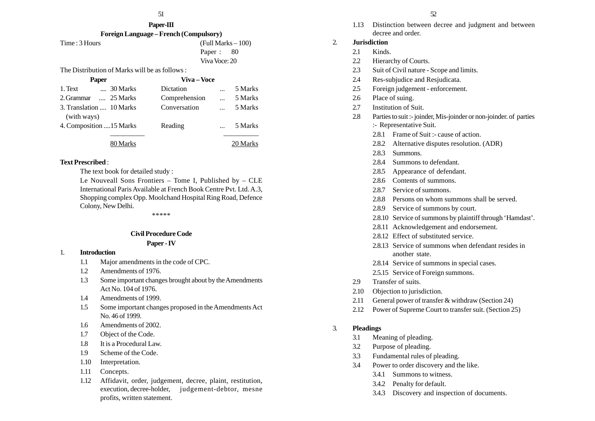# **Paper-III**

| Foreign Language – French (Compulsory) |  |
|----------------------------------------|--|
|                                        |  |

Time : 3 Hours (Full Marks – 100) Paper : 80 Viva Voce: 20

The Distribution of Marks will be as follows :

| <b>Paper</b>                 | Viva – Voce   |            |          |
|------------------------------|---------------|------------|----------|
| 1. Text<br>$\ldots$ 30 Marks | Dictation     | $\ddotsc$  | 5 Marks  |
| 2. Grammar  25 Marks         | Comprehension | $\dddotsc$ | 5 Marks  |
| 3. Translation  10 Marks     | Conversation  |            | 5 Marks  |
| (with ways)                  |               |            |          |
| 4. Composition  15 Marks     | Reading       |            | 5 Marks  |
|                              |               |            |          |
| 80 Marks                     |               |            | 20 Marks |

#### **Text Prescribed** :

The text book for detailed study :

Le Nouveall Sons Frontiers – Tome I, Published by – CLE International Paris Available at French Book Centre Pvt. Ltd. A.3, Shopping complex Opp. Moolchand Hospital Ring Road, Defence Colony, New Delhi.

\*\*\*\*\*

## **Civil Procedure Code**

#### **Paper - IV**

#### 1. **Introduction**

- 1.1 Major amendments in the code of CPC.
- 1.2 Amendments of 1976.
- 1.3 Some important changes brought about by the Amendments Act No. 104 of 1976.
- 1.4 Amendments of 1999.
- 1.5 Some important changes proposed in the Amendments Act No. 46 of 1999.
- 1.6 Amendments of 2002.
- 1.7 Object of the Code.
- 1.8 It is a Procedural Law.
- 1.9 Scheme of the Code.
- 1.10 Interpretation.
- 1.11 Concepts.
- 1.12 Affidavit, order, judgement, decree, plaint, restitution, execution, decree-holder, judgement-debtor, mesne profits, written statement.

1.13 Distinction between decree and judgment and between decree and order.

## 2. **Jurisdiction**

- 2.1 Kinds
- 2.2 Hierarchy of Courts.
- 2.3 Suit of Civil nature Scope and limits.
- 2.4 Res-subjudice and Resjudicata.
- 2.5 Foreign judgement enforcement.
- 2.6 Place of suing.
- 2.7 Institution of Suit.
- 2.8 Parties to suit :- joinder, Mis-joinder or non-joinder. of parties :- Representative Suit.
	- 2.8.1 Frame of Suit :- cause of action.
	- 2.8.2 Alternative disputes resolution. (ADR)
	- 2.8.3 Summons.
	- 2.8.4 Summons to defendant.
	- 2.8.5 Appearance of defendant.
	- 2.8.6 Contents of summons.
	- 2.8.7 Service of summons.
	- 2.8.8 Persons on whom summons shall be served.
	- 2.8.9 Service of summons by court.
	- 2.8.10 Service of summons by plaintiff through 'Hamdast'.
	- 2.8.11 Acknowledgement and endorsement.
	- 2.8.12 Effect of substituted service.
	- 2.8.13 Service of summons when defendant resides in another state.
	- 2.8.14 Service of summons in special cases.
	- 2.5.15 Service of Foreign summons.
- 2.9 Transfer of suits.
- 2.10 Objection to jurisdiction.
- 2.11 General power of transfer & withdraw (Section 24)
- 2.12 Power of Supreme Court to transfer suit. (Section 25)

## 3. **Pleadings**

- 3.1 Meaning of pleading.
- 3.2 Purpose of pleading.
- 3.3 Fundamental rules of pleading.
- 3.4 Power to order discovery and the like.
	- 3.4.1 Summons to witness.
	- 3.4.2 Penalty for default.
	- 3.4.3 Discovery and inspection of documents.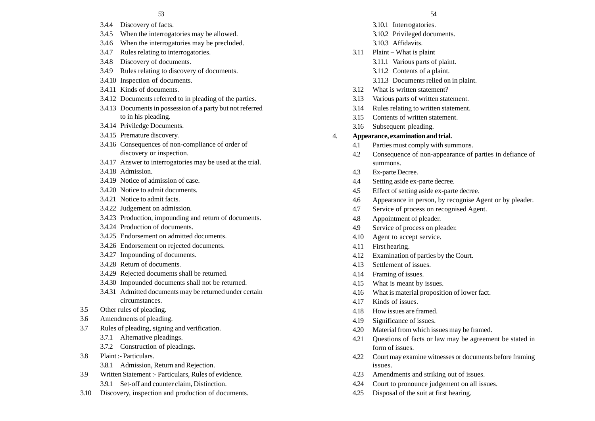#### 53 54

- 3.4.4 Discovery of facts.
- 3.4.5 When the interrogatories may be allowed.
- 3.4.6 When the interrogatories may be precluded.
- 3.4.7 Rules relating to interrogatories.
- 3.4.8 Discovery of documents.
- 3.4.9 Rules relating to discovery of documents.
- 3.4.10 Inspection of documents.
- 3.4.11 Kinds of documents.
- 3.4.12 Documents referred to in pleading of the parties.
- 3.4.13 Documents in possession of a party but not referred to in his pleading.
- 3.4.14 Priviledge Documents.
- 3.4.15 Premature discovery.
- 3.4.16 Consequences of non-compliance of order of discovery or inspection.
- 3.4.17 Answer to interrogatories may be used at the trial.
- 3.4.18 Admission.
- 3.4.19 Notice of admission of case.
- 3.4.20 Notice to admit documents.
- 3.4.21 Notice to admit facts.
- 3.4.22 Judgement on admission.
- 3.4.23 Production, impounding and return of documents.
- 3.4.24 Production of documents.
- 3.4.25 Endorsement on admitted documents.
- 3.4.26 Endorsement on rejected documents.
- 3.4.27 Impounding of documents.
- 3.4.28 Return of documents.
- 3.4.29 Rejected documents shall be returned.
- 3.4.30 Impounded documents shall not be returned.
- 3.4.31 Admitted documents may be returned under certain circumstances.
- 3.5 Other rules of pleading.
- 3.6 Amendments of pleading.
- 3.7 Rules of pleading, signing and verification.
	- 3.7.1 Alternative pleadings.
	- 3.7.2 Construction of pleadings.
- 3.8 Plaint :- Particulars.
	- 3.8.1 Admission, Return and Rejection.
- 3.9 Written Statement :- Particulars, Rules of evidence. 3.9.1 Set-off and counter claim, Distinction.
- 3.10 Discovery, inspection and production of documents.
- 3.10.1 Interrogatories.
- 3.10.2 Privileged documents.
- 3.10.3 Affidavits.
- 3.11 Plaint What is plaint
	- 3.11.1 Various parts of plaint.
	- 3.11.2 Contents of a plaint.
	- 3.11.3 Documents relied on in plaint.
- 3.12 What is written statement?
- 3.13 Various parts of written statement.
- 3.14 Rules relating to written statement.
- 3.15 Contents of written statement.
- 3.16 Subsequent pleading.
- 4. **Appearance, examination and trial.**
	- 4.1 Parties must comply with summons.
	- 4.2 Consequence of non-appearance of parties in defiance of summons.
	- 4.3 Ex-parte Decree.
	- 4.4 Setting aside ex-parte decree.
	- 4.5 Effect of setting aside ex-parte decree.
	- 4.6 Appearance in person, by recognise Agent or by pleader.
	- 4.7 Service of process on recognised Agent.
	- 4.8 Appointment of pleader.
	- 4.9 Service of process on pleader.
	- 4.10 Agent to accept service.
	- 4.11 First hearing.
	- 4.12 Examination of parties by the Court.
	- 4.13 Settlement of issues.
	- 4.14 Framing of issues.
	- 4.15 What is meant by issues.
	- 4.16 What is material proposition of lower fact.
	- 4.17 Kinds of issues.
	- 4.18 How issues are framed.
	- 4.19 Significance of issues.
	- 4.20 Material from which issues may be framed.
	- 4.21 Questions of facts or law may be agreement be stated in form of issues.
	- 4.22 Court may examine witnesses or documents before framing issues.
	- 4.23 Amendments and striking out of issues.
	- 4.24 Court to pronounce judgement on all issues.
	- 4.25 Disposal of the suit at first hearing.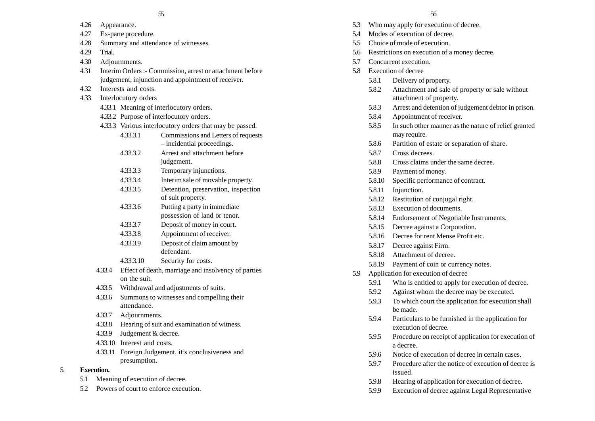| 4.26 | Appearance. |
|------|-------------|
|------|-------------|

- 4.27 Ex-parte procedure.
- 4.28 Summary and attendance of witnesses.
- 4.29 Trial.
- 4.30 Adjournments.
- 4.31 Interim Orders :- Commission, arrest or attachment before judgement, injunction and appointment of receiver.
- 4.32 Interests and costs.
- 4.33 Interlocutory orders
	- 4.33.1 Meaning of interlocutory orders.
	- 4.33.2 Purpose of interlocutory orders.
	- 4.33.3 Various interlocutory orders that may be passed.
		- 4.33.3.1 Commissions and Letters of requests – incidential proceedings.
		- 4.33.3.2 Arrest and attachment before judgement.
		- 4.33.3.3 Temporary injunctions.
		- 4.33.3.4 Interim sale of movable property.
		- 4.33.3.5 Detention, preservation, inspection of suit property.
		- 4.33.3.6 Putting a party in immediate possession of land or tenor.
		- 4.33.3.7 Deposit of money in court.
		- 4.33.3.8 Appointment of receiver.
		- 4.33.3.9 Deposit of claim amount by defendant.
		- 4.33.3.10 Security for costs.
	- 4.33.4 Effect of death, marriage and insolvency of parties on the suit.
	- 4.33.5 Withdrawal and adjustments of suits.
	- 4.33.6 Summons to witnesses and compelling their attendance.
	- 4.33.7 Adjournments.
	- 4.33.8 Hearing of suit and examination of witness.
	- 4.33.9 Judgement & decree.
	- 4.33.10 Interest and costs.
	- 4.33.11 Foreign Judgement, it's conclusiveness and presumption.

## 5. **Execution.**

- 5.1 Meaning of execution of decree.
- 5.2 Powers of court to enforce execution.
- 5.3 Who may apply for execution of decree.
- 5.4 Modes of execution of decree.
- 5.5 Choice of mode of execution.
- 5.6 Restrictions on execution of a money decree.
- 5.7 Concurrent execution.
- 5.8 Execution of decree
	- 5.8.1 Delivery of property.
	- 5.8.2 Attachment and sale of property or sale without attachment of property.
	- 5.8.3 Arrest and detention of judgement debtor in prison.
	- 5.8.4 Appointment of receiver.
	- 5.8.5 In such other manner as the nature of relief granted may require.
	- 5.8.6 Partition of estate or separation of share.
	- 5.8.7 Cross decrees.
	- 5.8.8 Cross claims under the same decree.
	- 5.8.9 Payment of money.
	- 5.8.10 Specific performance of contract.
	- 5.8.11 Injunction.
	- 5.8.12 Restitution of conjugal right.
	- 5.8.13 Execution of documents.
	- 5.8.14 Endorsement of Negotiable Instruments.
	- 5.8.15 Decree against a Corporation.
	- 5.8.16 Decree for rent Mense Profit etc.
	- 5.8.17 Decree against Firm.
	- 5.8.18 Attachment of decree.
	- 5.8.19 Payment of coin or currency notes.
- 5.9 Application for execution of decree
	- 5.9.1 Who is entitled to apply for execution of decree.
	- 5.9.2 Against whom the decree may be executed.
	- 5.9.3 To which court the application for execution shall be made.
	- 5.9.4 Particulars to be furnished in the application for execution of decree.
	- 5.9.5 Procedure on receipt of application for execution of a decree.
	- 5.9.6 Notice of execution of decree in certain cases.
	- 5.9.7 Procedure after the notice of execution of decree is issued.
	- 5.9.8 Hearing of application for execution of decree.
	- 5.9.9 Execution of decree against Legal Representative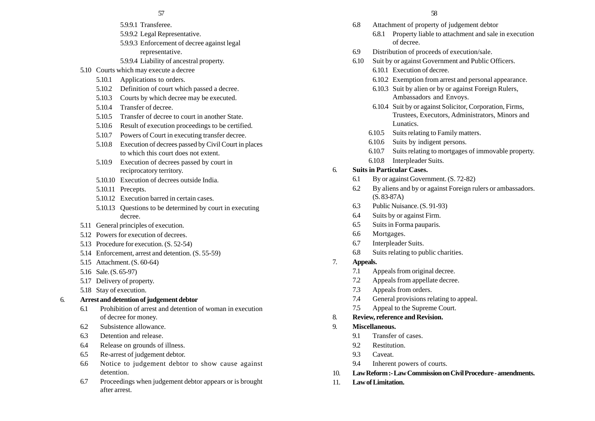#### 57 58

- 5.9.9.1 Transferee.
- 5.9.9.2 Legal Representative.
- 5.9.9.3 Enforcement of decree against legal representative.
- 5.9.9.4 Liability of ancestral property.
- 5.10 Courts which may execute a decree
	- 5.10.1 Applications to orders.
	- 5.10.2 Definition of court which passed a decree.
	- 5.10.3 Courts by which decree may be executed.
	- 5.10.4 Transfer of decree.
	- 5.10.5 Transfer of decree to court in another State.
	- 5.10.6 Result of execution proceedings to be certified.
	- 5.10.7 Powers of Court in executing transfer decree.
	- 5.10.8 Execution of decrees passed by Civil Court in places to which this court does not extent.
	- 5.10.9 Execution of decrees passed by court in reciprocatory territory.
	- 5.10.10 Execution of decrees outside India.
	- 5.10.11 Precepts.
	- 5.10.12 Execution barred in certain cases.
	- 5.10.13 Questions to be determined by court in executing decree.
- 5.11 General principles of execution.
- 5.12 Powers for execution of decrees.
- 5.13 Procedure for execution. (S. 52-54)
- 5.14 Enforcement, arrest and detention. (S. 55-59)
- 5.15 Attachment. (S. 60-64)
- 5.16 Sale. (S. 65-97)
- 5.17 Delivery of property.
- 5.18 Stay of execution.

#### 6. **Arrest and detention of judgement debtor**

- 6.1 Prohibition of arrest and detention of woman in execution of decree for money.
- 6.2 Subsistence allowance.
- 6.3 Detention and release.
- 6.4 Release on grounds of illness.
- 6.5 Re-arrest of judgement debtor.
- 6.6 Notice to judgement debtor to show cause against detention.
- 6.7 Proceedings when judgement debtor appears or is brought after arrest.
- 6.8 Attachment of property of judgement debtor
	- 6.8.1 Property liable to attachment and sale in execution of decree.
- 6.9 Distribution of proceeds of execution/sale.
- 6.10 Suit by or against Government and Public Officers.
	- 6.10.1 Execution of decree.
	- 6.10.2 Exemption from arrest and personal appearance.
	- 6.10.3 Suit by alien or by or against Foreign Rulers, Ambassadors and Envoys.
	- 6.10.4 Suit by or against Solicitor, Corporation, Firms, Trustees, Executors, Administrators, Minors and Lunatics.
	- 6.10.5 Suits relating to Family matters.
	- 6.10.6 Suits by indigent persons.
	- 6.10.7 Suits relating to mortgages of immovable property.
	- 6.10.8 Interpleader Suits.

#### 6. **Suits in Particular Cases.**

- 6.1 By or against Government. (S. 72-82)
- 6.2 By aliens and by or against Foreign rulers or ambassadors. (S. 83-87A)
- 6.3 Public Nuisance. (S. 91-93)
- 6.4 Suits by or against Firm.
- 6.5 Suits in Forma pauparis.
- 6.6 Mortgages.
- 6.7 Interpleader Suits.
- 6.8 Suits relating to public charities.
- 7. **Appeals.**
	- 7.1 Appeals from original decree.
	- 7.2 Appeals from appellate decree.
	- 7.3 Appeals from orders.
	- 7.4 General provisions relating to appeal.
	- 7.5 Appeal to the Supreme Court.

## 8. **Review, reference and Revision.**

- 9. **Miscellaneous.**
	- 9.1 Transfer of cases.
	- 9.2 Restitution.
	- 9.3 Caveat.
	- 9.4 Inherent powers of courts.
- 10. **Law Reform :- Law Commission on Civil Procedure amendments.**
- 11. **Law of Limitation.**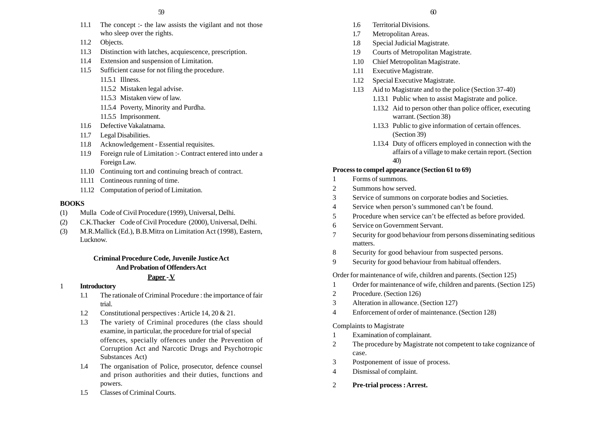- 11.1 The concept :- the law assists the vigilant and not those who sleep over the rights.
- 11.2 Objects.
- 11.3 Distinction with latches, acquiescence, prescription.
- 11.4 Extension and suspension of Limitation.
- 11.5 Sufficient cause for not filing the procedure.
	- 11.5.1 Illness.
	- 11.5.2 Mistaken legal advise.
	- 11.5.3 Mistaken view of law.
	- 11.5.4 Poverty, Minority and Purdha.
	- 11.5.5 Imprisonment.
- 11.6 Defective Vakalatnama.
- 11.7 Legal Disabilities.
- 11.8 Acknowledgement Essential requisites.
- 11.9 Foreign rule of Limitation :- Contract entered into under a Foreign Law.
- 11.10 Continuing tort and continuing breach of contract.
- 11.11 Contineous running of time.
- 11.12 Computation of period of Limitation.

#### **BOOKS**

- (1) Mulla Code of Civil Procedure (1999), Universal, Delhi.
- (2) C.K.Thacker Code of Civil Procedure (2000), Universal, Delhi.
- (3) M.R.Mallick (Ed.), B.B.Mitra on Limitation Act (1998), Eastern, Lucknow.

## **Criminal Procedure Code, Juvenile Justice Act And Probation of Offenders Act**

#### **Paper - V**

- 1 **Introductory**
	- 1.1 The rationale of Criminal Procedure : the importance of fair trial.
	- 1.2 Constitutional perspectives : Article 14, 20 & 21.
	- 1.3 The variety of Criminal procedures (the class should examine, in particular, the procedure for trial of special offences, specially offences under the Prevention of Corruption Act and Narcotic Drugs and Psychotropic Substances Act)
	- 1.4 The organisation of Police, prosecutor, defence counsel and prison authorities and their duties, functions and powers.
	- 1.5 Classes of Criminal Courts.
- 1.6 Territorial Divisions.
- 1.7 Metropolitan Areas.
- 1.8 Special Judicial Magistrate.
- 1.9 Courts of Metropolitan Magistrate.
- 1.10 Chief Metropolitan Magistrate.
- 1.11 Executive Magistrate.
- 1.12 Special Executive Magistrate.
- 1.13 Aid to Magistrate and to the police (Section 37-40)
	- 1.13.1 Public when to assist Magistrate and police.
	- 1.13.2 Aid to person other than police officer, executing warrant. (Section 38)
	- 1.13.3 Public to give information of certain offences. (Section 39)
	- 1.13.4 Duty of officers employed in connection with the affairs of a village to make certain report. (Section 40)

#### **Process to compel appearance (Section 61 to 69)**

- 1 Forms of summons.
- 2 Summons how served.
- 3 Service of summons on corporate bodies and Societies.
- 4 Service when person's summoned can't be found.
- 5 Procedure when service can't be effected as before provided.
- 6 Service on Government Servant.
- 7 Security for good behaviour from persons disseminating seditious matters.
- 8 Security for good behaviour from suspected persons.
- 9 Security for good behaviour from habitual offenders.

Order for maintenance of wife, children and parents. (Section 125)

- 1 Order for maintenance of wife, children and parents. (Section 125)
- 2 Procedure. (Section 126)
- 3 Alteration in allowance. (Section 127)
- 4 Enforcement of order of maintenance. (Section 128)

#### Complaints to Magistrate

- 1 Examination of complainant.
- 2 The procedure by Magistrate not competent to take cognizance of case.
- 3 Postponement of issue of process.
- 4 Dismissal of complaint.
- 2 **Pre-trial process : Arrest.**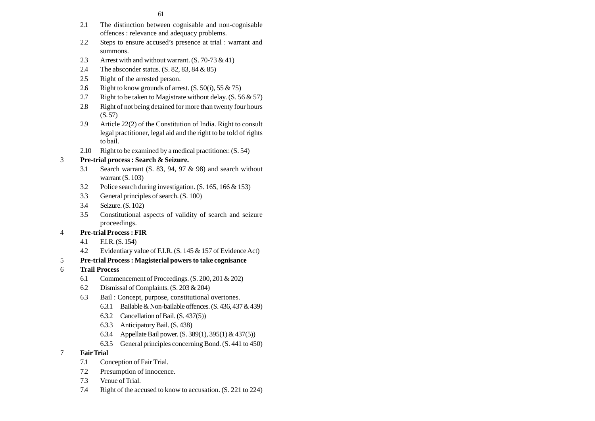61

- 2.1 The distinction between cognisable and non-cognisable offences : relevance and adequacy problems.
- 2.2 Steps to ensure accused's presence at trial : warrant and summons.
- 2.3 Arrest with and without warrant.  $(S. 70-73 \& 41)$
- 2.4 The absconder status. (S. 82, 83, 84 & 85)
- 2.5 Right of the arrested person.
- 2.6 Right to know grounds of arrest.  $(S. 50(i), 55 \& 75)$
- 2.7 Right to be taken to Magistrate without delay.  $(S. 56 \& 57)$
- 2.8 Right of not being detained for more than twenty four hours (S. 57)
- 2.9 Article 22(2) of the Constitution of India. Right to consult legal practitioner, legal aid and the right to be told of rights to bail.
- 2.10 Right to be examined by a medical practitioner. (S. 54)

## 3 **Pre-trial process : Search & Seizure.**

- 3.1 Search warrant (S. 83, 94, 97 & 98) and search without warrant  $(S. 103)$
- 3.2 Police search during investigation. (S. 165, 166 & 153)
- 3.3 General principles of search. (S. 100)
- 3.4 Seizure. (S. 102)
- 3.5 Constitutional aspects of validity of search and seizure proceedings.

## 4 **Pre-trial Process : FIR**

- 4.1 F.I.R. (S. 154)
- 4.2 Evidentiary value of F.I.R. (S. 145 & 157 of Evidence Act)

## 5 **Pre-trial Process : Magisterial powers to take cognisance**

- 6 **Trail Process**
	- 6.1 Commencement of Proceedings. (S. 200, 201 & 202)
	- 6.2 Dismissal of Complaints. (S. 203 & 204)
	- 6.3 Bail : Concept, purpose, constitutional overtones.
		- 6.3.1 Bailable & Non-bailable offences.  $(S. 436, 437 & 439)$
		- 6.3.2 Cancellation of Bail. (S. 437(5))
		- 6.3.3 Anticipatory Bail. (S. 438)
		- 6.3.4 Appellate Bail power. (S. 389(1), 395(1) & 437(5))
		- 6.3.5 General principles concerning Bond. (S. 441 to 450)
- 7 **Fair Trial**
	- 7.1 Conception of Fair Trial.
	- 7.2 Presumption of innocence.
	- 7.3 Venue of Trial.
	- 7.4 Right of the accused to know to accusation. (S. 221 to 224)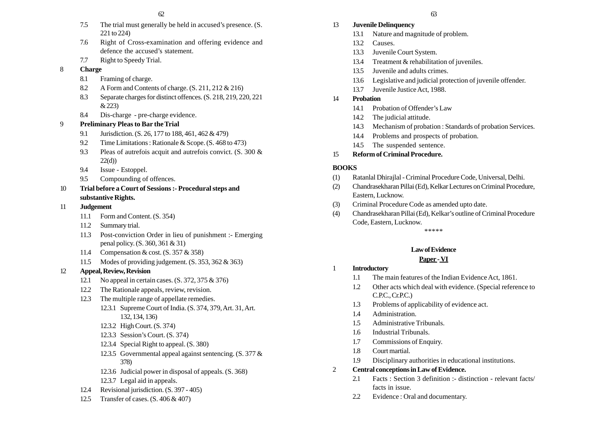- 7.5 The trial must generally be held in accused's presence. (S. 221 to 224)
- 7.6 Right of Cross-examination and offering evidence and defence the accused's statement.
- 7.7 Right to Speedy Trial.
- 8 **Charge**
	- 8.1 Framing of charge.
	- 8.2 A Form and Contents of charge. (S. 211, 212 & 216)
	- 8.3 Separate charges for distinct offences. (S. 218, 219, 220, 221 & 223)
	- 8.4 Dis-charge pre-charge evidence.

## 9 **Preliminary Pleas to Bar the Trial**

- 9.1 Jurisdiction. (S. 26, 177 to 188, 461, 462 & 479)
- 9.2 Time Limitations : Rationale & Scope. (S. 468 to 473)
- 9.3 Pleas of autrefois acquit and autrefois convict. (S. 300 &  $22(d)$
- 9.4 Issue Estoppel.
- 9.5 Compounding of offences.

## 10 **Trial before a Court of Sessions :- Procedural steps and substantive Rights.**

## 11 **Judgement**

- 11.1 Form and Content. (S. 354)
- 11.2 Summary trial.
- 11.3 Post-conviction Order in lieu of punishment :- Emerging penal policy. (S. 360, 361 & 31)
- 11.4 Compensation & cost. (S. 357 & 358)
- 11.5 Modes of providing judgement. (S. 353, 362 & 363)

## 12 **Appeal, Review, Revision**

- 12.1 No appeal in certain cases. (S. 372, 375 & 376)
- 12.2 The Rationale appeals, review, revision.
- 12.3 The multiple range of appellate remedies.
	- 12.3.1 Supreme Court of India. (S. 374, 379, Art. 31, Art. 132, 134, 136)
	- 12.3.2 High Court. (S. 374)
	- 12.3.3 Session's Court. (S. 374)
	- 12.3.4 Special Right to appeal. (S. 380)
	- 12.3.5 Governmental appeal against sentencing. (S. 377 & 378)
	- 12.3.6 Judicial power in disposal of appeals. (S. 368)
	- 12.3.7 Legal aid in appeals.
- 12.4 Revisional jurisdiction. (S. 397 405)
- 12.5 Transfer of cases. (S. 406 & 407)

## 13 **Juvenile Delinquency**

- 13.1 Nature and magnitude of problem.
- 13.2 Causes.
- 13.3 Juvenile Court System.
- 13.4 Treatment & rehabilitation of juveniles.
- 13.5 Juvenile and adults crimes.
- 13.6 Legislative and judicial protection of juvenile offender.
- 13.7 Juvenile Justice Act, 1988.
- 14 **Probation**
	- 14.1 Probation of Offender's Law
	- 14.2 The judicial attitude.
	- 14.3 Mechanism of probation : Standards of probation Services.
	- 14.4 Problems and prospects of probation.
	- 14.5 The suspended sentence.

## 15 **Reform of Criminal Procedure.**

## **BOOKS**

- (1) Ratanlal Dhirajlal Criminal Procedure Code, Universal, Delhi.
- (2) Chandrasekharan Pillai (Ed), Kelkar Lectures on Criminal Procedure, Eastern, Lucknow.
- (3) Criminal Procedure Code as amended upto date.
- (4) Chandrasekharan Pillai (Ed), Kelkar's outline of Criminal Procedure Code, Eastern, Lucknow.

\*\*\*\*\*

## **Law of Evidence**

## **Paper - VI**

- 1 **Introductory**
	- 1.1 The main features of the Indian Evidence Act, 1861.
	- 1.2 Other acts which deal with evidence. (Special reference to C.P.C., Cr.P.C.)
	- 1.3 Problems of applicability of evidence act.
	- 1.4 Administration.
	- 1.5 Administrative Tribunals.
	- 1.6 Industrial Tribunals.
	- 1.7 Commissions of Enquiry.
	- 1.8 Court martial.
	- 1.9 Disciplinary authorities in educational institutions.
- 2 **Central conceptions in Law of Evidence.**
	- 2.1 Facts : Section 3 definition :- distinction relevant facts/ facts in issue.
	- 2.2 Evidence : Oral and documentary.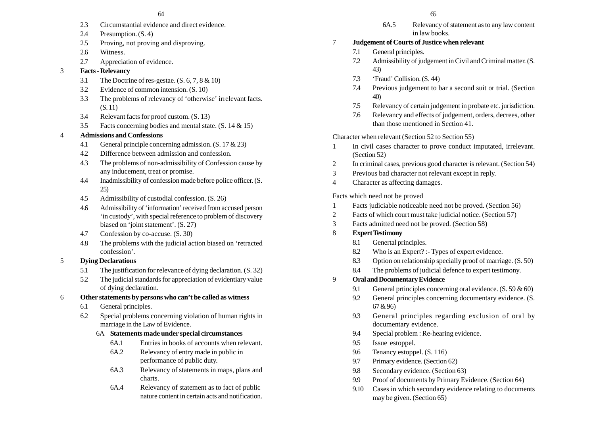- 2.3 Circumstantial evidence and direct evidence.
- 2.4 Presumption. (S. 4)
- 2.5 Proving, not proving and disproving.
- 2.6 Witness.
- 2.7 Appreciation of evidence.

## 3 **Facts - Relevancy**

- 3.1 The Doctrine of res-gestae. (S. 6, 7, 8 & 10)
- 3.2 Evidence of common intension. (S. 10)
- 3.3 The problems of relevancy of 'otherwise' irrelevant facts. (S. 11)
- 3.4 Relevant facts for proof custom. (S. 13)
- 3.5 Facts concerning bodies and mental state. (S. 14 & 15)

## 4 **Admissions and Confessions**

- 4.1 General principle concerning admission. (S. 17 & 23)
- 4.2 Difference between admission and confession.
- 4.3 The problems of non-admissibility of Confession cause by any inducement, treat or promise.
- 4.4 Inadmissibility of confession made before police officer. (S. 25)
- 4.5 Admissibility of custodial confession. (S. 26)
- 4.6 Admissibility of 'information' received from accused person 'in custody', with special reference to problem of discovery biased on 'joint statement'. (S. 27)
- 4.7 Confession by co-accuse. (S. 30)
- 4.8 The problems with the judicial action biased on 'retracted confession'.

## 5 **Dying Declarations**

- 5.1 The justification for relevance of dying declaration. (S. 32)
- 5.2 The judicial standards for appreciation of evidentiary value of dying declaration.

## 6 **Other statements by persons who can't be called as witness**

- 6.1 General principles.
- 6.2 Special problems concerning violation of human rights in marriage in the Law of Evidence.

## 6A **Statements made under special circumstances**

- 6A.1 Entries in books of accounts when relevant.
- 6A.2 Relevancy of entry made in public in performance of public duty.
- 6A.3 Relevancy of statements in maps, plans and charts.
- 6A.4 Relevancy of statement as to fact of public nature content in certain acts and notification.

6A.5 Relevancy of statement as to any law content in law books.

## 7 **Judgement of Courts of Justice when relevant**

- 7.1 General principles.
- 7.2 Admissibility of judgement in Civil and Criminal matter. (S. 43)
- 7.3 'Fraud' Collision. (S. 44)
- 7.4 Previous judgement to bar a second suit or trial. (Section 40)
- 7.5 Relevancy of certain judgement in probate etc. jurisdiction.
- 7.6 Relevancy and effects of judgement, orders, decrees, other than those mentioned in Section 41.

## Character when relevant (Section 52 to Section 55)

- 1 In civil cases character to prove conduct imputated, irrelevant. (Section 52)
- 2 In criminal cases, previous good character is relevant. (Section 54)
- 3 Previous bad character not relevant except in reply.
- 4 Character as affecting damages.

## Facts which need not be proved

- 1 Facts judiciable noticeable need not be proved. (Section 56)
- 2 Facts of which court must take judicial notice. (Section 57)
- 3 Facts admitted need not be proved. (Section 58)

## 8 **Expert Testimony**

- 8.1 Genertal principles.
- 8.2 Who is an Expert? :- Types of expert evidence.
- 8.3 Option on relationship specially proof of marriage. (S. 50)
- 8.4 The problems of judicial defence to expert testimony.

## 9 **Oral and Documentary Evidence**

- 9.1 General prtinciples concerning oral evidence. (S. 59 & 60)
- 9.2 General principles concerning documentary evidence. (S. 67 & 96)
- 9.3 General principles regarding exclusion of oral by documentary evidence.
- 9.4 Special problem : Re-hearing evidence.
- 9.5 Issue estoppel.
- 9.6 Tenancy estoppel. (S. 116)
- 9.7 Primary evidence. (Section 62)
- 9.8 Secondary evidence. (Section 63)
- 9.9 Proof of documents by Primary Evidence. (Section 64)
- 9.10 Cases in which secondary evidence relating to documents may be given. (Section 65)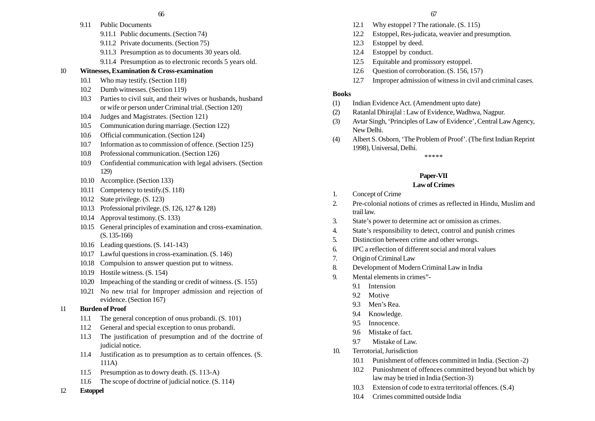- 9.11 Public Documents
	- 9.11.1 Public documents. (Section 74)
	- 9.11.2 Private documents. (Section 75)
	- 9.11.3 Presumption as to documents 30 years old.
	- 9.11.4 Presumption as to electronic records 5 years old.

## 10 **Witnesses, Examination & Cross-examination**

- 10.1 Who may testify. (Section 118)
- 10.2 Dumb witnesses. (Section 119)
- 10.3 Parties to civil suit, and their wives or husbands, husband or wife or person under Criminal trial. (Section 120)
- 10.4 Judges and Magistrates. (Section 121)
- 10.5 Communication during marriage. (Section 122)
- 10.6 Official communication. (Section 124)
- 10.7 Information as to commission of offence. (Section 125)
- 10.8 Professional communication. (Section 126)
- 10.9 Confidential communication with legal advisers. (Section 129)
- 10.10 Accomplice. (Section 133)
- 10.11 Competency to testify.  $(S. 118)$
- 10.12 State privilege. (S. 123)
- 10.13 Professional privilege. (S. 126, 127 & 128)
- 10.14 Approval testimony. (S. 133)
- 10.15 General principles of examination and cross-examination. (S. 135-166)
- 10.16 Leading questions. (S. 141-143)
- 10.17 Lawful questions in cross-examination. (S. 146)
- 10.18 Compulsion to answer question put to witness.
- 10.19 Hostile witness. (S. 154)
- 10.20 Impeaching of the standing or credit of witness. (S. 155)
- 10.21 No new trial for Improper admission and rejection of evidence. (Section 167)

## 11 **Burden of Proof**

- 11.1 The general conception of onus probandi. (S. 101)
- 11.2 General and special exception to onus probandi.
- 11.3 The justification of presumption and of the doctrine of judicial notice.
- 11.4 Justification as to presumption as to certain offences. (S. 111A)
- 11.5 Presumption as to dowry death. (S. 113-A)
- 11.6 The scope of doctrine of judicial notice. (S. 114)
- 12 **Estoppel**
- 12.1 Why estoppel ? The rationale. (S. 115)
- 12.2 Estoppel, Res-judicata, weavier and presumption.
- 12.3 Estoppel by deed.
- 12.4 Estoppel by conduct.
- 12.5 Equitable and promissory estoppel.
- 12.6 Question of corroboration. (S. 156, 157)
- 12.7 Improper admission of witness in civil and criminal cases.

## **Books**

- (1) Indian Evidence Act. (Amendment upto date)
- (2) Ratanlal Dhirajlal : Law of Evidence, Wadhwa, Nagpur.
- (3) Avtar Singh, 'Principles of Law of Evidence', Central Law Agency, New Delhi.
- (4) Albert S. Osborn, 'The Problem of Proof'. (The first Indian Reprint 1998), Universal, Delhi.

\*\*\*\*\*

## **Paper-VII**

## **Law of Crimes**

- 1. Concept of Crime
- 2. Pre-colonial notions of crimes as reflected in Hindu, Muslim and trail law.
- 3. State's power to determine act or omission as crimes.
- 4. State's responsibility to detect, control and punish crimes
- 5. Distinction between crime and other wrongs.
- 6. IPC a reflection of different social and moral values
- 7. Origin of Criminal Law
- 8. Development of Modern Criminal Law in India
- 9. Mental elements in crimes"-
	- 9.1 Intension
	- 9.2 Motive
	- 9.3 Men's Rea.
	- 9.4 Knowledge.
	- 9.5 Innocence.
	- 9.6 Mistake of fact.
	- 9.7 Mistake of Law.
- 10. Terrotorial, Jurisdiction
	- 10.1 Punishment of offences committed in India. (Section -2)
	- 10.2 Punioshment of offences committed beyond but which by law may be tried in India (Section-3)
	- 10.3 Extension of code to extra territorial offences. (S.4)
	- 10.4 Crimes committed outside India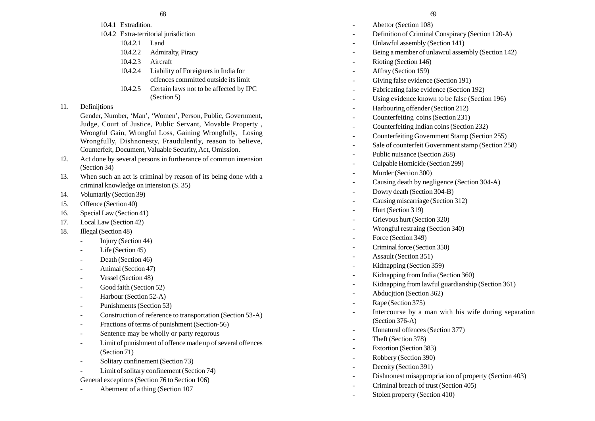- 10.4.1 Extradition.
- 10.4.2 Extra-territorial jurisdiction
	- 10.4.2.1 Land
	- 10.4.2.2 Admiralty, Piracy
	- 10.4.2.3 Aircraft
	- 10.4.2.4 Liability of Foreigners in India for offences committed outside its limit
	- 10.4.2.5 Certain laws not to be affected by IPC (Section 5)

## 11. Definitions

Gender, Number, 'Man', 'Women', Person, Public, Government, Judge, Court of Justice, Public Servant, Movable Property , Wrongful Gain, Wrongful Loss, Gaining Wrongfully, Losing Wrongfully, Dishnonesty, Fraudulently, reason to believe, Counterfeit, Document, Valuable Security, Act, Omission.

- 12. Act done by several persons in furtherance of common intension (Section 34)
- 13. When such an act is criminal by reason of its being done with a criminal knowledge on intension (S. 35)
- 14. Voluntarily (Section 39)
- 15. Offence (Section 40)
- 16. Special Law (Section 41)
- 17. Local Law (Section 42)
- 18. Illegal (Section 48)
	- -Injury (Section 44)
	- -Life (Section 45)
	- Death (Section 46)
	- -Animal (Section 47)
	- -Vessel (Section 48)
	- Good faith (Section 52)
	- -Harbour (Section 52-A)
	- -Punishments (Section 53)
	- -Construction of reference to transportation (Section 53-A)
	- -Fractions of terms of punishment (Section-56)
	- -Sentence may be wholly or party regorous
	- Limit of punishment of offence made up of several offences (Section 71)
	- -Solitary confinement (Section 73)
	- Limit of solitary confinement (Section 74)
	- General exceptions (Section 76 to Section 106)
	- Abetment of a thing (Section 107
- Abettor (Section 108)
- Definition of Criminal Conspiracy (Section 120-A)
- Unlawful assembly (Section 141)
- Being a member of unlawrul assembly (Section 142)
- Rioting (Section 146)
- Affray (Section 159)
- Giving false evidence (Section 191)
- Fabricating false evidence (Section 192)
- -Using evidence known to be false (Section 196)
- Harbouring offender (Section 212)
- Counterfeiting coins (Section 231)
- Counterfeiting Indian coins (Section 232)
- Counterfeiting Government Stamp (Section 255)
- Sale of counterfeit Government stamp (Section 258)
- Public nuisance (Section 268)
- Culpable Homicide (Section 299)
- Murder (Section 300)
- Causing death by negligence (Section 304-A)
- Dowry death (Section 304-B)
- Causing miscarriage (Section 312)
- -Hurt (Section 319)
- Grievous hurt (Section 320)
- Wrongful restraing (Section 340)
- -Force (Section 349)
- Criminal force (Section 350)
- Assault (Section 351)
- -Kidnapping (Section 359)
- Kidnapping from India (Section 360)
- Kidnapping from lawful guardianship (Section 361)
- Abducjtion (Section 362)
- Rape (Section 375)
- Intercourse by a man with his wife during separation (Section 376-A)
- Unnatural offences (Section 377)
- Theft (Section 378)
- Extortion (Section 383)
- Robbery (Section 390)
- -Decoity (Section 391)
- Dishnonest misappropriation of property (Section 403)
- -Criminal breach of trust (Section 405)
- -Stolen property (Section 410)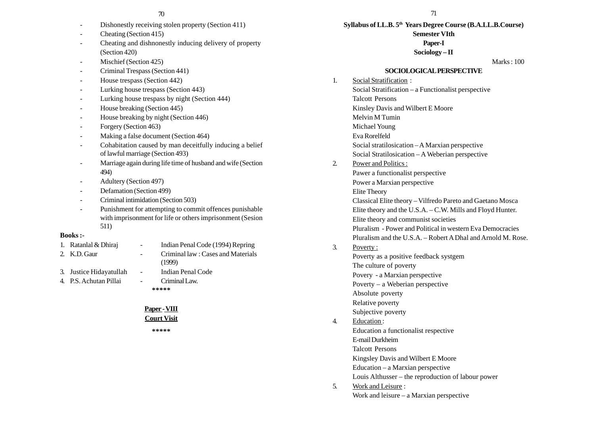- Dishonestly receiving stolen property (Section 411)
- Cheating (Section 415)
- Cheating and dishnonestly inducing delivery of property (Section 420)
- Mischief (Section 425)
- Criminal Trespass (Section 441)
- -House trespass (Section 442)
- -Lurking house trespass (Section 443)
- -Lurking house trespass by night (Section 444)
- -House breaking (Section 445)
- -House breaking by night (Section 446)
- -Forgery (Section 463)
- Making a false document (Section 464)
- Cohabitation caused by man deceitfully inducing a belief of lawful marriage (Section 493)
- Marriage again during life time of husband and wife (Section 494)
- Adultery (Section 497)
- -Defamation (Section 499)
- -Criminal intimidation (Section 503)
- - Punishment for attempting to commit offences punishable with imprisonment for life or others imprisonment (Sesion 511)

#### **Books :-**

- 1. Ratanlal & Dhiraj Indian Penal Code (1994) Repring 2. K.D. Gaur - Criminal law : Cases and Materials (1999) 3. Justice Hidayatullah - Indian Penal Code 4. P.S. Achutan Pillai - Criminal Law.
- 
- **\*\*\*\*\***

## **Paper - VIII**

## **Court Visit**

**\*\*\*\*\***

**Syllabus of LL.B. 5th Years Degree Course (B.A.LL.B.Course) Semester VIth**

#### **Paper-I**

**Sociology – II**

Marks : 100

#### **SOCIOLOGICAL PERSPECTIVE**

- 1. Social Stratification : Social Stratification – a Functionalist perspective Talcott Persons Kinsley Davis and Wilbert E Moore Melvin M Tumin Michael Young Eva Rorelfeld Social stratilosication – A Marxian perspective Social Stratilosication – A Weberian perspective 2. Power and Politics : Pawer a functionalist perspective Power a Marxian perspective Elite Theory Classical Elite theory – Vilfredo Pareto and Gaetano Mosca Elite theory and the U.S.A. – C.W. Mills and Floyd Hunter. Elite theory and communist societies Pluralism - Power and Political in western Eva Democracies Pluralism and the U.S.A. – Robert A Dhal and Arnold M. Rose. 3. Poverty : Poverty as a positive feedback systgem The culture of poverty Povery - a Marxian perspective Poverty – a Weberian perspective
	- Absolute poverty
	- Relative poverty
	- Subjective poverty

## 4. Education :

Education a functionalist respective

E-mail Durkheim

Talcott Persons

Kingsley Davis and Wilbert E Moore

- Education a Marxian perspective
- Louis Althusser the reproduction of labour power
- 5. Work and Leisure : Work and leisure – a Marxian perspective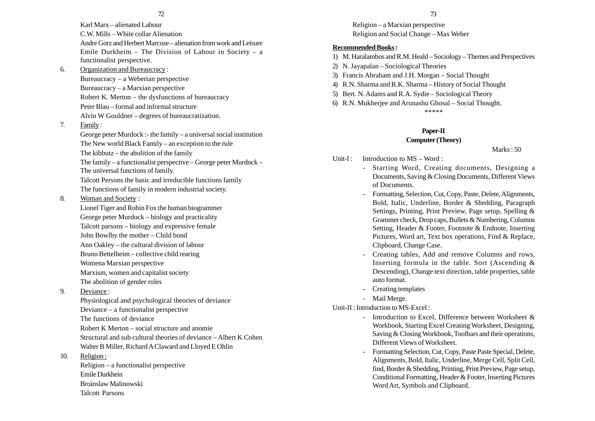Karl Marx – alienated Labour C.W. Mills – White collar Alienation Andre Gorz and Herbert Marcuse – alienation from work and Leisure Emile Durkheim – The Division of Labour in Society – a functionalist perspective.

6. Organization and Bureaucracy :

Bureaucracy – a Weberian perspective Bureaucracy – a Marxian perspective Robert K. Merton – the dysfunctions of bureaucracy Peter Blau – formal and informal structure Alvin W Gouldner – degrees of bureaucratization.

7. Family :

George peter Murdock :- the family – a universal social institution The New world Black Family – an exception to the rule The kibbutz – the abolition of the family The family – a functionalist perspective – George peter Murdock – The universal functions of family. Talcott Persons the basic and irreducible functions family

- The functions of family in modern industrial society.
- 8. Woman and Society :

Lionel Tiger and Robin Fox the human biogrammer George peter Murdock – biology and practicality Talcott parsons – biology and expressive female John Bowlby the mother – Child bond Ann Oakley – the cultural division of labour Bruno Bettelheim – collective child rearing Womena Marxian perspective Marxism, women and capitalist society The abolition of gender roles

9. Deviance :

Physiological and psychological theories of deviance Deviance – a functionalist perspective The functions of deviance Robert K Merton – social structure and anomie Structural and sub cultural theories of deviance – Albert K Cohen Walter B Miller, Richard A Claward and Lloyed E Ohlin

10. Religion :

Religion – a functionalist perspective Emile Durkhein Broinslaw Malinowski Talcott Parsons

Religion – a Marxian perspective Religion and Social Change – Max Weber

## **Recommended Books :**

- 1) M. Haralambos and R.M. Heald Sociology Themes and Perspectives
- 2) N. Jayapalan Sociological Theories
- 3) Francis Abraham and J.H. Morgan Social Thought
- 4) R.N. Sharma and R.K. Sharma History of Social Thought
- 5) Bert. N. Adams and R.A. Sydie Sociological Theory
- 6) R.N. Mukherjee and Arunashu Ghosal Social Thought. \*\*\*\*\*

## **Paper-II**

## **Computer (Theory)**

Marks : 50

- Unit-I: Introduction to  $MS Word:$ 
	- Starting Word, Creating documents, Designing a Documents, Saving & Closing Documents, Different Views of Documents.
	- Formatting, Selection, Cut, Copy, Paste, Delete, Alignments, Bold, Italic, Underline, Border & Shedding, Paragraph Settings, Printing, Print Preview, Page setup, Spelling & Grammer check, Drop caps, Bullets & Numbering, Columns Setting, Header & Footer, Footnote & Endnote, Inserting Pictures, Word art, Text box operations, Find & Replace, Clipboard, Change Case.
	- Creating tables, Add and remove Columns and rows, Inserting formula in the table. Sort (Ascending & Descending), Change text direction, table properties, table auto format.
	- Creating templates
	- Mail Merge.

## Unit-II : Introduction to MS-Excel :

- Introduction to Excel, Difference between Worksheet & Workbook, Starting Excel Creating Worksheet, Designing, Saving & Closing Workbook, Toolbars and their operations, Different Views of Worksheet.
- Formatting Selection, Cut, Copy, Paste Paste Special, Delete, Alignments, Bold, Italic, Underline, Merge Cell, Split Cell, find, Border & Shedding, Printing, Print Preview, Page setup, Conditional Formatting, Header & Footer, Inserting Pictures Word Art, Symbols and Clipboard.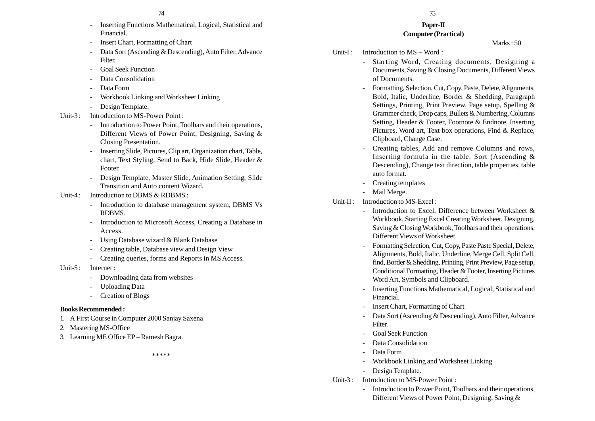- Inserting Functions Mathematical, Logical, Statistical and Financial.
- -Insert Chart, Formatting of Chart
- - Data Sort (Ascending & Descending), Auto Filter, Advance **Filter**
- -Goal Seek Function
- Data Consolidation
- -Data Form
- Workbook Linking and Worksheet Linking
- Design Template.
- Unit-3: Introduction to MS-Power Point:
	- - Introduction to Power Point, Toolbars and their operations, Different Views of Power Point, Designing, Saving & Closing Presentation.
	- Inserting Slide, Pictures, Clip art, Organization chart, Table, chart, Text Styling, Send to Back, Hide Slide, Header & Footer.
	- - Design Template, Master Slide, Animation Setting, Slide Transition and Auto content Wizard.
- Unit-4 : Introduction to DBMS & RDBMS :
	- Introduction to database management system, DBMS Vs RDBMS.
	- - Introduction to Microsoft Access, Creating a Database in Access.
	- -Using Database wizard & Blank Database
	- Creating table, Database view and Design View
	- -Creating queries, forms and Reports in MS Access.
- Unit-5: Internet :
	- -Downloading data from websites
	- -Uploading Data
	- -Creation of Blogs

#### **Books Recommended :**

- 1. A First Course in Computer 2000 Sanjay Saxena
- 2. Mastering MS-Office
- 3. Learning ME Office EP Ramesh Bagra.

\*\*\*\*\*

#### **Paper-II Computer (Practical)**

Marks : 50

- Unit-I: Introduction to  $MS Word:$ 
	- Starting Word, Creating documents, Designing a Documents, Saving & Closing Documents, Different Views of Documents.
	- Formatting, Selection, Cut, Copy, Paste, Delete, Alignments, Bold, Italic, Underline, Border & Shedding, Paragraph Settings, Printing, Print Preview, Page setup, Spelling & Grammer check, Drop caps, Bullets & Numbering, Columns Setting, Header & Footer, Footnote & Endnote, Inserting Pictures, Word art, Text box operations, Find & Replace, Clipboard, Change Case.
	- Creating tables, Add and remove Columns and rows, Inserting formula in the table. Sort (Ascending & Descending), Change text direction, table properties, table auto format.
	- Creating templates
	- Mail Merge.
- Unit-II : Introduction to MS-Excel :
	- Introduction to Excel, Difference between Worksheet & Workbook, Starting Excel Creating Worksheet, Designing, Saving & Closing Workbook, Toolbars and their operations, Different Views of Worksheet.
	- Formatting Selection, Cut, Copy, Paste Paste Special, Delete, Alignments, Bold, Italic, Underline, Merge Cell, Split Cell, find, Border & Shedding, Printing, Print Preview, Page setup, Conditional Formatting, Header & Footer, Inserting Pictures Word Art, Symbols and Clipboard.
	- Inserting Functions Mathematical, Logical, Statistical and Financial.
	- Insert Chart, Formatting of Chart
	- Data Sort (Ascending & Descending), Auto Filter, Advance Filter.
	- -Goal Seek Function
	- Data Consolidation
	- Data Form
	- Workbook Linking and Worksheet Linking
	- Design Template.
- Unit-3: Introduction to MS-Power Point :
	- Introduction to Power Point, Toolbars and their operations, Different Views of Power Point, Designing, Saving &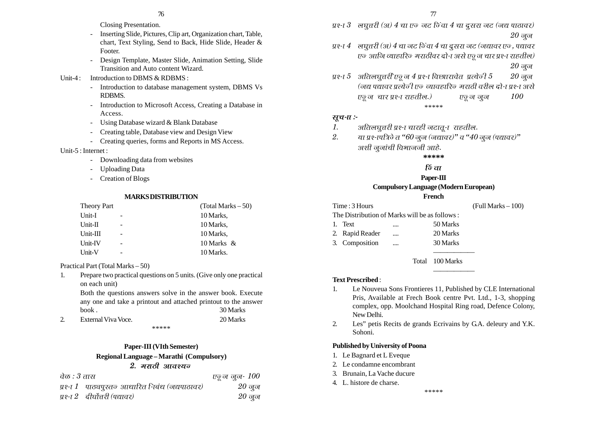- Closing Presentation.
- Inserting Slide, Pictures, Clip art, Organization chart, Table, chart, Text Styling, Send to Back, Hide Slide, Header & Footer.
- Design Template, Master Slide, Animation Setting, Slide Transition and Auto content Wizard.

#### Unit-4 : Introduction to DBMS  $\&$  RDBMS :

- - Introduction to database management system, DBMS Vs RDBMS.
- - Introduction to Microsoft Access, Creating a Database in Access.
- -Using Database wizard & Blank Database
- Creating table, Database view and Design View
- Creating queries, forms and Reports in MS Access.

#### Unit-5 : Internet :

- -Downloading data from websites
- Uploading Data
- -Creation of Blogs

#### **MARKS DISTRIBUTION**

| <b>Theory Part</b> |                          | $(Total Marks - 50)$ |
|--------------------|--------------------------|----------------------|
| Unit-I             |                          | 10 Marks,            |
| $Unit-II$          |                          | 10 Marks,            |
| $Unit-III$         |                          | 10 Marks,            |
| Unit-IV            |                          | 10 Marks $\&$        |
| Unit-V             | $\overline{\phantom{0}}$ | 10 Marks.            |
|                    |                          |                      |

Practical Part (Total Marks – 50)

1. Prepare two practical questions on 5 units. (Give only one practical on each unit)

Both the questions answers solve in the answer book. Execute any one and take a printout and attached printout to the answer book . 30 Marks

2. External Viva Voce. 20 Marks \*\*\*\*\*

## **Paper-III (VIth Semester) Regional Language – Marathi (Compulsory)**

## <u>2. मराठी आवश्यन</u>

| वेळ : 3 तास |                                                 | एरू ज जुन- $100$ |
|-------------|-------------------------------------------------|------------------|
|             | प्रश्ना 1 पाठ्यपुरतज् आधारित निबंध (जद्यपाठावर) | $20$ जून         |
|             | प्रश्ना 2 दीर्घोत्तरी (पद्यावर)                 | $20\,$ जूज्      |

- $y$ १-ा $\beta$  लघुत्तरी (अ)  $4$  चा एन जट निंवा  $4$  चा दूसरा जट (जद्य पाठावर)  $20$  ज् $\sigma$
- $U$ धश्- $U$  लघुत्तरी (अ)  $4$  चा जट जिंवा  $4$  चा दूसरा जट (जद्यावर एज, पद्यावर  $v$ क आजि व्याहारिज मराठीवर दो-ा असे एवू न चार प्रश्-ा राहतील)  $20 \frac{1}{90}$ जून
- प्रश्न $5$  अतिलघूत्तरी एवू ज $4$  प्रश्ना विछा। रावेत प्रत्येनी  $5$   $20$  जुज <u>(जद्य पद्यावर प्रत्येजी एज व्यावहारिज मराठी वरील दो-Tपश्-T असे</u>  $\nu_{\overline{g}}$ ज चार प्रश्-ा राहतील.)  $\nu_{\overline{g}}$ ज जुज  $\nu_{0}$ \*\*\*\*\*

#### सूच-*ा*:-

- 1.अतिलघुत्तरी प्रश्-ा चारही जटातू-ा राहतील.
- 2.या प्रश्-ापत्रिजे त "60 जुज् (जद्यावर)" व "40 जुज् (पद्यावर)" अशी जुनांची विभाजनी आहे.

**\*\*\*\*\***

## $f\breve{\sigma}$ *ता*

## **Paper-III Compulsory Language (Modern European)**

# **French**

Time : 3 Hours (Full Marks – 100) The Distribution of Marks will be as follows : 1. Text .... 50 Marks 2. Rapid Reader .... 20 Marks 3. Composition .... 30 Marks

Total 100 Marks

#### **Text Prescribed** :

- 1. Le Nouveua Sons Frontieres 11, Published by CLE International Pris, Available at Frech Book centre Pvt. Ltd., 1-3, shopping complex, opp. Moolchand Hospital Ring road, Defence Colony, New Delhi.
- 2. Les" petis Recits de grands Ecrivains by G.A. deleury and Y.K. Sohoni.

## **Published by University of Poona**

- 1. Le Bagnard et L Eveque
- 2. Le condamne encombrant
- 3. Brunain, La Vache ducure
- 4. L. histore de charse.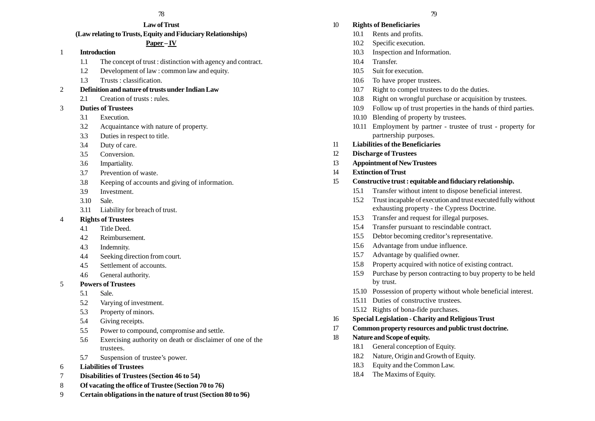#### **Law of Trust (Law relating to Trusts, Equity and Fiduciary Relationships)**

#### **Paper – IV**

#### 1 **Introduction**

- 1.1 The concept of trust : distinction with agency and contract.
- 1.2 Development of law : common law and equity.
- 1.3 Trusts : classification.
- 2 **Definition and nature of trusts under Indian Law**
	- 2.1 Creation of trusts : rules.
- 3 **Duties of Trustees**
	- 3.1 Execution.
	- 3.2 Acquaintance with nature of property.
	- 3.3 Duties in respect to title.
	- 3.4 Duty of care.
	- 3.5 Conversion.
	- 3.6 Impartiality.
	- 3.7 Prevention of waste.
	- 3.8 Keeping of accounts and giving of information.
	- 3.9 Investment.
	- 3.10 Sale.
	- 3.11 Liability for breach of trust.

#### 4 **Rights of Trustees**

- 4.1 Title Deed.
- 4.2 Reimbursement.
- 4.3 Indemnity.
- 4.4 Seeking direction from court.
- 4.5 Settlement of accounts.
- 4.6 General authority.

#### 5 **Powers of Trustees**

- 5.1 Sale.
- 5.2 Varying of investment.
- 5.3 Property of minors.
- 5.4 Giving receipts.
- 5.5 Power to compound, compromise and settle.
- 5.6 Exercising authority on death or disclaimer of one of the trustees.
- 5.7 Suspension of trustee's power.
- 6 **Liabilities of Trustees**
- 7 **Disabilities of Trustees (Section 46 to 54)**
- 8 **Of vacating the office of Trustee (Section 70 to 76)**
- 9 **Certain obligations in the nature of trust (Section 80 to 96)**

## ления в 179 году в 179 году в 179 году в 179 году в 179 году в 179 году в 179 году в 179 году в 179 году в 179

- 10 **Rights of Beneficiaries**
	- 10.1 Rents and profits.
	- 10.2 Specific execution.
	- 10.3 Inspection and Information.
	- 10.4 Transfer.
	- 10.5 Suit for execution.
	- 10.6 To have proper trustees.
	- 10.7 Right to compel trustees to do the duties.
	- 10.8 Right on wrongful purchase or acquisition by trustees.
	- 10.9 Follow up of trust properties in the hands of third parties.
	- 10.10 Blending of property by trustees.
	- 10.11 Employment by partner trustee of trust property for partnership purposes.
- 11 **Liabilities of the Beneficiaries**
- 12 **Discharge of Trustees**
- 13 **Appointment of New Trustees**
- 14 **Extinction of Trust**

#### 15 **Constructive trust : equitable and fiduciary relationship.**

- 15.1 Transfer without intent to dispose beneficial interest.
- 15.2 Trust incapable of execution and trust executed fully without exhausting property - the Cypress Doctrine.
- 15.3 Transfer and request for illegal purposes.
- 15.4 Transfer pursuant to rescindable contract.
- 15.5 Debtor becoming creditor's representative.
- 15.6 Advantage from undue influence.
- 15.7 Advantage by qualified owner.
- 15.8 Property acquired with notice of existing contract.
- 15.9 Purchase by person contracting to buy property to be held by trust.
- 15.10 Possession of property without whole beneficial interest.
- 15.11 Duties of constructive trustees.
- 15.12 Rights of bona-fide purchases.
- 16 **Special Legislation Charity and Religious Trust**
- 17 **Common property resources and public trust doctrine.**
- 18 **Nature and Scope of equity.**
	- 18.1 General conception of Equity.
	- 18.2 Nature, Origin and Growth of Equity.
	- 18.3 Equity and the Common Law.
	- 18.4 The Maxims of Equity.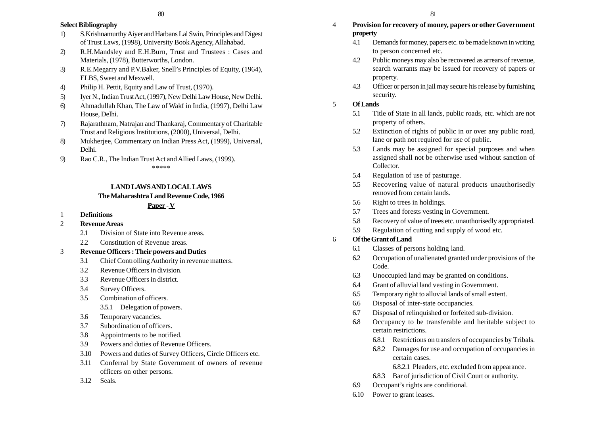## **Select Bibliography**

- 1) S.Krishnamurthy Aiyer and Harbans Lal Swin, Principles and Digest of Trust Laws, (1998), University Book Agency, Allahabad.
- 2) R.H.Mandsley and E.H.Burn, Trust and Trustees : Cases and Materials, (1978), Butterworths, London.
- 3) R.E.Megarry and P.V.Baker, Snell's Principles of Equity, (1964), ELBS, Sweet and Mexwell.
- 4) Philip H. Pettit, Equity and Law of Trust, (1970).
- 5) Iyer N., Indian Trust Act, (1997), New Delhi Law House, New Delhi.
- 6) Ahmadullah Khan, The Law of Wakf in India, (1997), Delhi Law House, Delhi.
- 7) Rajarathnam, Natrajan and Thankaraj, Commentary of Charitable Trust and Religious Institutions, (2000), Universal, Delhi.
- 8) Mukherjee, Commentary on Indian Press Act, (1999), Universal, Delhi.
- 9) Rao C.R., The Indian Trust Act and Allied Laws, (1999). \*\*\*\*\*

## **LAND LAWS AND LOCAL LAWS The Maharashtra Land Revenue Code, 1966**

## **Paper - V**

- 1 **Definitions**
- 2 **Revenue Areas**
	- 2.1 Division of State into Revenue areas.
	- 2.2 Constitution of Revenue areas.
- 3 **Revenue Officers : Their powers and Duties**
	- 3.1 Chief Controlling Authority in revenue matters.
	- 3.2 Revenue Officers in division.
	- 3.3 Revenue Officers in district.
	- 3.4 Survey Officers.
	- 3.5 Combination of officers.
		- 3.5.1 Delegation of powers.
	- 3.6 Temporary vacancies.
	- 3.7 Subordination of officers.
	- 3.8 Appointments to be notified.
	- 3.9 Powers and duties of Revenue Officers.
	- 3.10 Powers and duties of Survey Officers, Circle Officers etc.
	- 3.11 Conferral by State Government of owners of revenue officers on other persons.
	- 3.12 Seals.
- 4 **Provision for recovery of money, papers or other Government property**
	- 4.1 Demands for money, papers etc. to be made known in writing to person concerned etc.
	- 4.2 Public moneys may also be recovered as arrears of revenue, search warrants may be issued for recovery of papers or property.
	- 4.3 Officer or person in jail may secure his release by furnishing security.
- 5 **Of Lands**
	- 5.1 Title of State in all lands, public roads, etc. which are not property of others.
	- 5.2 Extinction of rights of public in or over any public road, lane or path not required for use of public.
	- 5.3 Lands may be assigned for special purposes and when assigned shall not be otherwise used without sanction of Collector.
	- 5.4 Regulation of use of pasturage.
	- 5.5 Recovering value of natural products unauthorisedly removed from certain lands.
	- 5.6 Right to trees in holdings.
	- 5.7 Trees and forests vesting in Government.
	- 5.8 Recovery of value of trees etc. unauthorisedly appropriated.
	- 5.9 Regulation of cutting and supply of wood etc.

## 6 **Of the Grant of Land**

- 6.1 Classes of persons holding land.
- 6.2 Occupation of unalienated granted under provisions of the Code.
- 6.3 Unoccupied land may be granted on conditions.
- 6.4 Grant of alluvial land vesting in Government.
- 6.5 Temporary right to alluvial lands of small extent.
- 6.6 Disposal of inter-state occupancies.
- 6.7 Disposal of relinquished or forfeited sub-division.
- 6.8 Occupancy to be transferable and heritable subject to certain restrictions.
	- 6.8.1 Restrictions on transfers of occupancies by Tribals.
	- 6.8.2 Damages for use and occupation of occupancies in certain cases.
		- 6.8.2.1 Pleaders, etc. excluded from appearance.
	- 6.8.3 Bar of jurisdiction of Civil Court or authority.
- 6.9 Occupant's rights are conditional.
- 6.10 Power to grant leases.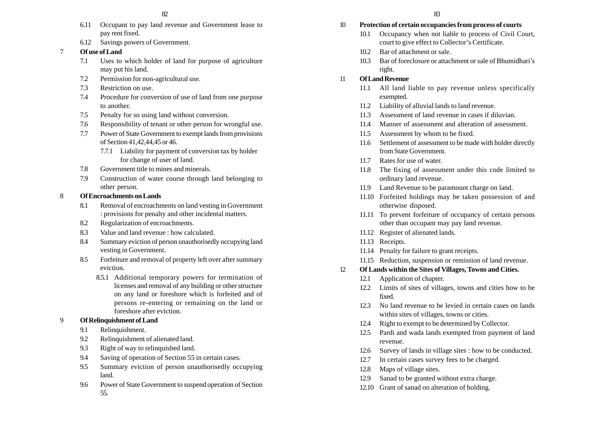- 6.11 Occupant to pay land revenue and Government lease to pay rent fixed.
- 6.12 Savings powers of Government.

## 7 **Of use of Land**

- 7.1 Uses to which holder of land for purpose of agriculture may put his land.
- 7.2 Permission for non-agricultural use.
- 7.3 Restriction on use.
- 7.4 Procedure for conversion of use of land from one purpose to another.
- 7.5 Penalty for so using land without conversion.
- 7.6 Responsibility of tenant or other person for wrongful use.
- 7.7 Power of State Government to exempt lands from provisions of Section 41,42,44,45 or 46.
	- 7.7.1 Liability for payment of conversion tax by holder for change of user of land.
- 7.8 Government title to mines and minerals.
- 7.9 Construction of water course through land belonging to other person.

#### 8 **Of Encroachments on Lands**

- 8.1 Removal of encroachments on land vesting in Government : provisions for penalty and other incidental matters.
- 8.2 Regularization of encroachments.
- 8.3 Value and land revenue : how calculated.
- 8.4 Summary eviction of person unauthorisedly occupying land vesting in Government.
- 8.5 Forfeiture and removal of property left over after summary eviction.
	- 8.5.1 Additional temporary powers for termination of licenses and removal of any building or other structure on any land or foreshore which is forfeited and of persons re-entering or remaining on the land or foreshore after eviction.

## 9 **Of Relinquishment of Land**

- 9.1 Relinquishment.
- 9.2 Relinquishment of alienated land.
- 9.3 Right of way to relinquished land.
- 9.4 Saving of operation of Section 55 in certain cases.
- 9.5 Summary eviction of person unauthorisedly occupying land.
- 9.6 Power of State Government to suspend operation of Section 55.

#### 10 **Protection of certain occupancies from process of courts**

- 10.1 Occupancy when not liable to process of Civil Court, court to give effect to Collector's Certificate.
- 10.2 Bar of attachment or sale.
- 10.3 Bar of foreclosure or attachment or sale of Bhumidhari's right.

## 11 **Of Land Revenue**

- 11.1 All land liable to pay revenue unless specifically exempted.
- 11.2 Liability of alluvial lands to land revenue.
- 11.3 Assessment of land revenue in cases if diluvian.
- 11.4 Manner of assessment and alteration of assessment.
- 11.5 Assessment by whom to be fixed.
- 11.6 Settlement of assessment to be made with holder directly from State Government.
- 11.7 Rates for use of water.
- 11.8 The fixing of assessment under this code limited to ordinary land revenue.
- 11.9 Land Revenue to be paramount charge on land.
- 11.10 Forfeited holdings may be taken possession of and otherwise disposed.
- 11.11 To prevent forfeiture of occupancy of certain persons other than occupant may pay land revenue.
- 11.12 Register of alienated lands.
- 11.13 Receipts.
- 11.14 Penalty for failure to grant receipts.
- 11.15 Reduction, suspension or remission of land revenue.

## 12 **Of Lands within the Sites of Villages, Towns and Cities.**

- 12.1 Application of chapter.
- 12.2 Limits of sites of villages, towns and cities how to be fixed.
- 12.3 No land revenue to be levied in certain cases on lands within sites of villages, towns or cities.
- 12.4 Right to exempt to be determined by Collector.
- 12.5 Pardi and wada lands exempted from payment of land revenue.
- 12.6 Survey of lands in village sites : how to be conducted.
- 12.7 In certain cases survey fees to be charged.
- 12.8 Maps of village sites.
- 12.9 Sanad to be granted without extra charge.
- 12.10 Grant of sanad on alteration of holding.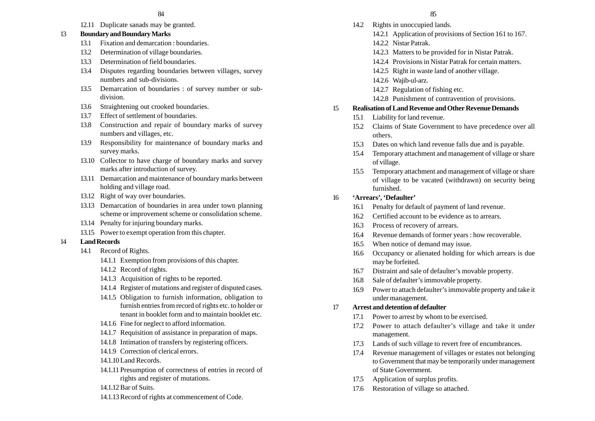12.11 Duplicate sanads may be granted.

## 13 **Boundary and Boundary Marks**

- 13.1 Fixation and demarcation : boundaries.
- 13.2 Determination of village boundaries.
- 13.3 Determination of field boundaries.
- 13.4 Disputes regarding boundaries between villages, survey numbers and sub-divisions.
- 13.5 Demarcation of boundaries : of survey number or subdivision.
- 13.6 Straightening out crooked boundaries.
- 13.7 Effect of settlement of boundaries.
- 13.8 Construction and repair of boundary marks of survey numbers and villages, etc.
- 13.9 Responsibility for maintenance of boundary marks and survey marks.
- 13.10 Collector to have charge of boundary marks and survey marks after introduction of survey.
- 13.11 Demarcation and maintenance of boundary marks between holding and village road.
- 13.12 Right of way over boundaries.
- 13.13 Demarcation of boundaries in area under town planning scheme or improvement scheme or consolidation scheme.
- 13.14 Penalty for injuring boundary marks.
- 13.15 Power to exempt operation from this chapter.

## 14 **Land Records**

- 14.1 Record of Rights.
	- 14.1.1 Exemption from provisions of this chapter.
	- 14.1.2 Record of rights.
	- 14.1.3 Acquisition of rights to be reported.
	- 14.1.4 Register of mutations and register of disputed cases.
	- 14.1.5 Obligation to furnish information, obligation to furnish entries from record of rights etc. to holder or tenant in booklet form and to maintain booklet etc.
	- 14.1.6 Fine for neglect to afford information.
	- 14.1.7 Requisition of assistance in preparation of maps.
	- 14.1.8 Intimation of transfers by registering officers.
	- 14.1.9 Correction of clerical errors.
	- 14.1.10Land Records.
	- 14.1.11 Presumption of correctness of entries in record of rights and register of mutations.
	- 14.1.12Bar of Suits.
	- 14.1.13Record of rights at commencement of Code.
- 14.2 Rights in unoccupied lands.
	- 14.2.1 Application of provisions of Section 161 to 167.
	- 14.2.2 Nistar Patrak.
	- 14.2.3 Matters to be provided for in Nistar Patrak.
	- 14.2.4 Provisions in Nistar Patrak for certain matters.
	- 14.2.5 Right in waste land of another village.
	- 14.2.6 Wajib-ul-arz.
	- 14.2.7 Regulation of fishing etc.
	- 14.2.8 Punishment of contravention of provisions.

## 15 **Realisation of Land Revenue and Other Revenue Demands**

- 15.1 Liability for land revenue.
- 15.2 Claims of State Government to have precedence over all others.
- 15.3 Dates on which land revenue falls due and is payable.
- 15.4 Temporary attachment and management of village or share of village.
- 15.5 Temporary attachment and management of village or share of village to be vacated (withdrawn) on security being furnished.

## 16 **'Arrears', 'Defaulter'**

- 16.1 Penalty for default of payment of land revenue.
- 16.2 Certified account to be evidence as to arrears.
- 16.3 Process of recovery of arrears.
- 16.4 Revenue demands of former years : how recoverable.
- 16.5 When notice of demand may issue.
- 16.6 Occupancy or alienated holding for which arrears is due may be forfeited.
- 16.7 Distraint and sale of defaulter's movable property.
- 16.8 Sale of defaulter's immovable property.
- 16.9 Power to attach defaulter's immovable property and take it under management.

## 17 **Arrest and detention of defaulter**

- 17.1 Power to arrest by whom to be exercised.
- 17.2 Power to attach defaulter's village and take it under management.
- 17.3 Lands of such village to revert free of encumbrances.
- 17.4 Revenue management of villages or estates not belonging to Government that may be temporarily under management of State Government.
- 17.5 Application of surplus profits.
- 17.6 Restoration of village so attached.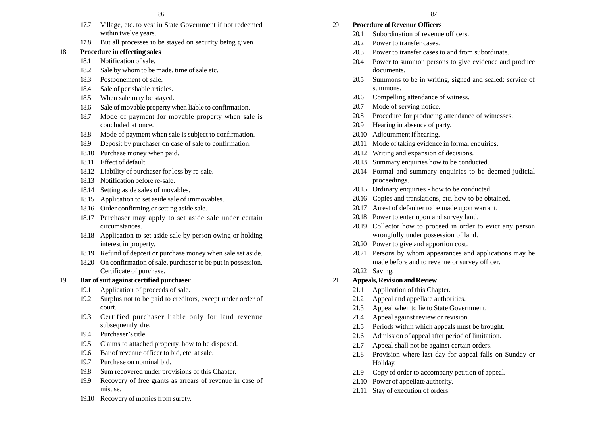- 17.7 Village, etc. to vest in State Government if not redeemed within twelve years.
- 17.8 But all processes to be stayed on security being given.

## 18 **Procedure in effecting sales**

- 18.1 Notification of sale.
- 18.2 Sale by whom to be made, time of sale etc.
- 18.3 Postponement of sale.
- 18.4 Sale of perishable articles.
- 18.5 When sale may be stayed.
- 18.6 Sale of movable property when liable to confirmation.
- 18.7 Mode of payment for movable property when sale is concluded at once.
- 18.8 Mode of payment when sale is subject to confirmation.
- 18.9 Deposit by purchaser on case of sale to confirmation.
- 18.10 Purchase money when paid.
- 18.11 Effect of default.
- 18.12 Liability of purchaser for loss by re-sale.
- 18.13 Notification before re-sale.
- 18.14 Setting aside sales of movables.
- 18.15 Application to set aside sale of immovables.
- 18.16 Order confirming or setting aside sale.
- 18.17 Purchaser may apply to set aside sale under certain circumstances.
- 18.18 Application to set aside sale by person owing or holding interest in property.
- 18.19 Refund of deposit or purchase money when sale set aside.
- 18.20 On confirmation of sale, purchaser to be put in possession. Certificate of purchase.

#### 19 **Bar of suit against certified purchaser**

- 19.1 Application of proceeds of sale.
- 19.2 Surplus not to be paid to creditors, except under order of court.
- 19.3 Certified purchaser liable only for land revenue subsequently die.
- 19.4 Purchaser's title.
- 19.5 Claims to attached property, how to be disposed.
- 19.6 Bar of revenue officer to bid, etc. at sale.
- 19.7 Purchase on nominal bid.
- 19.8 Sum recovered under provisions of this Chapter.
- 19.9 Recovery of free grants as arrears of revenue in case of misuse.
- 19.10 Recovery of monies from surety.

## 20 **Procedure of Revenue Officers**

- 20.1 Subordination of revenue officers.
- 20.2 Power to transfer cases.
- 20.3 Power to transfer cases to and from subordinate.
- 20.4 Power to summon persons to give evidence and produce documents.
- 20.5 Summons to be in writing, signed and sealed: service of summons.
- 20.6 Compelling attendance of witness.
- 20.7 Mode of serving notice.
- 20.8 Procedure for producing attendance of witnesses.
- 20.9 Hearing in absence of party.
- 20.10 Adjournment if hearing.
- 20.11 Mode of taking evidence in formal enquiries.
- 20.12 Writing and expansion of decisions.
- 20.13 Summary enquiries how to be conducted.
- 20.14 Formal and summary enquiries to be deemed judicial proceedings.
- 20.15 Ordinary enquiries how to be conducted.
- 20.16 Copies and translations, etc. how to be obtained.
- 20.17 Arrest of defaulter to be made upon warrant.
- 20.18 Power to enter upon and survey land.
- 20.19 Collector how to proceed in order to evict any person wrongfully under possession of land.
- 20.20 Power to give and apportion cost.
- 20.21 Persons by whom appearances and applications may be made before and to revenue or survey officer.
- 20.22 Saving.

## 21 **Appeals, Revision and Review**

- 21.1 Application of this Chapter.
- 21.2 Appeal and appellate authorities.
- 21.3 Appeal when to lie to State Government.
- 21.4 Appeal against review or revision.
- 21.5 Periods within which appeals must be brought.
- 21.6 Admission of appeal after period of limitation.
- 21.7 Appeal shall not be against certain orders.
- 21.8 Provision where last day for appeal falls on Sunday or Holiday.
- 21.9 Copy of order to accompany petition of appeal.
- 21.10 Power of appellate authority.
- 21.11 Stay of execution of orders.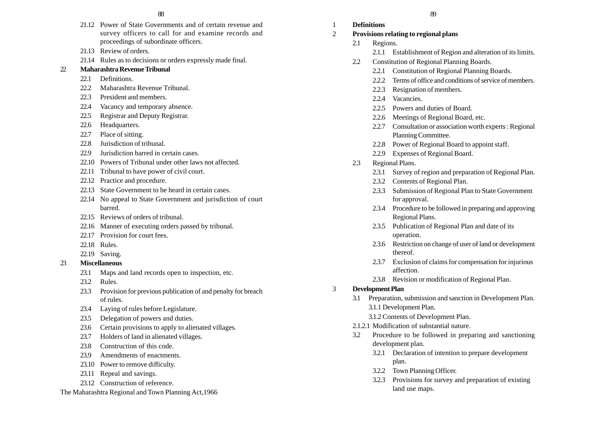- 21.12 Power of State Governments and of certain revenue and survey officers to call for and examine records and proceedings of subordinate officers.
- 21.13 Review of orders.
- 21.14 Rules as to decisions or orders expressly made final.

#### 22 **Maharashtra Revenue Tribunal**

- 22.1 Definitions.
- 22.2 Maharashtra Revenue Tribunal.
- 22.3 President and members.
- 22.4 Vacancy and temporary absence.
- 22.5 Registrar and Deputy Registrar.
- 22.6 Headquarters.
- 22.7 Place of sitting.
- 22.8 Jurisdiction of tribunal.
- 22.9 Jurisdiction barred in certain cases.
- 22.10 Powers of Tribunal under other laws not affected.
- 22.11 Tribunal to have power of civil court.
- 22.12 Practice and procedure.
- 22.13 State Government to be heard in certain cases.
- 22.14 No appeal to State Government and jurisdiction of court barred.
- 22.15 Reviews of orders of tribunal.
- 22.16 Manner of executing orders passed by tribunal.
- 22.17 Provision for court fees.
- 22.18 Rules.
- 22.19 Saving.
- 23 **Miscellaneous**
	- 23.1 Maps and land records open to inspection, etc.
	- 23.2 Rules.
	- 23.3 Provision for previous publication of and penalty for breach of rules.
	- 23.4 Laying of rules before Legislature.
	- 23.5 Delegation of powers and duties.
	- 23.6 Certain provisions to apply to alienated villages.
	- 23.7 Holders of land in alienated villages.
	- 23.8 Construction of this code.
	- 23.9 Amendments of enactments.
	- 23.10 Power to remove difficulty.
	- 23.11 Repeal and savings.
	- 23.12 Construction of reference.
- The Maharashtra Regional and Town Planning Act,1966

1 **Definitions**

## 2 **Provisions relating to regional plans**

- 2.1 Regions.
	- 2.1.1 Establishment of Region and alteration of its limits.
- 2.2 Constitution of Regional Planning Boards.
	- 2.2.1 Constitution of Regional Planning Boards.
	- 2.2.2 Terms of office and conditions of service of members.
	- 2.2.3 Resignation of members.
	- 2.2.4 Vacancies.
	- 2.2.5 Powers and duties of Board.
	- 2.2.6 Meetings of Regional Board, etc.
	- 2.2.7 Consultation or association worth experts : Regional Planning Committee.
	- 2.2.8 Power of Regional Board to appoint staff.
	- 2.2.9 Expenses of Regional Board.
- 2.3 Regional Plans.
	- 2.3.1 Survey of region and preparation of Regional Plan.
	- 2.3.2 Contents of Regional Plan.
	- 2.3.3 Submission of Regional Plan to State Government for approval.
	- 2.3.4 Procedure to be followed in preparing and approving Regional Plans.
	- 2.3.5 Publication of Regional Plan and date of its operation.
	- 2.3.6 Restriction on change of user of land or development thereof.
	- 2.3.7 Exclusion of claims for compensation for injurious affection.
	- 2.3.8 Revision or modification of Regional Plan.

## 3 **Development Plan**

- 3.1 Preparation, submission and sanction in Development Plan. 3.1.1 Development Plan.
	- 3.1.2 Contents of Development Plan.
- 2.1.2.1 Modification of substantial nature.
- 3.2 Procedure to be followed in preparing and sanctioning development plan.
	- 3.2.1 Declaration of intention to prepare development plan.
	- 3.2.2 Town Planning Officer.
	- 3.2.3 Provisions for survey and preparation of existing land use maps.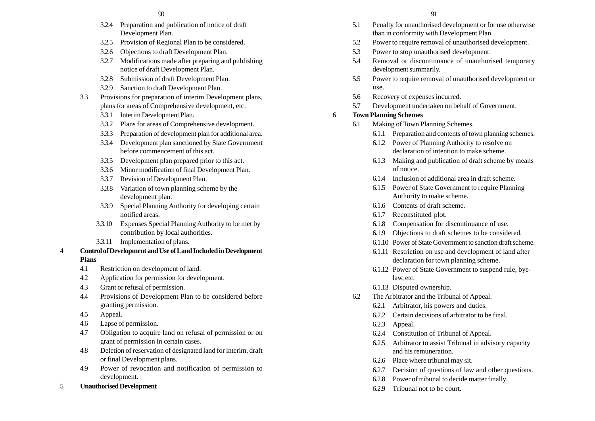- 3.2.4 Preparation and publication of notice of draft Development Plan.
- 3.2.5 Provision of Regional Plan to be considered.
- 3.2.6 Objections to draft Development Plan.
- 3.2.7 Modifications made after preparing and publishing notice of draft Development Plan.
- 3.2.8 Submission of draft Development Plan.
- 3.2.9 Sanction to draft Development Plan.
- 3.3 Provisions for preparation of interim Development plans, plans for areas of Comprehensive development, etc.
	- 3.3.1 Interim Development Plan.
	- 3.3.2 Plans for areas of Comprehensive development.
	- 3.3.3 Preparation of development plan for additional area.
	- 3.3.4 Development plan sanctioned by State Government before commencement of this act.
	- 3.3.5 Development plan prepared prior to this act.
	- 3.3.6 Minor modification of final Development Plan.
	- 3.3.7 Revision of Development Plan.
	- 3.3.8 Variation of town planning scheme by the development plan.
	- 3.3.9 Special Planning Authority for developing certain notified areas.
	- 3.3.10 Expenses Special Planning Authority to be met by contribution by local authorities.
	- 3.3.11 Implementation of plans.

#### 4 **Control of Development and Use of Land Included in Development Plans**

- 4.1 Restriction on development of land.
- 4.2 Application for permission for development.
- 4.3 Grant or refusal of permission.
- 4.4 Provisions of Development Plan to be considered before granting permission.
- 4.5 Appeal.
- 4.6 Lapse of permission.
- 4.7 Obligation to acquire land on refusal of permission or on grant of permission in certain cases.
- 4.8 Deletion of reservation of designated land for interim, draft or final Development plans.
- 4.9 Power of revocation and notification of permission to development.
- 5 **Unauthorised Development**
- 5.1 Penalty for unauthorised development or for use otherwise than in conformity with Development Plan.
- 5.2 Power to require removal of unauthorised development.
- 5.3 Power to stop unauthorised development.
- 5.4 Removal or discontinuance of unauthorised temporary development summarily.
- 5.5 Power to require removal of unauthorised development or use.
- 5.6 Recovery of expenses incurred.
- 5.7 Development undertaken on behalf of Government.

#### 6 **Town Planning Schemes**

- 6.1 Making of Town Planning Schemes.
	- 6.1.1 Preparation and contents of town planning schemes.
	- 6.1.2 Power of Planning Authority to resolve on declaration of intention to make scheme.
	- 6.1.3 Making and publication of draft scheme by means of notice.
	- 6.1.4 Inclusion of additional area in draft scheme.
	- 6.1.5 Power of State Government to require Planning Authority to make scheme.
	- 6.1.6 Contents of draft scheme.
	- 6.1.7 Reconstituted plot.
	- 6.1.8 Compensation for discontinuance of use.
	- 6.1.9 Objections to draft schemes to be considered.
	- 6.1.10 Power of State Government to sanction draft scheme.
	- 6.1.11 Restriction on use and development of land after declaration for town planning scheme.
	- 6.1.12 Power of State Government to suspend rule, byelaw, etc.
	- 6.1.13 Disputed ownership.
- 6.2 The Arbitrator and the Tribunal of Appeal.
	- 6.2.1 Arbitrator, his powers and duties.
	- 6.2.2 Certain decisions of arbitrator to be final.
	- 6.2.3 Appeal.
	- 6.2.4 Constitution of Tribunal of Appeal.
	- 6.2.5 Arbitrator to assist Tribunal in advisory capacity and his remuneration.
	- 6.2.6 Place where tribunal may sit.
	- 6.2.7 Decision of questions of law and other questions.
	- 6.2.8 Power of tribunal to decide matter finally.
	- 6.2.9 Tribunal not to be court.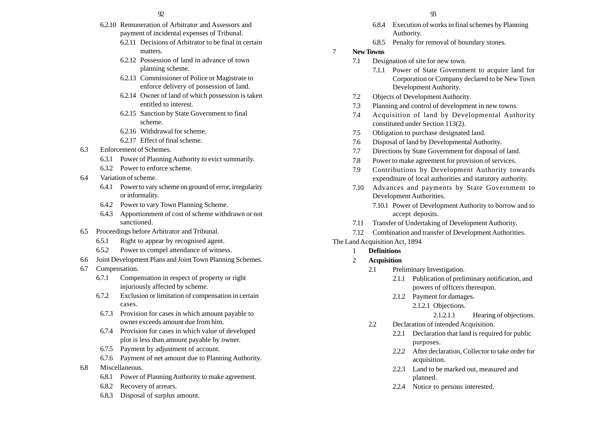#### $92$  93

- 6.2.10 Remuneration of Arbitrator and Assessors and payment of incidental expenses of Tribunal.
	- 6.2.11 Decisions of Arbitrator to be final in certain matters.
	- 6.2.12 Possession of land in advance of town planning scheme.
	- 6.2.13 Commissioner of Police or Magistrate to enforce delivery of possession of land.
	- 6.2.14 Owner of land of which possession is taken entitled to interest.
	- 6.2.15 Sanction by State Government to final scheme.
	- 6.2.16 Withdrawal for scheme.
	- 6.2.17 Effect of final scheme.
- 6.3 Enforcement of Schemes.
	- 6.3.1 Power of Planning Authority to evict summarily.
	- 6.3.2 Power to enforce scheme.
- 6.4 Variation of scheme.
	- 6.4.1 Power to vary scheme on ground of error, irregularity or informality.
	- 6.4.2 Power to vary Town Planning Scheme.
	- 6.4.3 Apportionment of cost of scheme withdrawn or not sanctioned.
- 6.5 Proceedings before Arbitrator and Tribunal.
	- 6.5.1 Right to appear by recognised agent.
	- 6.5.2 Power to compel attendance of witness.
- 6.6 Joint Development Plans and Joint Town Planning Schemes.
- 6.7 Compensation.
	- 6.7.1 Compensation in respect of property or right injuriously affected by scheme.
	- 6.7.2 Exclusion or limitation of compensation in certain cases.
	- 6.7.3 Provision for cases in which amount payable to owner exceeds amount due from him.
	- 6.7.4 Provision for cases in which value of developed plot is less than amount payable by owner.
	- 6.7.5 Payment by adjustment of account.
	- 6.7.6 Payment of net amount due to Planning Authority.
- 6.8 Miscellaneous.
	- 6.8.1 Power of Planning Authority to make agreement.
	- 6.8.2 Recovery of arrears.
	- 6.8.3 Disposal of surplus amount.
- 6.8.4 Execution of works in final schemes by Planning Authority.
- 6.8.5 Penalty for removal of boundary stones.
- 7 **New Towns**
	- 7.1 Designation of site for new town.
		- 7.1.1 Power of State Government to acquire land for Corporation or Company declared to be New Town Development Authority.
	- 7.2 Objects of Development Authority.
	- 7.3 Planning and control of development in new towns.
	- 7.4 Acquisition of land by Developmental Authority constituted under Section 113(2).
	- 7.5 Obligation to purchase designated land.
	- 7.6 Disposal of land by Developmental Authority.
	- 7.7 Directions by State Government for disposal of land.
	- 7.8 Power to make agreement for provision of services.
	- 7.9 Contributions by Development Authority towards expenditure of local authorities and statutory authority.
	- 7.10 Advances and payments by State Government to Development Authorities.
		- 7.10.1 Power of Development Authority to borrow and to accept deposits.
	- 7.11 Transfer of Undertaking of Development Authority.
	- 7.12 Combination and transfer of Development Authorities.
- The Land Acquisition Act, 1894
	- 1 **Definitions**
	- 2 **Acquisition**
		- 2.1 Preliminary Investigation.
			- 2.1.1 Publication of preliminary notification, and powers of officers thereupon.
			- 2.1.2 Payment for damages.
				- 2.1.2.1 Objections.

2.1.2.1.1 Hearing of objections.

- 2.2 Declaration of intended Acquisition.
	- 2.2.1 Declaration that land is required for public purposes.
	- 2.2.2 After declaration, Collector to take order for acquisition.
	- 2.2.3 Land to be marked out, measured and planned.
	- 2.2.4 Notice to persons interested.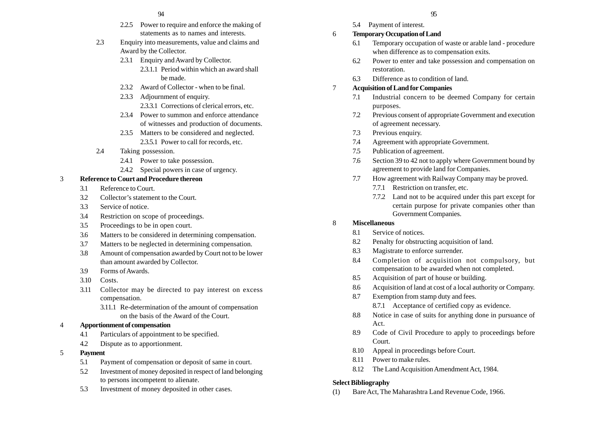- 2.2.5 Power to require and enforce the making of statements as to names and interests.
- 2.3 Enquiry into measurements, value and claims and Award by the Collector.
	- 2.3.1 Enquiry and Award by Collector.
		- 2.3.1.1 Period within which an award shall be made.
	- 2.3.2 Award of Collector when to be final.
	- 2.3.3 Adjournment of enquiry. 2.3.3.1 Corrections of clerical errors, etc.
	- 2.3.4 Power to summon and enforce attendance of witnesses and production of documents.
	- 2.3.5 Matters to be considered and neglected. 2.3.5.1 Power to call for records, etc.
- 2.4 Taking possession.
	- 2.4.1 Power to take possession.
	- 2.4.2 Special powers in case of urgency.

#### 3 **Reference to Court and Procedure thereon**

- 3.1 Reference to Court.
- 3.2 Collector's statement to the Court.
- 3.3 Service of notice.
- 3.4 Restriction on scope of proceedings.
- 3.5 Proceedings to be in open court.
- 3.6 Matters to be considered in determining compensation.
- 3.7 Matters to be neglected in determining compensation.
- 3.8 Amount of compensation awarded by Court not to be lower than amount awarded by Collector.
- 3.9 Forms of Awards.
- 3.10 Costs.
- 3.11 Collector may be directed to pay interest on excess compensation.
	- 3.11.1 Re-determination of the amount of compensation on the basis of the Award of the Court.

#### 4 **Apportionment of compensation**

- 4.1 Particulars of appointment to be specified.
- 4.2 Dispute as to apportionment.
- 5 **Payment**
	- 5.1 Payment of compensation or deposit of same in court.
	- 5.2 Investment of money deposited in respect of land belonging to persons incompetent to alienate.
	- 5.3 Investment of money deposited in other cases.
- 5.4 Payment of interest.
- 6 **Temporary Occupation of Land**
	- 6.1 Temporary occupation of waste or arable land procedure when difference as to compensation exits.
	- 6.2 Power to enter and take possession and compensation on restoration.
	- 6.3 Difference as to condition of land.

#### 7 **Acquisition of Land for Companies**

- 7.1 Industrial concern to be deemed Company for certain purposes.
- 7.2 Previous consent of appropriate Government and execution of agreement necessary.
- 7.3 Previous enquiry.
- 7.4 Agreement with appropriate Government.
- 7.5 Publication of agreement.
- 7.6 Section 39 to 42 not to apply where Government bound by agreement to provide land for Companies.
- 7.7 How agreement with Railway Company may be proved.
	- 7.7.1 Restriction on transfer, etc.
	- 7.7.2 Land not to be acquired under this part except for certain purpose for private companies other than Government Companies.

#### 8 **Miscellaneous**

- 8.1 Service of notices.
- 8.2 Penalty for obstructing acquisition of land.
- 8.3 Magistrate to enforce surrender.
- 8.4 Completion of acquisition not compulsory, but compensation to be awarded when not completed.
- 8.5 Acquisition of part of house or building.
- 8.6 Acquisition of land at cost of a local authority or Company.
- 8.7 Exemption from stamp duty and fees.
	- 8.7.1 Acceptance of certified copy as evidence.
- 8.8 Notice in case of suits for anything done in pursuance of Act.
- 8.9 Code of Civil Procedure to apply to proceedings before Court.
- 8.10 Appeal in proceedings before Court.
- 8.11 Power to make rules.
- 8.12 The Land Acquisition Amendment Act, 1984.

#### **Select Bibliography**

(1) Bare Act, The Maharashtra Land Revenue Code, 1966.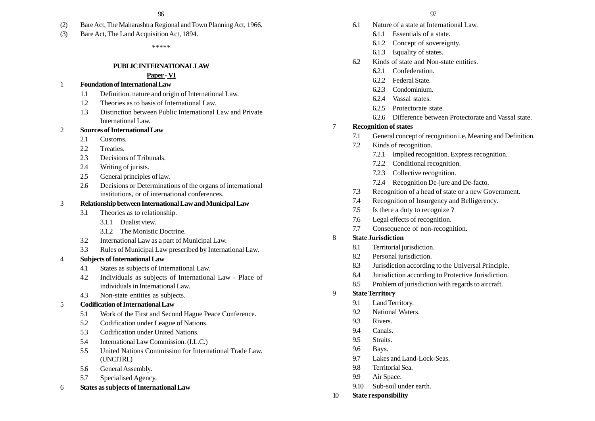- (2) Bare Act, The Maharashtra Regional and Town Planning Act, 1966.
- (3) Bare Act, The Land Acquisition Act, 1894.

\*\*\*\*\*

#### **PUBLIC INTERNATIONAL LAW**

#### **Paper - VI**

#### 1 **Foundation of International Law**

- 1.1 Definition. nature and origin of International Law.
- 1.2 Theories as to basis of International Law.
- 1.3 Distinction between Public International Law and Private International Law.

#### 2 **Sources of International Law**

- 2.1 Customs
- 2.2 Treaties.
- 2.3 Decisions of Tribunals.
- 2.4 Writing of jurists.
- 2.5 General principles of law.
- 2.6 Decisions or Determinations of the organs of international institutions, or of international conferences.

#### 3 **Relationship between International Law and Municipal Law**

- 3.1 Theories as to relationship.
	- 3.1.1 Dualist view.
	- 3.1.2 The Monistic Doctrine.
- 3.2 International Law as a part of Municipal Law.
- 3.3 Rules of Municipal Law prescribed by International Law.

#### 4 **Subjects of International Law**

- 4.1 States as subjects of International Law.
- 4.2 Individuals as subjects of International Law Place of individuals in International Law.
- 4.3 Non-state entities as subjects.

#### 5 **Codification of International Law**

- 5.1 Work of the First and Second Hague Peace Conference.
- 5.2 Codification under League of Nations.
- 5.3 Codification under United Nations.
- 5.4 International Law Commission. (I.L.C.)
- 5.5 United Nations Commission for International Trade Law. (UNCITRL)
- 5.6 General Assembly.
- 5.7 Specialised Agency.
- 6 **States as subjects of International Law**
- 6.1 Nature of a state at International Law.
	- 6.1.1 Essentials of a state.
	- 6.1.2 Concept of sovereignty.
	- 6.1.3 Equality of states.
- 6.2 Kinds of state and Non-state entities.
	- 6.2.1 Confederation.
	- 6.2.2 Federal State.
	- 6.2.3 Condominium.
	- 6.2.4 Vassal states.
	- 6.2.5 Protectorate state.
	- 6.2.6 Difference between Protectorate and Vassal state.

#### 7 **Recognition of states**

- 7.1 General concept of recognition i.e. Meaning and Definition.
- 7.2 Kinds of recognition.
	- 7.2.1 Implied recognition. Express recognition.
	- 7.2.2 Conditional recognition.
	- 7.2.3 Collective recognition.
	- 7.2.4 Recognition De-jure and De-facto.
- 7.3 Recognition of a head of state or a new Government.
- 7.4 Recognition of Insurgency and Belligerency.
- 7.5 Is there a duty to recognize ?
- 7.6 Legal effects of recognition.
- 7.7 Consequence of non-recognition.

#### 8 **State Jurisdiction**

- 8.1 Territorial jurisdiction.
- 8.2 Personal jurisdiction.
- 8.3 Jurisdiction according to the Universal Principle.
- 8.4 Jurisdiction according to Protective Jurisdiction.
- 8.5 Problem of jurisdiction with regards to aircraft.

#### 9 **State Territory**

- 9.1 Land Territory.
- 9.2 National Waters.
- 9.3 Rivers.
- 9.4 Canals.
- 9.5 Straits.
- 9.6 Bays.
- 9.7 Lakes and Land-Lock-Seas.
- 9.8 Territorial Sea.
- 9.9 Air Space.
- 9.10 Sub-soil under earth.
- 10 **State responsibility**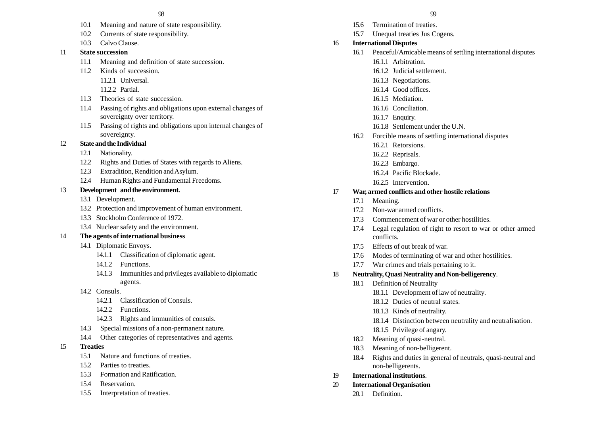- 10.1 Meaning and nature of state responsibility.
- 10.2 Currents of state responsibility.
- 10.3 Calvo Clause.

#### 11 **State succession**

- 11.1 Meaning and definition of state succession.
- 11.2 Kinds of succession.
	- 11.2.1 Universal.
	- 11.2.2 Partial.
- 11.3 Theories of state succession.
- 11.4 Passing of rights and obligations upon external changes of sovereignty over territory.
- 11.5 Passing of rights and obligations upon internal changes of sovereignty.

## 12 **State and the Individual**

- 12.1 Nationality.
- 12.2 Rights and Duties of States with regards to Aliens.
- 12.3 Extradition, Rendition and Asylum.
- 12.4 Human Rights and Fundamental Freedoms.

#### 13 **Development and the environment.**

- 13.1 Development.
- 13.2 Protection and improvement of human environment.
- 13.3 Stockholm Conference of 1972.
- 13.4 Nuclear safety and the environment.

#### 14 **The agents of international business**

- 14.1 Diplomatic Envoys.
	- 14.1.1 Classification of diplomatic agent.
	- 14.1.2 Functions.
	- 14.1.3 Immunities and privileges available to diplomatic agents.
- 14.2 Consuls.
	- 14.2.1 Classification of Consuls.
	- 14.2.2 Functions.
	- 14.2.3 Rights and immunities of consuls.
- 14.3 Special missions of a non-permanent nature.
- 14.4 Other categories of representatives and agents.

#### 15 **Treaties**

- 15.1 Nature and functions of treaties.
- 15.2 Parties to treaties.
- 15.3 Formation and Ratification.
- 15.4 Reservation.
- 15.5 Interpretation of treaties.

- 15.6 Termination of treaties.
- 15.7 Unequal treaties Jus Cogens.

#### 16 **International Disputes**

- 16.1 Peaceful/Amicable means of settling international disputes 16.1.1 Arbitration.
	-
	- 16.1.2 Judicial settlement.
	- 16.1.3 Negotiations.
	- 16.1.4 Good offices.
	- 16.1.5 Mediation.
	- 16.1.6 Conciliation.
	- 16.1.7 Enquiry.
	- 16.1.8 Settlement under the U.N.
- 16.2 Forcible means of settling international disputes
	- 16.2.1 Retorsions.
	- 16.2.2 Reprisals.
	- 16.2.3 Embargo.
	- 16.2.4 Pacific Blockade.
	- 16.2.5 Intervention.

#### 17 **War, armed conflicts and other hostile relations**

- 17.1 Meaning.
- 17.2 Non-war armed conflicts.
- 17.3 Commencement of war or other hostilities.
- 17.4 Legal regulation of right to resort to war or other armed conflicts.
- 17.5 Effects of out break of war.
- 17.6 Modes of terminating of war and other hostilities.
- 17.7 War crimes and trials pertaining to it.
- 18 **Neutrality, Quasi Neutrality and Non-belligerency**.
	- 18.1 Definition of Neutrality
		- 18.1.1 Development of law of neutrality.
		- 18.1.2 Duties of neutral states.
		- 18.1.3 Kinds of neutrality.
		- 18.1.4 Distinction between neutrality and neutralisation.
		- 18.1.5 Privilege of angary.
	- 18.2 Meaning of quasi-neutral.
	- 18.3 Meaning of non-belligerent.
	- 18.4 Rights and duties in general of neutrals, quasi-neutral and non-belligerents.
- 19 **International institutions**.
- 20 **International Organisation**
	- 20.1 Definition.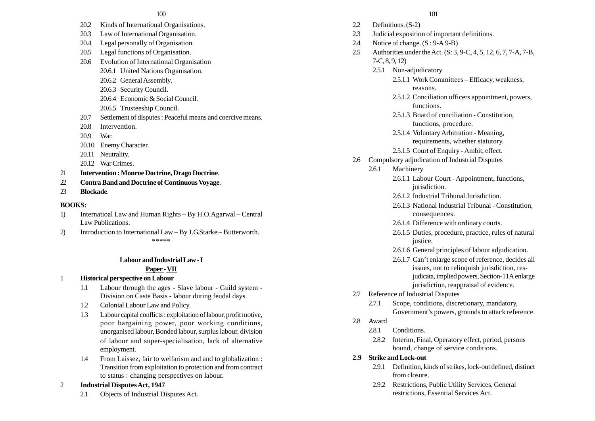- 20.2 Kinds of International Organisations.
- 20.3 Law of International Organisation.
- 20.4 Legal personally of Organisation.
- 20.5 Legal functions of Organisation.
- 20.6 Evolution of International Organisation
	- 20.6.1 United Nations Organisation.
	- 20.6.2 General Assembly.
	- 20.6.3 Security Council.
	- 20.6.4 Economic & Social Council.
	- 20.6.5 Trusteeship Council.
- 20.7 Settlement of disputes : Peaceful means and coercive means.
- 20.8 Intervention
- 20.9 War.
- 20.10 Enemy Character.
- 20.11 Neutrality.
- 20.12 War Crimes.
- 21 **Intervention : Monroe Doctrine, Drago Doctrine**.
- 22 **Contra Band and Doctrine of Continuous Voyage**.
- 23 **Blockade**.

## **BOOKS:**

- 1) Internatioal Law and Human Rights By H.O.Agarwal Central Law Publications.
- 2) Introduction to International Law By J.G.Starke Butterworth. \*\*\*\*\*

## **Labour and Industrial Law - I**

## **Paper - VII**

## 1 **Historical perspective on Labour**

- 1.1 Labour through the ages Slave labour Guild system Division on Caste Basis - labour during feudal days.
- 1.2 Colonial Labour Law and Policy.
- 1.3 Labour capital conflicts : exploitation of labour, profit motive, poor bargaining power, poor working conditions, unorganised labour, Bonded labour, surplus labour, division of labour and super-specialisation, lack of alternative employment.
- 1.4 From Laissez, fair to welfarism and and to globalization : Transition from exploitation to protection and from contract to status : changing perspectives on labour.

## 2 **Industrial Disputes Act, 1947**

2.1 Objects of Industrial Disputes Act.

- 2.2 Definitions. (S-2)
- 2.3 Judicial exposition of important definitions.
- 2.4 Notice of change.  $(S : 9-A9-B)$
- 2.5 Authorities under the Act. (S: 3, 9-C, 4, 5, 12, 6, 7, 7-A, 7-B, 7-C, 8, 9, 12)
	- 2.5.1 Non-adjudicatory
		- 2.5.1.1 Work Committees Efficacy, weakness, reasons.
		- 2.5.1.2 Conciliation officers appointment, powers, functions.
		- 2.5.1.3 Board of conciliation Constitution, functions, procedure.
		- 2.5.1.4 Voluntary Arbitration Meaning, requirements, whether statutory.
		- 2.5.1.5 Court of Enquiry Ambit, effect.
- 2.6 Compulsory adjudication of Industrial Disputes
	- 2.6.1 Machinery
		- 2.6.1.1 Labour Court Appointment, functions, jurisdiction.
		- 2.6.1.2 Industrial Tribunal Jurisdiction.
		- 2.6.1.3 National Industrial Tribunal Constitution, consequences.
		- 2.6.1.4 Difference with ordinary courts.
		- 2.6.1.5 Duties, procedure, practice, rules of natural justice.
		- 2.6.1.6 General principles of labour adjudication.
		- 2.6.1.7 Can't enlarge scope of reference, decides all issues, not to relinquish jurisdiction, resjudicata, implied powers, Section-11A enlarge jurisdiction, reappraisal of evidence.
- 2.7 Reference of Industrial Disputes
	- 2.7.1 Scope, conditions, discretionary, mandatory, Government's powers, grounds to attack reference.
- 2.8 Award
	- 2.8.1 Conditions.
	- 2.8.2 Interim, Final, Operatory effect, period, persons bound, change of service conditions.
- **2.9 Strike and Lock-out**
	- 2.9.1 Definition, kinds of strikes, lock-out defined, distinct from closure.
	- 2.9.2 Restrictions, Public Utility Services, General restrictions, Essential Services Act.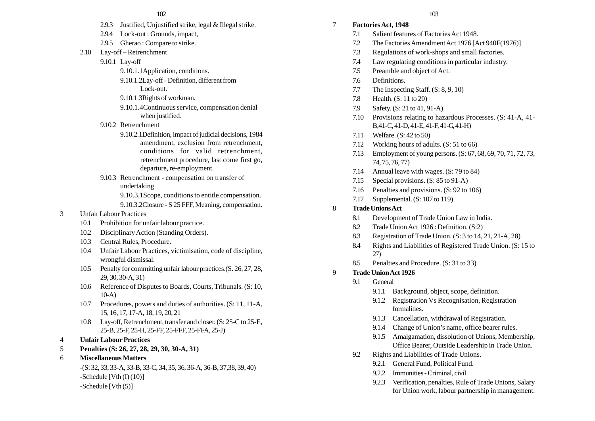- 2.9.3 Justified, Unjustified strike, legal & Illegal strike.
- 2.9.4 Lock-out : Grounds, impact,
- 2.9.5 Gherao : Compare to strike.
- 2.10 Lay-off Retrenchment
	- 9.10.1 Lay-off
		- 9.10.1.1Application, conditions.
		- 9.10.1.2Lay-off Definition, different from Lock-out.
		- 9.10.1.3Rights of workman.
		- 9.10.1.4Continuous service, compensation denial when justified.
	- 9.10.2 Retrenchment
		- 9.10.2.1Definition, impact of judicial decisions, 1984 amendment, exclusion from retrenchment, conditions for valid retrenchment, retrenchment procedure, last come first go, departure, re-employment.
	- 9.10.3 Retrenchment compensation on transfer of undertaking

9.10.3.1Scope, conditions to entitle compensation. 9.10.3.2Closure - S 25 FFF, Meaning, compensation.

- 3 Unfair Labour Practices
	- 10.1 Prohibition for unfair labour practice.
	- 10.2 Disciplinary Action (Standing Orders).
	- 10.3 Central Rules, Procedure.
	- 10.4 Unfair Labour Practices, victimisation, code of discipline, wrongful dismissal.
	- 10.5 Penalty for committing unfair labour practices.(S. 26, 27, 28, 29, 30, 30-A, 31)
	- 10.6 Reference of Disputes to Boards, Courts, Tribunals. (S: 10, 10-A)
	- 10.7 Procedures, powers and duties of authorities. (S: 11, 11-A, 15, 16, 17, 17-A, 18, 19, 20, 21
	- 10.8 Lay-off, Retrenchment, transfer and closer. (S: 25-C to 25-E, 25-B, 25-F, 25-H, 25-FF, 25-FFF, 25-FFA, 25-J)
- 4 **Unfair Labour Practices**
- 5 **Penalties (S: 26, 27, 28, 29, 30, 30-A, 31)**
- 6 **Miscellaneous Matters**
	- -(S: 32, 33, 33-A, 33-B, 33-C, 34, 35, 36, 36-A, 36-B, 37,38, 39, 40)  $-Schedule$  [Vth (I) (10)] -Schedule [Vth (5)]
- 7 **Factories Act, 1948**
	- 7.1 Salient features of Factories Act 1948.
	- 7.2 The Factories Amendment Act 1976 [Act 940F(1976)]
	- 7.3 Regulations of work-shops and small factories.
	- 7.4 Law regulating conditions in particular industry.
	- 7.5 Preamble and object of Act.
	- 7.6 Definitions.
	- 7.7 The Inspecting Staff. (S: 8, 9, 10)
	- 7.8 Health. (S: 11 to 20)
	- 7.9 Safety. (S: 21 to 41, 91-A)
	- 7.10 Provisions relating to hazardous Processes. (S: 41-A, 41- B,41-C, 41-D, 41-E, 41-F, 41-G, 41-H)
	- 7.11 Welfare. (S: 42 to 50)
	- 7.12 Working hours of adults. (S: 51 to 66)
	- 7.13 Employment of young persons. (S: 67, 68, 69, 70, 71, 72, 73, 74, 75, 76, 77)
	- 7.14 Annual leave with wages. (S: 79 to 84)
	- 7.15 Special provisions. (S: 85 to 91-A)
	- 7.16 Penalties and provisions. (S: 92 to 106)
	- 7.17 Supplemental. (S: 107 to 119)

## 8 **Trade Unions Act**

- 8.1 Development of Trade Union Law in India.
- 8.2 Trade Union Act 1926 : Definition. (S:2)
- 8.3 Registration of Trade Union. (S: 3 to 14, 21, 21-A, 28)
- 8.4 Rights and Liabilities of Registered Trade Union. (S: 15 to 27)
- 8.5 Penalties and Procedure. (S: 31 to 33)

#### 9 **Trade Union Act 1926**

- 9.1 General
	- 9.1.1 Background, object, scope, definition.
	- 9.1.2 Registration Vs Recognisation, Registration formalities.
	- 9.1.3 Cancellation, withdrawal of Registration.
	- 9.1.4 Change of Union's name, office bearer rules.
	- 9.1.5 Amalgamation, dissolution of Unions, Membership, Office Bearer, Outside Leadership in Trade Union.
- 9.2 Rights and Liabilities of Trade Unions.
	- 9.2.1 General Fund, Political Fund.
	- 9.2.2 Immunities Criminal, civil.
	- 9.2.3 Verification, penalties, Rule of Trade Unions, Salary for Union work, labour partnership in management.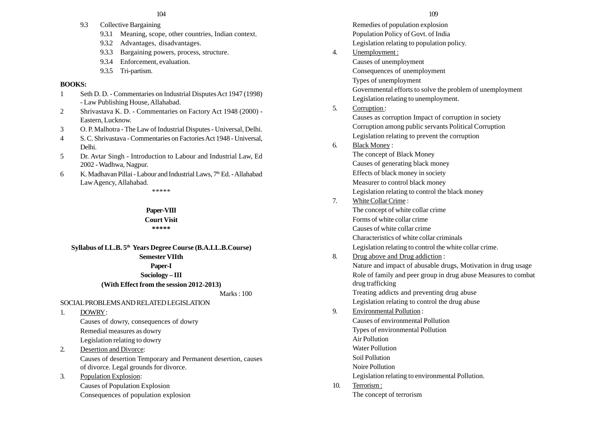- 9.3 Collective Bargaining
	- 9.3.1 Meaning, scope, other countries, Indian context.
	- 9.3.2 Advantages, disadvantages.
	- 9.3.3 Bargaining powers, process, structure.
	- 9.3.4 Enforcement, evaluation.
	- 9.3.5 Tri-partism.

## **BOOKS:**

- 1 Seth D. D. Commentaries on Industrial Disputes Act 1947 (1998) - Law Publishing House, Allahabad.
- 2 Shrivastava K. D. Commentaries on Factory Act 1948 (2000) Eastern, Lucknow.
- 3 O. P. Malhotra The Law of Industrial Disputes Universal, Delhi.
- 4 S. C. Shrivastava Commentaries on Factories Act 1948 Universal, Delhi.
- 5 Dr. Avtar Singh Introduction to Labour and Industrial Law, Ed 2002 - Wadhwa, Nagpur.
- 6 K. Madhavan Pillai Labour and Industrial Laws, 7<sup>th</sup> Ed. Allahabad Law Agency, Allahabad.

\*\*\*\*\*

## **Paper-VIII**

**Court Visit \*\*\*\*\***

#### **Syllabus of LL.B. 5th Years Degree Course (B.A.LL.B.Course) Semester VIIth**

## **Paper-I**

# **Sociology – III**

## **(With Effect from the session 2012-2013)**

Marks : 100

## SOCIAL PROBLEMS AND RELATED LEGISLATION

1. DOWRY : Causes of dowry, consequences of dowry Remedial measures as dowry Legislation relating to dowry

2. Desertion and Divorce: Causes of desertion Temporary and Permanent desertion, causes of divorce. Legal grounds for divorce.

3. Population Explosion: Causes of Population Explosion Consequences of population explosion

Remedies of population explosion Population Policy of Govt. of India Legislation relating to population policy. 4. Unemployment : Causes of unemployment Consequences of unemployment Types of unemployment Governmental efforts to solve the problem of unemployment Legislation relating to unemployment. 5. Corruption : Causes as corruption Impact of corruption in society Corruption among public servants Political Corruption Legislation relating to prevent the corruption 6. Black Money : The concept of Black Money Causes of generating black money Effects of black money in society Measurer to control black money Legislation relating to control the black money 7. White Collar Crime : The concept of white collar crime Forms of white collar crime Causes of white collar crime Characteristics of white collar criminals Legislation relating to control the white collar crime. 8. Drug above and Drug addiction : Nature and impact of abusable drugs, Motivation in drug usage Role of family and peer group in drug abuse Measures to combat drug trafficking Treating addicts and preventing drug abuse Legislation relating to control the drug abuse 9. Environmental Pollution : Causes of environmental Pollution Types of environmental Pollution Air Pollution Water Pollution Soil Pollution Noire Pollution Legislation relating to environmental Pollution. 10. Terrorism : The concept of terrorism  $104$  109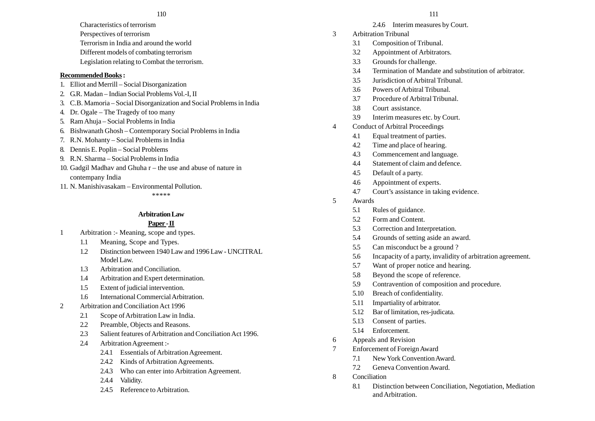#### $110$  111

- Characteristics of terrorism
- Perspectives of terrorism
- Terrorism in India and around the world
- Different models of combating terrorism
- Legislation relating to Combat the terrorism.

## **Recommended Books :**

- 1. Elliot and Merrill Social Disorganization
- 2. G.R. Madan Indian Social Problems Vol.-I, II
- 3. C.B. Mamoria Social Disorganization and Social Problems in India
- 4. Dr. Ogale The Tragedy of too many
- 5. Ram Ahuja Social Problems in India
- 6. Bishwanath Ghosh Contemporary Social Problems in India
- 7. R.N. Mohanty Social Problems in India
- 8. Dennis E. Poplin Social Problems
- 9. R.N. Sharma Social Problems in India
- 10. Gadgil Madhav and Ghuha r the use and abuse of nature in contempany India
- 11. N. Manishivasakam Environmental Pollution.

#### \*\*\*\*\*

## **Arbitration Law**

## **Paper - II**

- 1 Arbitration :- Meaning, scope and types.
	- 1.1 Meaning, Scope and Types.
	- 1.2 Distinction between 1940 Law and 1996 Law UNCITRAL Model Law.
	- 1.3 Arbitration and Conciliation.
	- 1.4 Arbitration and Expert determination.
	- 1.5 Extent of judicial intervention.
	- 1.6 International Commercial Arbitration.
- 2 Arbitration and Conciliation Act 1996
	- 2.1 Scope of Arbitration Law in India.
	- 2.2 Preamble, Objects and Reasons.
	- 2.3 Salient features of Arbitration and Conciliation Act 1996.
	- 2.4 Arbitration Agreement :-
		- 2.4.1 Essentials of Arbitration Agreement.
		- 2.4.2 Kinds of Arbitration Agreements.
		- 2.4.3 Who can enter into Arbitration Agreement.
		- 2.4.4 Validity.
		- 2.4.5 Reference to Arbitration.
- 2.4.6 Interim measures by Court.
- 3 Arbitration Tribunal
	- 3.1 Composition of Tribunal.
	- 3.2 Appointment of Arbitrators.
	- 3.3 Grounds for challenge.
	- 3.4 Termination of Mandate and substitution of arbitrator.
	- 3.5 Jurisdiction of Arbitral Tribunal.
	- 3.6 Powers of Arbitral Tribunal.
	- 3.7 Procedure of Arbitral Tribunal.
	- 3.8 Court assistance.
	- 3.9 Interim measures etc. by Court.
- 4 Conduct of Arbitral Proceedings
	- 4.1 Equal treatment of parties.
	- 4.2 Time and place of hearing.
	- 4.3 Commencement and language.
	- 4.4 Statement of claim and defence.
	- 4.5 Default of a party.
	- 4.6 Appointment of experts.
	- 4.7 Court's assistance in taking evidence.
- 5 Awards
	- 5.1 Rules of guidance.
	- 5.2 Form and Content.
	- 5.3 Correction and Interpretation.
	- 5.4 Grounds of setting aside an award.
	- 5.5 Can misconduct be a ground ?
	- 5.6 Incapacity of a party, invalidity of arbitration agreement.
	- 5.7 Want of proper notice and hearing.
	- 5.8 Beyond the scope of reference.
	- 5.9 Contravention of composition and procedure.
	- 5.10 Breach of confidentiality.
	- 5.11 Impartiality of arbitrator.
	- 5.12 Bar of limitation, res-judicata.
	- 5.13 Consent of parties.
	- 5.14 Enforcement.
- 6 Appeals and Revision
- 7 Enforcement of Foreign Award
	- 7.1 New York Convention Award.
	- 7.2 Geneva Convention Award.
- 8 Conciliation
	- 8.1 Distinction between Conciliation, Negotiation, Mediation and Arbitration.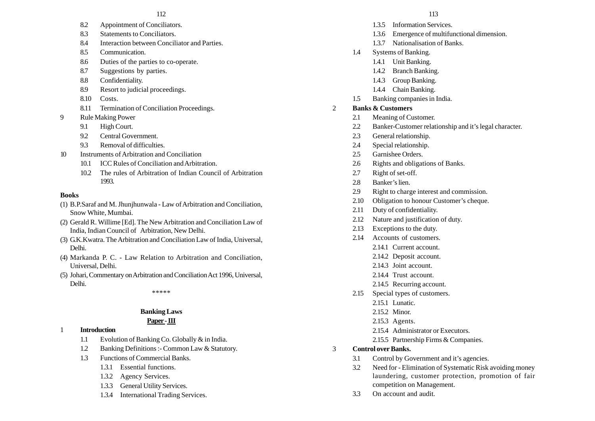- 8.2 Appointment of Conciliators.
- 8.3 Statements to Conciliators.
- 8.4 Interaction between Conciliator and Parties.
- 8.5 Communication.
- 8.6 Duties of the parties to co-operate.
- 8.7 Suggestions by parties.
- 8.8 Confidentiality.
- 8.9 Resort to judicial proceedings.
- 8.10 Costs.
- 8.11 Termination of Conciliation Proceedings.
- 9 Rule Making Power
	- 9.1 High Court.
	- 9.2 Central Government.
	- 9.3 Removal of difficulties
- 10 Instruments of Arbitration and Conciliation
	- 10.1 ICC Rules of Conciliation and Arbitration.
	- 10.2 The rules of Arbitration of Indian Council of Arbitration 1993.

## **Books**

- (1) B.P.Saraf and M. Jhunjhunwala Law of Arbitration and Conciliation, Snow White, Mumbai.
- (2) Gerald R. Willime [Ed]. The New Arbitration and Conciliation Law of India, Indian Council of Arbitration, New Delhi.
- (3) G.K.Kwatra. The Arbitration and Conciliation Law of India, Universal, Delhi.
- (4) Markanda P. C. Law Relation to Arbitration and Conciliation, Universal, Delhi.
- (5) Johari, Commentary on Arbitration and Conciliation Act 1996, Universal, Delhi.

\*\*\*\*\*

## **Banking Laws**

## **Paper - III**

- 1 **Introduction**
	- 1.1 Evolution of Banking Co. Globally & in India.
	- 1.2 Banking Definitions :- Common Law & Statutory.
	- 1.3 Functions of Commercial Banks
		- 1.3.1 Essential functions.
		- 1.3.2 Agency Services.
		- 1.3.3 General Utility Services.
		- 1.3.4 International Trading Services.
- 1.3.5 Information Services.
- 1.3.6 Emergence of multifunctional dimension.
- 1.3.7 Nationalisation of Banks.
- 1.4 Systems of Banking.
	- 1.4.1 Unit Banking.
	- 1.4.2 Branch Banking.
	- 1.4.3 Group Banking.
	- 1.4.4 Chain Banking.
- 1.5 Banking companies in India.

## 2 **Banks & Customers**

- 2.1 Meaning of Customer.
- 2.2 Banker-Customer relationship and it's legal character.
- 2.3 General relationship.
- 2.4 Special relationship.
- 2.5 Garnishee Orders.
- 2.6 Rights and obligations of Banks.
- 2.7 Right of set-off.
- 2.8 Banker's lien.
- 2.9 Right to charge interest and commission.
- 2.10 Obligation to honour Customer's cheque.
- 2.11 Duty of confidentiality.
- 2.12 Nature and justification of duty.
- 2.13 Exceptions to the duty.
- 2.14 Accounts of customers.
	- 2.14.1 Current account.
	- 2.14.2 Deposit account.
	- 2.14.3 Joint account.
	- 2.14.4 Trust account.
	- 2.14.5 Recurring account.
- 2.15 Special types of customers.
	- 2.15.1 Lunatic
	- 2.15.2 Minor.
	- 2.15.3 Agents.
	- 2.15.4 Administrator or Executors.
	- 2.15.5 Partnership Firms & Companies.
- 3 **Control over Banks.**
	- 3.1 Control by Government and it's agencies.
	- 3.2 Need for Elimination of Systematic Risk avoiding money laundering, customer protection, promotion of fair competition on Management.
	- 3.3 On account and audit.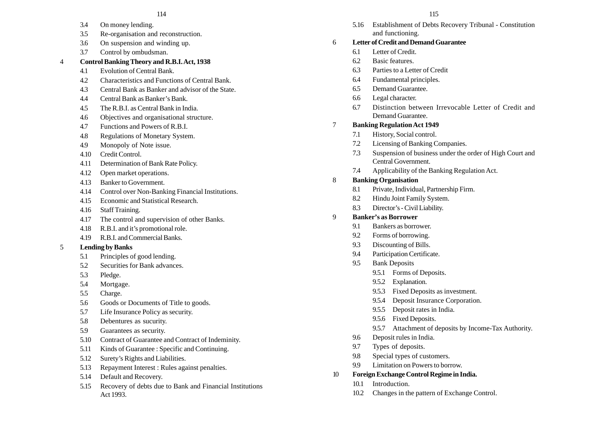- 3.4 On money lending.
- 3.5 Re-organisation and reconstruction.
- 3.6 On suspension and winding up.
- 3.7 Control by ombudsman.

## 4 **Control Banking Theory and R.B.I. Act, 1938**

- 4.1 Evolution of Central Bank.
- 4.2 Characteristics and Functions of Central Bank.
- 4.3 Central Bank as Banker and advisor of the State.
- 4.4 Central Bank as Banker's Bank.
- 4.5 The R.B.I. as Central Bank in India.
- 4.6 Objectives and organisational structure.
- 4.7 Functions and Powers of R.B.I.
- 4.8 Regulations of Monetary System.
- 4.9 Monopoly of Note issue.
- 4.10 Credit Control.
- 4.11 Determination of Bank Rate Policy.
- 4.12 Open market operations.
- 4.13 Banker to Government.
- 4.14 Control over Non-Banking Financial Institutions.
- 4.15 Economic and Statistical Research.
- 4.16 Staff Training.
- 4.17 The control and supervision of other Banks.
- 4.18 R.B.I. and it's promotional role.
- 4.19 R.B.I. and Commercial Banks.
- 5 **Lending by Banks**
	- 5.1 Principles of good lending.
	- 5.2 Securities for Bank advances.
	- 5.3 Pledge.
	- 5.4 Mortgage.
	- 5.5 Charge.
	- 5.6 Goods or Documents of Title to goods.
	- 5.7 Life Insurance Policy as security.
	- 5.8 Debentures as sucurity.
	- 5.9 Guarantees as security.
	- 5.10 Contract of Guarantee and Contract of Indeminity.
	- 5.11 Kinds of Guarantee : Specific and Continuing.
	- 5.12 Surety's Rights and Liabilities.
	- 5.13 Repayment Interest : Rules against penalties.
	- 5.14 Default and Recovery.
	- 5.15 Recovery of debts due to Bank and Financial Institutions Act 1993.

5.16 Establishment of Debts Recovery Tribunal - Constitution and functioning.

## 6 **Letter of Credit and Demand Guarantee**

- 6.1 Letter of Credit.
- 6.2 Basic features.
- 6.3 Parties to a Letter of Credit
- 6.4 Fundamental principles.
- 6.5 Demand Guarantee.
- 6.6 Legal character.
- 6.7 Distinction between Irrevocable Letter of Credit and Demand Guarantee.

## 7 **Banking Regulation Act 1949**

- 7.1 History, Social control.
- 7.2 Licensing of Banking Companies.
- 7.3 Suspension of business under the order of High Court and Central Government.
- 7.4 Applicability of the Banking Regulation Act.

## 8 **Banking Organisation**

- 8.1 Private, Individual, Partnership Firm.
- 8.2 Hindu Joint Family System.
- 8.3 Director's Civil Liability.

## 9 **Banker's as Borrower**

- 9.1 Bankers as borrower.
- 9.2 Forms of borrowing.
- 9.3 Discounting of Bills.
- 9.4 Participation Certificate.
- 9.5 Bank Deposits
	- 9.5.1 Forms of Deposits.
	- 9.5.2 Explanation.
	- 9.5.3 Fixed Deposits as investment.
	- 9.5.4 Deposit Insurance Corporation.
	- 9.5.5 Deposit rates in India.
	- 9.5.6 Fixed Deposits.
	- 9.5.7 Attachment of deposits by Income-Tax Authority.
- 9.6 Deposit rules in India.
- 9.7 Types of deposits.
- 9.8 Special types of customers.
- 9.9 Limitation on Powers to borrow.
- 10 **Foreign Exchange Control Regime in India.**
	- 10.1 Introduction.
	- 10.2 Changes in the pattern of Exchange Control.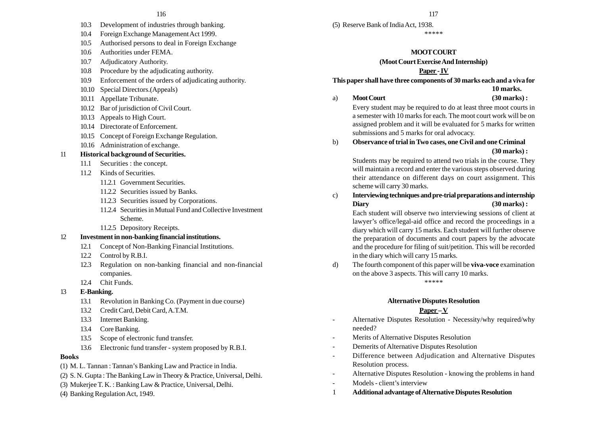- 10.3 Development of industries through banking.
- 10.4 Foreign Exchange Management Act 1999.
- 10.5 Authorised persons to deal in Foreign Exchange
- 10.6 Authorities under FEMA.
- 10.7 Adjudicatory Authority.
- 10.8 Procedure by the adjudicating authority.
- 10.9 Enforcement of the orders of adjudicating authority.
- 10.10 Special Directors.(Appeals)
- 10.11 Appellate Tribunate.
- 10.12 Bar of jurisdiction of Civil Court.
- 10.13 Appeals to High Court.
- 10.14 Directorate of Enforcement.
- 10.15 Concept of Foreign Exchange Regulation.
- 10.16 Administration of exchange.

## 11 **Historical background of Securities.**

- 11.1 Securities : the concept.
- 11.2 Kinds of Securities.
	- 11.2.1 Government Securities.
	- 11.2.2 Securities issued by Banks.
	- 11.2.3 Securities issued by Corporations.
	- 11.2.4 Securities in Mutual Fund and Collective Investment Scheme.
	- 11.2.5 Depository Receipts.

## 12 **Investment in non-banking financial institutions.**

- 12.1 Concept of Non-Banking Financial Institutions.
- 12.2 Control by R.B.I.
- 12.3 Regulation on non-banking financial and non-financial companies.
- 12.4 Chit Funds.

## 13 **E-Banking.**

- 13.1 Revolution in Banking Co. (Payment in due course)
- 13.2 Credit Card, Debit Card, A.T.M.
- 13.3 Internet Banking.
- 13.4 Core Banking.
- 13.5 Scope of electronic fund transfer.
- 13.6 Electronic fund transfer system proposed by R.B.I.

## **Books**

- (1) M. L. Tannan : Tannan's Banking Law and Practice in India.
- (2) S. N. Gupta : The Banking Law in Theory & Practice, Universal, Delhi.
- (3) Mukerjee T. K. : Banking Law & Practice, Universal, Delhi.
- (4) Banking Regulation Act, 1949.

(5) Reserve Bank of India Act, 1938. \*\*\*\*\*

## **MOOT COURT**

## **(Moot Court Exercise And Internship)**

## **Paper - IV**

**This paper shall have three components of 30 marks each and a viva for**

#### **10 marks.**

a) **Moot Court (30 marks) :**

Every student may be required to do at least three moot courts in a semester with 10 marks for each. The moot court work will be on assigned problem and it will be evaluated for 5 marks for written submissions and 5 marks for oral advocacy.

b) **Observance of trial in Two cases, one Civil and one Criminal (30 marks) :**

> Students may be required to attend two trials in the course. They will maintain a record and enter the various steps observed during their attendance on different days on court assignment. This scheme will carry 30 marks.

c) **Interviewing techniques and pre-trial preparations and internship Diary (30 marks) :**

Each student will observe two interviewing sessions of client at lawyer's office/legal-aid office and record the proceedings in a diary which will carry 15 marks. Each student will further observe the preparation of documents and court papers by the advocate and the procedure for filing of suit/petition. This will be recorded in the diary which will carry 15 marks.

d) The fourth component of this paper will be **viva-voce** examination on the above 3 aspects. This will carry 10 marks. \*\*\*\*\*

## **Alternative Disputes Resolution**

## **Paper – V**

- Alternative Disputes Resolution Necessity/why required/why needed?
- Merits of Alternative Disputes Resolution
- Demerits of Alternative Disputes Resolution
- Difference between Adjudication and Alternative Disputes Resolution process.
- Alternative Disputes Resolution knowing the problems in hand
- Models client's interview
- 1 **Additional advantage of Alternative Disputes Resolution**

#### $116$  117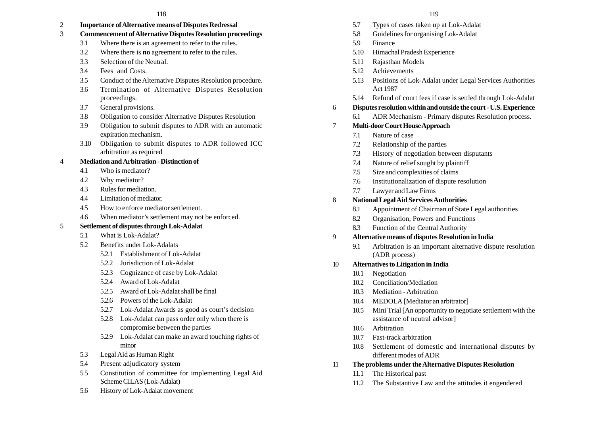2 **Importance of Alternative means of Disputes Redressal**

## 3 **Commencement of Alternative Disputes Resolution proceedings**

- 3.1 Where there is an agreement to refer to the rules.
- 3.2 Where there is **no** agreement to refer to the rules.
- 3.3 Selection of the Neutral.
- 3.4 Fees and Costs.
- 3.5 Conduct of the Alternative Disputes Resolution procedure.
- 3.6 Termination of Alternative Disputes Resolution proceedings.
- 3.7 General provisions.
- 3.8 Obligation to consider Alternative Disputes Resolution
- 3.9 Obligation to submit disputes to ADR with an automatic expiration mechanism.
- 3.10 Obligation to submit disputes to ADR followed ICC arbitration as required

## 4 **Mediation and Arbitration - Distinction of**

- 4.1 Who is mediator?
- 4.2 Why mediator?
- 4.3 Rules for mediation.
- 4.4 Limitation of mediator.
- 4.5 How to enforce mediator settlement.
- 4.6 When mediator's settlement may not be enforced.

## 5 **Settlement of disputes through Lok-Adalat**

- 5.1 What is Lok-Adalat?
- 5.2 Benefits under Lok-Adalats
	- 5.2.1 Establishment of Lok-Adalat
	- 5.2.2 Jurisdiction of Lok-Adalat
	- 5.2.3 Cognizance of case by Lok-Adalat
	- 5.2.4 Award of Lok-Adalat
	- 5.2.5 Award of Lok-Adalat shall be final
	- 5.2.6 Powers of the Lok-Adalat
	- 5.2.7 Lok-Adalat Awards as good as court's decision
	- 5.2.8 Lok-Adalat can pass order only when there is compromise between the parties
	- 5.2.9 Lok-Adalat can make an award touching rights of minor
- 5.3 Legal Aid as Human Right
- 5.4 Present adjudicatory system
- 5.5 Constitution of committee for implementing Legal Aid Scheme CILAS (Lok-Adalat)
- 5.6 History of Lok-Adalat movement
- 5.7 Types of cases taken up at Lok-Adalat
- 5.8 Guidelines for organising Lok-Adalat
- 5.9 Finance
- 5.10 Himachal Pradesh Experience
- 5.11 Rajasthan Models
- 5.12 Achievements
- 5.13 Positions of Lok-Adalat under Legal Services Authorities Act 1987
- 5.14 Refund of court fees if case is settled through Lok-Adalat

## 6 **Disputes resolution within and outside the court - U.S. Experience**

6.1 ADR Mechanism - Primary disputes Resolution process.

## 7 **Multi-door Court House Approach**

- 7.1 Nature of case
- 7.2 Relationship of the parties
- 7.3 History of negotiation between disputants
- 7.4 Nature of relief sought by plaintiff
- 7.5 Size and complexities of claims
- 7.6 Institutionalization of dispute resolution
- 7.7 Lawyer and Law Firms

## 8 **National Legal Aid Services Authorities**

- 8.1 Appointment of Chairman of State Legal authorities
- 8.2 Organisation, Powers and Functions
- 8.3 Function of the Central Authority

## 9 **Alternative means of disputes Resolution in India**

- 9.1 Arbitration is an important alternative dispute resolution (ADR process)
- 10 **Alternatives to Litigation in India**
	- 10.1 Negotiation
	- 10.2 Conciliation/Mediation
	- 10.3 Mediation Arbitration
	- 10.4 MEDOLA [Mediator an arbitrator]
	- 10.5 Mini Trial [An opportunity to negotiate settlement with the assistance of neutral advisor]
	- 10.6 Arbitration
	- 10.7 Fast-track arbitration
	- 10.8 Settlement of domestic and international disputes by different modes of ADR
- 11 **The problems under the Alternative Disputes Resolution**
	- 11.1 The Historical past
	- 11.2 The Substantive Law and the attitudes it engendered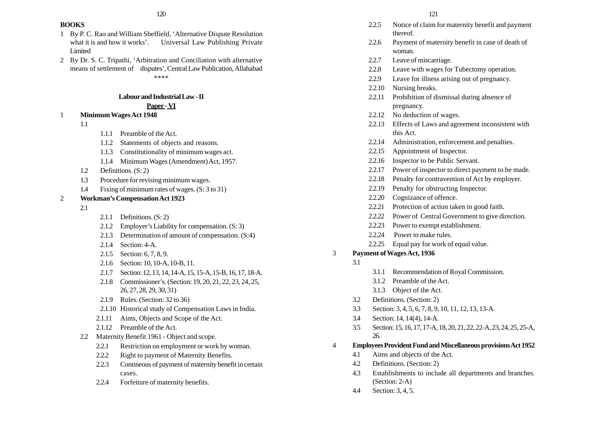#### **BOOKS**

- 1 By P. C. Rao and William Sheffield, 'Alternative Dispute Resolution what it is and how it works'. Universal Law Publishing Private Limited
- 2 By Dr. S. C. Tripathi, 'Arbitration and Conciliation with alternative means of settlement of disputes', Central Law Publication, Allahabad \*\*\*\*

#### **Labour and Industrial Law - II**

## **Paper - VI**

## 1 **Minimum Wages Act 1948**

- 1.1
- 1.1.1 Preamble of the Act.
- 1.1.2 Statements of objects and reasons.
- 1.1.3 Constitutionality of minimum wages act.
- 1.1.4 Minimum Wages (Amendment) Act, 1957.
- 1.2 Definitions. (S: 2)
- 1.3 Procedure for revising minimum wages.
- 1.4 Fixing of minimum rates of wages. (S: 3 to 31)

## 2 **Workman's Compensation Act 1923**

- 2.1
- 2.1.1 Definitions. (S: 2)
- 2.1.2 Employer's Liability for compensation. (S: 3)
- 2.1.3 Determination of amount of compensation. (S:4)
- 2.1.4 Section: 4-A.
- 2.1.5 Section: 6, 7, 8, 9.
- 2.1.6 Section: 10, 10-A, 10-B, 11.
- 2.1.7 Section: 12, 13, 14, 14-A, 15, 15-A, 15-B, 16, 17, 18-A.
- 2.1.8 Commissioner's. (Section: 19, 20, 21, 22, 23, 24, 25, 26, 27, 28, 29, 30, 31)
- 2.1.9 Rules. (Section: 32 to 36)
- 2.1.10 Historical study of Compensation Laws in India.
- 2.1.11 Aims, Objects and Scope of the Act.
- 2.1.12 Preamble of the Act.
- 2.2 Maternity Benefit 1961 Object and scope.
	- 2.2.1 Restriction on employment or work by woman.
	- 2.2.2 Right to payment of Maternity Benefits.
	- 2.2.3 Contineous of payment of maternity benefit in certain cases.
	- 2.2.4 Forfeiture of maternity benefits.
- 2.2.5 Notice of claim for maternity benefit and payment thereof.
- 2.2.6 Payment of maternity benefit in case of death of woman.
- 2.2.7 Leave of miscarriage.
- 2.2.8 Leave with wages for Tubectomy operation.
- 2.2.9 Leave for illness arising out of pregnancy.
- 2.2.10 Nursing breaks.
- 2.2.11 Prohibition of dismissal during absence of pregnancy.
- 2.2.12 No deduction of wages.
- 2.2.13 Effects of Laws and agreement inconsistent with this Act.
- 2.2.14 Administration, enforcement and penalties.
- 2.2.15 Appointment of Inspector.
- 2.2.16 Inspector to be Public Servant.
- 2.2.17 Power of inspector to direct payment to be made.
- 2.2.18 Penalty for contravention of Act by employer.
- 2.2.19 Penalty for obstructing Inspector.
- 2.2.20 Cognizance of offence.
- 2.2.21 Protection of action taken in good faith.
- 2.2.22 Power of Central Government to give direction.
- 2.2.23 Power to exempt establishment.
- 2.2.24 Power to make rules.
- 2.2.25 Equal pay for work of equal value.

## 3 **Payment of Wages Act, 1936**

- 3.1
- 3.1.1 Recommendation of Royal Commission.
- 3.1.2 Preamble of the Act.
- 3.1.3 Object of the Act.
- 3.2 Definitions. (Section: 2)
- 3.3 Section: 3, 4, 5, 6, 7, 8, 9, 10, 11, 12, 13, 13-A.
- 3.4 Section: 14, 14(4), 14-A.
- 3.5 Section: 15, 16, 17, 17-A, 18, 20, 21, 22, 22-A, 23, 24, 25, 25-A, 26.
- 4 **Employees Provident Fund and Miscellaneous provisions Act 1952**
	- 4.1 Aims and objects of the Act.
	- 4.2 Definitions. (Section: 2)
	- 4.3 Establishments to include all departments and branches. (Section: 2-A)
	- 4.4 Section: 3, 4, 5.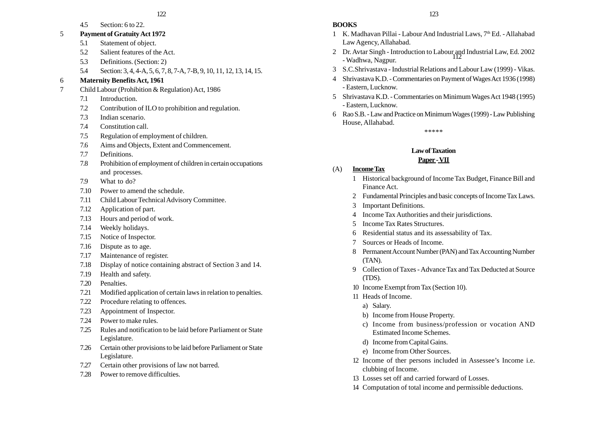4.5 Section: 6 to 22.

#### 5 **Payment of Gratuity Act 1972**

- 5.1 Statement of object.
- 5.2 Salient features of the Act.
- 5.3 Definitions. (Section: 2)
- 5.4 Section: 3, 4, 4-A, 5, 6, 7, 8, 7-A, 7-B, 9, 10, 11, 12, 13, 14, 15.

## 6 **Maternity Benefits Act, 1961**

- 7 Child Labour (Prohibition & Regulation) Act, 1986
	- 7.1 Introduction.
	- 7.2 Contribution of ILO to prohibition and regulation.
	- 7.3 Indian scenario.
	- 7.4 Constitution call.
	- 7.5 Regulation of employment of children.
	- 7.6 Aims and Objects, Extent and Commencement.
	- 7.7 Definitions.
	- 7.8 Prohibition of employment of children in certain occupations and processes.
	- 7.9 What to do?
	- 7.10 Power to amend the schedule.
	- 7.11 Child Labour Technical Advisory Committee.
	- 7.12 Application of part.
	- 7.13 Hours and period of work.
	- 7.14 Weekly holidays.
	- 7.15 Notice of Inspector.
	- 7.16 Dispute as to age.
	- 7.17 Maintenance of register.
	- 7.18 Display of notice containing abstract of Section 3 and 14.
	- 7.19 Health and safety.
	- 7.20 Penalties.
	- 7.21 Modified application of certain laws in relation to penalties.
	- 7.22 Procedure relating to offences.
	- 7.23 Appointment of Inspector.
	- 7.24 Power to make rules.
	- 7.25 Rules and notification to be laid before Parliament or State Legislature.
	- 7.26 Certain other provisions to be laid before Parliament or State Legislature.
	- 7.27 Certain other provisions of law not barred.
	- 7.28 Power to remove difficulties.

**BOOKS**

- 1 K. Madhavan Pillai Labour And Industrial Laws, 7<sup>th</sup> Ed. Allahabad Law Agency, Allahabad.
- 2 Dr. Avtar Singh Introduction to Labour and Industrial Law, Ed. 2002 112 - Wadhwa, Nagpur.
- 3 S.C.Shrivastava Industrial Relations and Labour Law (1999) Vikas.
- 4 Shrivastava K.D. Commentaries on Payment of Wages Act 1936 (1998) - Eastern, Lucknow.
- 5 Shrivastava K.D. Commentaries on Minimum Wages Act 1948 (1995) - Eastern, Lucknow.
- 6 Rao S.B. Law and Practice on Minimum Wages (1999) Law Publishing House, Allahabad.

\*\*\*\*\*

## **Law of Taxation**

## **Paper - VII**

- (A) **Income Tax**
	- 1 Historical background of Income Tax Budget, Finance Bill and Finance Act.
	- 2 Fundamental Principles and basic concepts of Income Tax Laws.
	- 3 Important Definitions.
	- 4 Income Tax Authorities and their jurisdictions.
	- 5 Income Tax Rates Structures.
	- 6 Residential status and its assessability of Tax.
	- 7 Sources or Heads of Income.
	- 8 Permanent Account Number (PAN) and Tax Accounting Number (TAN).
	- 9 Collection of Taxes Advance Tax and Tax Deducted at Source (TDS).
	- 10 Income Exempt from Tax (Section 10).
	- 11 Heads of Income.
		- a) Salary.
		- b) Income from House Property.
		- c) Income from business/profession or vocation AND Estimated Income Schemes.
		- d) Income from Capital Gains.
		- e) Income from Other Sources.
	- 12 Income of ther persons included in Assessee's Income i.e. clubbing of Income.
	- 13 Losses set off and carried forward of Losses.
	- 14 Computation of total income and permissible deductions.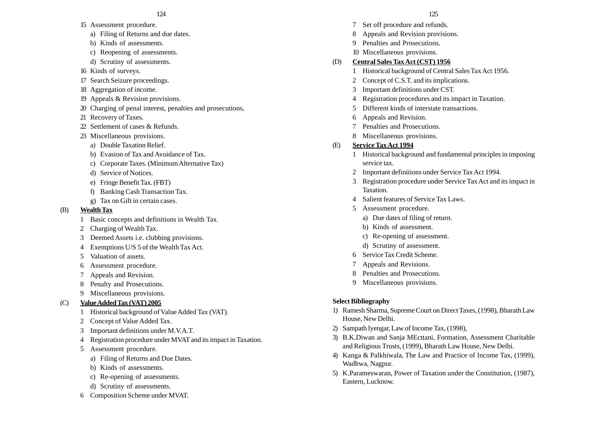- 15 Assessment procedure.
	- a) Filing of Returns and due dates.
	- b) Kinds of assessments.
	- c) Reopening of assessments.
	- d) Scrutiny of assessments.
- 16 Kinds of surveys.
- 17 Search Seizure proceedings.
- 18 Aggregation of income.
- 19 Appeals & Revision provisions.
- 20 Charging of penal interest, penalties and prosecutions,
- 21 Recovery of Taxes.
- 22 Settlement of cases & Refunds.
- 23 Miscellaneous provisions.
	- a) Double Taxation Relief.
	- b) Evasion of Tax and Avoidance of Tax.
	- c) Corporate Taxes. (Minimum Alternative Tax)
	- d) Service of Notices.
	- e) Fringe Benefit Tax. (FBT)
	- f) Banking Cash Transaction Tax.
	- g) Tax on Gift in certain cases.

## (B) **Wealth Tax**

- 1 Basic concepts and definitions in Wealth Tax.
- 2 Charging of Wealth Tax.
- 3 Deemed Assets i.e. clubbing provisions.
- 4 Exemptions U/S 5 of the Wealth Tax Act.
- 5 Valuation of assets.
- 6 Assessment procedure.
- 7 Appeals and Revision.
- 8 Penalty and Prosecutions.
- 9 Miscellaneous provisions.

## (C) **Value Added Tax (VAT) 2005**

- 1 Historical background of Value Added Tax (VAT).
- 2 Concept of Value Added Tax.
- 3 Important definitions under M.V.A.T.
- 4 Registration procedure under MVAT and its impact in Taxation.
- 5 Assessment procedure.
	- a) Filing of Returns and Due Dates.
	- b) Kinds of assessments.
	- c) Re-opening of assessments.
	- d) Scrutiny of assessments.
- 6 Composition Scheme under MVAT.

- 7 Set off procedure and refunds.
- 8 Appeals and Revision provisions.
- 9 Penalties and Prosecutions.
- 10 Miscellaneous provisions.

## (D) **Central Sales Tax Act (CST) 1956**

- 1 Historical background of Central Sales Tax Act 1956.
- 2 Concept of C.S.T. and its implications.
- 3 Important definitions under CST.
- 4 Registration procedures and its impact in Taxation.
- 5 Different kinds of interstate transactions.
- 6 Appeals and Revision.
- 7 Penalties and Prosecutions.
- 8 Miscellaneous provisions.

## (E) **Service Tax Act 1994**

- 1 Historical background and fundamental principles in imposing service tax.
- 2 Important definitions under Service Tax Act 1994.
- 3 Registration procedure under Service Tax Act and its impact in Taxation.
- 4 Salient features of Service Tax Laws.
- 5 Assessment procedure.
	- a) Due dates of filing of return.
	- b) Kinds of assessment.
	- c) Re-opening of assessment.
	- d) Scrutiny of assessment.
- 6 Service Tax Credit Scheme.
- 7 Appeals and Revisions.
- 8 Penalties and Prosecutions.
- 9 Miscellaneous provisions.

## **Select Bibliography**

- 1) Ramesh Sharma, Supreme Court on Direct Taxes, (1998), Bharath Law House, New Delhi.
- 2) Sampath Iyengar, Law of Income Tax, (1998),
- 3) B.K.Diwan and Sanja MEcttani, Formation, Assessment Charitable and Religious Trusts, (1999), Bharath Law House, New Delhi.
- 4) Kanga & Palkhiwala, The Law and Practice of Income Tax, (1999), Wadhwa, Nagpur.
- 5) K.Parameswaran, Power of Taxation under the Constitution, (1987), Eastern, Lucknow.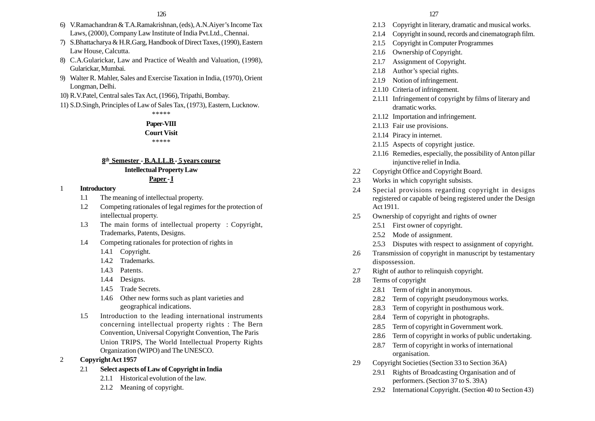- 6) V.Ramachandran & T.A.Ramakrishnan, (eds), A.N.Aiyer's Income Tax Laws, (2000), Company Law Institute of India Pvt.Ltd., Chennai.
- 7) S.Bhattacharya & H.R.Garg, Handbook of Direct Taxes, (1990), Eastern Law House, Calcutta.
- 8) C.A.Gularickar, Law and Practice of Wealth and Valuation, (1998), Gularickar, Mumbai.
- 9) Walter R. Mahler, Sales and Exercise Taxation in India, (1970), Orient Longman, Delhi.
- 10) R.V.Patel, Central sales Tax Act, (1966), Tripathi, Bombay.
- 11) S.D.Singh, Principles of Law of Sales Tax, (1973), Eastern, Lucknow.

\*\*\*\*\*

## **Paper-VIII**

#### **Court Visit** \*\*\*\*\*

## **8th Semester - B.A.LL.B - 5 years course Intellectual Property Law Paper - I**

#### 1 **Introductory**

- 1.1 The meaning of intellectual property.
- 1.2 Competing rationales of legal regimes for the protection of intellectual property.
- 1.3 The main forms of intellectual property : Copyright, Trademarks, Patents, Designs.
- 1.4 Competing rationales for protection of rights in
	- 1.4.1 Copyright.
	- 1.4.2 Trademarks.
	- 1.4.3 Patents.
	- 1.4.4 Designs.
	- 1.4.5 Trade Secrets.
	- 1.4.6 Other new forms such as plant varieties and geographical indications.
- 1.5 Introduction to the leading international instruments concerning intellectual property rights : The Bern Convention, Universal Copyright Convention, The Paris Union TRIPS, The World Intellectual Property Rights Organization (WIPO) and The UNESCO.

## 2 **Copyright Act 1957**

- 2.1 **Select aspects of Law of Copyright in India**
	- 2.1.1 Historical evolution of the law.
	- 2.1.2 Meaning of copyright.
- 2.1.3 Copyright in literary, dramatic and musical works.
- 2.1.4 Copyright in sound, records and cinematograph film.
- 2.1.5 Copyright in Computer Programmes
- 2.1.6 Ownership of Copyright.
- 2.1.7 Assignment of Copyright.
- 2.1.8 Author's special rights.
- 2.1.9 Notion of infringement.
- 2.1.10 Criteria of infringement.
- 2.1.11 Infringement of copyright by films of literary and dramatic works.
- 2.1.12 Importation and infringement.
- 2.1.13 Fair use provisions.
- 2.1.14 Piracy in internet.
- 2.1.15 Aspects of copyright justice.
- 2.1.16 Remedies, especially, the possibility of Anton pillar injunctive relief in India.
- 2.2 Copyright Office and Copyright Board.
- 2.3 Works in which copyright subsists.
- 2.4 Special provisions regarding copyright in designs registered or capable of being registered under the Design Act 1911.
- 2.5 Ownership of copyright and rights of owner
	- 2.5.1 First owner of copyright.
	- 2.5.2 Mode of assignment.
	- 2.5.3 Disputes with respect to assignment of copyright.
- 2.6 Transmission of copyright in manuscript by testamentary dispossession.
- 2.7 Right of author to relinquish copyright.
- 2.8 Terms of copyright
	- 2.8.1 Term of right in anonymous.
	- 2.8.2 Term of copyright pseudonymous works.
	- 2.8.3 Term of copyright in posthumous work.
	- 2.8.4 Term of copyright in photographs.
	- 2.8.5 Term of copyright in Government work.
	- 2.8.6 Term of copyright in works of public undertaking.
	- 2.8.7 Term of copyright in works of international organisation.
- 2.9 Copyright Societies (Section 33 to Section 36A)
	- 2.9.1 Rights of Broadcasting Organisation and of performers. (Section 37 to S. 39A)
	- 2.9.2 International Copyright. (Section 40 to Section 43)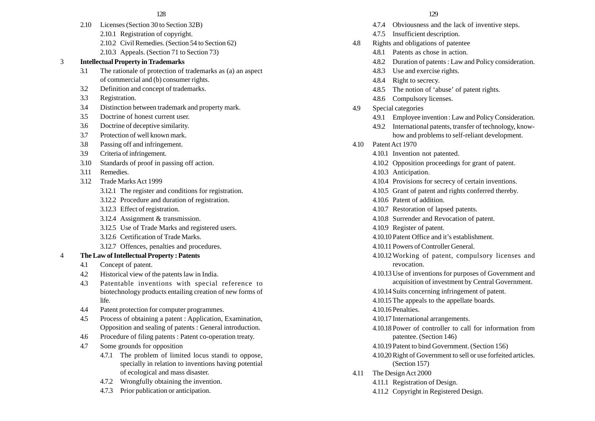- 2.10 Licenses (Section 30 to Section 32B)
	- 2.10.1 Registration of copyright.
	- 2.10.2 Civil Remedies. (Section 54 to Section 62)
	- 2.10.3 Appeals. (Section 71 to Section 73)

## 3 **Intellectual Property in Trademarks**

- 3.1 The rationale of protection of trademarks as (a) an aspect of commercial and (b) consumer rights.
- 3.2 Definition and concept of trademarks.
- 3.3 Registration.
- 3.4 Distinction between trademark and property mark.
- 3.5 Doctrine of honest current user.
- 3.6 Doctrine of deceptive similarity.
- 3.7 Protection of well known mark.
- 3.8 Passing off and infringement.
- 3.9 Criteria of infringement.
- 3.10 Standards of proof in passing off action.
- 3.11 Remedies.
- 3.12 Trade Marks Act 1999
	- 3.12.1 The register and conditions for registration.
	- 3.12.2 Procedure and duration of registration.
	- 3.12.3 Effect of registration.
	- 3.12.4 Assignment & transmission.
	- 3.12.5 Use of Trade Marks and registered users.
	- 3.12.6 Certification of Trade Marks.
	- 3.12.7 Offences, penalties and procedures.

## 4 **The Law of Intellectual Property : Patents**

- 4.1 Concept of patent.
- 4.2 Historical view of the patents law in India.
- 4.3 Patentable inventions with special reference to biotechnology products entailing creation of new forms of life.
- 4.4 Patent protection for computer programmes.
- 4.5 Process of obtaining a patent : Application, Examination, Opposition and sealing of patents : General introduction.
- 4.6 Procedure of filing patents : Patent co-operation treaty.
- 4.7 Some grounds for opposition
	- 4.7.1 The problem of limited locus standi to oppose, specially in relation to inventions having potential of ecological and mass disaster.
	- 4.7.2 Wrongfully obtaining the invention.
	- 4.7.3 Prior publication or anticipation.

- 4.7.4 Obviousness and the lack of inventive steps.
- 4.7.5 Insufficient description.
- 4.8 Rights and obligations of patentee
	- 4.8.1 Patents as chose in action.
	- 4.8.2 Duration of patents : Law and Policy consideration.
	- 4.8.3 Use and exercise rights.
	- 4.8.4 Right to secrecy.
	- 4.8.5 The notion of 'abuse' of patent rights.
	- 4.8.6 Compulsory licenses.
- 4.9 Special categories
	- 4.9.1 Employee invention : Law and Policy Consideration.
	- 4.9.2 International patents, transfer of technology, knowhow and problems to self-reliant development.
- 4.10 Patent Act 1970
	- 4.10.1 Invention not patented.
	- 4.10.2 Opposition proceedings for grant of patent.
	- 4.10.3 Anticipation.
	- 4.10.4 Provisions for secrecy of certain inventions.
	- 4.10.5 Grant of patent and rights conferred thereby.
	- 4.10.6 Patent of addition.
	- 4.10.7 Restoration of lapsed patents.
	- 4.10.8 Surrender and Revocation of patent.
	- 4.10.9 Register of patent.
	- 4.10.10 Patent Office and it's establishment.
	- 4.10.11 Powers of Controller General.
	- 4.10.12 Working of patent, compulsory licenses and revocation.
	- 4.10.13Use of inventions for purposes of Government and acquisition of investment by Central Government.
	- 4.10.14 Suits concerning infringement of patent.
	- 4.10.15The appeals to the appellate boards.
	- 4.10.16 Penalties.
	- 4.10.17 International arrangements.
	- 4.10.18 Power of controller to call for information from patentee. (Section 146)
	- 4.10.19 Patent to bind Government. (Section 156)
	- 4.10.20Right of Government to sell or use forfeited articles. (Section 157)
- 4.11 The Design Act 2000
	- 4.11.1 Registration of Design.
	- 4.11.2 Copyright in Registered Design.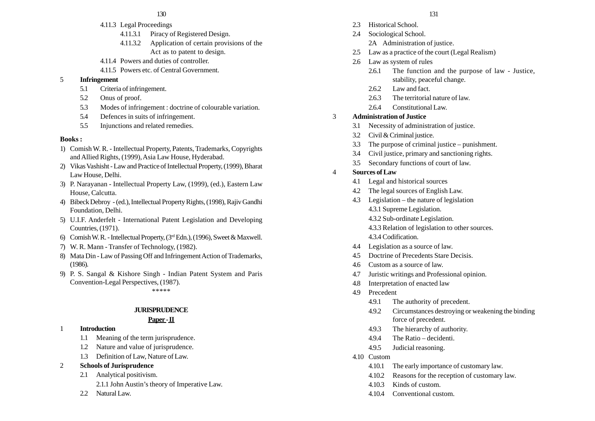- 4.11.3 Legal Proceedings
	- 4.11.3.1 Piracy of Registered Design.
	- 4.11.3.2 Application of certain provisions of the Act as to patent to design.
- 4.11.4 Powers and duties of controller.
- 4.11.5 Powers etc. of Central Government.

#### 5 **Infringement**

- 5.1 Criteria of infringement.
- 5.2 Onus of proof.
- 5.3 Modes of infringement : doctrine of colourable variation.
- 5.4 Defences in suits of infringement.
- 5.5 Injunctions and related remedies.

#### **Books :**

- 1) Comish W. R. Intellectual Property, Patents, Trademarks, Copyrights and Allied Rights, (1999), Asia Law House, Hyderabad.
- 2) Vikas Vashisht Law and Practice of Intellectual Property, (1999), Bharat Law House, Delhi.
- 3) P. Narayanan Intellectual Property Law, (1999), (ed.), Eastern Law House, Calcutta.
- 4) Bibeck Debroy (ed.), Intellectual Property Rights, (1998), Rajiv Gandhi Foundation, Delhi.
- 5) U.I.F. Anderfelt International Patent Legislation and Developing Countries, (1971).
- 6) Comish W. R. Intellectual Property, (3rd Edn.), (1996), Sweet & Maxwell.
- 7) W. R. Mann Transfer of Technology, (1982).
- 8) Mata Din Law of Passing Off and Infringement Action of Trademarks, (1986).
- 9) P. S. Sangal & Kishore Singh Indian Patent System and Paris Convention-Legal Perspectives, (1987).

\*\*\*\*\*

#### **JURISPRUDENCE**

#### **Paper - II**

- 1 **Introduction**
	- 1.1 Meaning of the term jurisprudence.
	- 1.2 Nature and value of jurisprudence.
	- 1.3 Definition of Law, Nature of Law.
- 2 **Schools of Jurisprudence**
	- 2.1 Analytical positivism.
		- 2.1.1 John Austin's theory of Imperative Law.
	- 2.2 Natural Law.
- 130 131
	- 2.3 Historical School.
	- 2.4 Sociological School.
		- 2A Administration of justice.
	- 2.5 Law as a practice of the court (Legal Realism)
	- 2.6 Law as system of rules
		- 2.6.1 The function and the purpose of law Justice, stability, peaceful change.
		- 2.6.2 Law and fact.
		- 2.6.3 The territorial nature of law.
		- 2.6.4 Constitutional Law.

## 3 **Administration of Justice**

- 3.1 Necessity of administration of justice.
- 3.2 Civil & Criminal justice.
- 3.3 The purpose of criminal justice punishment.
- 3.4 Civil justice, primary and sanctioning rights.
- 3.5 Secondary functions of court of law.
- 4 **Sources of Law**
	- 4.1 Legal and historical sources
	- 4.2 The legal sources of English Law.
	- 4.3 Legislation the nature of legislation 4.3.1 Supreme Legislation.
		- 4.3.2 Sub-ordinate Legislation.
		- 4.3.3 Relation of legislation to other sources.
		- 4.3.4 Codification.
	- 4.4 Legislation as a source of law.
	- 4.5 Doctrine of Precedents Stare Decisis.
	- 4.6 Custom as a source of law.
	- 4.7 Juristic writings and Professional opinion.
	- 4.8 Interpretation of enacted law
	- 4.9 Precedent
		- 4.9.1 The authority of precedent.
		- 4.9.2 Circumstances destroying or weakening the binding force of precedent.
		- 4.9.3 The hierarchy of authority.
		- 4.9.4 The Ratio decidenti.
		- 4.9.5 Judicial reasoning.
	- 4.10 Custom
		- 4.10.1 The early importance of customary law.
		- 4.10.2 Reasons for the reception of customary law.
		- 4.10.3 Kinds of custom.
		- 4.10.4 Conventional custom.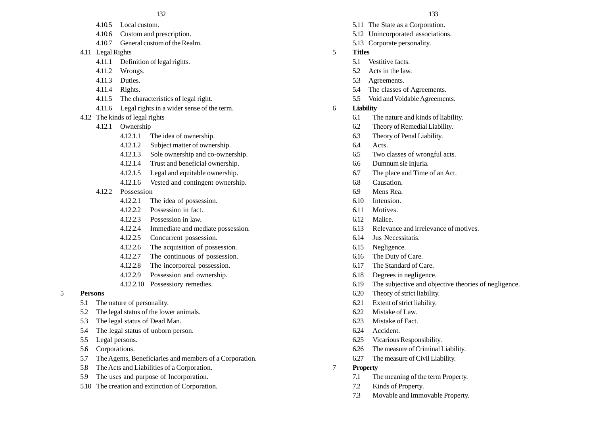- 4.10.5 Local custom.
- 4.10.6 Custom and prescription.
- 4.10.7 General custom of the Realm.
- 4.11 Legal Rights
	- 4.11.1 Definition of legal rights.
	- 4.11.2 Wrongs.
	- 4.11.3 Duties.
	- 4.11.4 Rights.
	- 4.11.5 The characteristics of legal right.
	- 4.11.6 Legal rights in a wider sense of the term.
- 4.12 The kinds of legal rights
	- 4.12.1 Ownership
		- 4.12.1.1 The idea of ownership.
		- 4.12.1.2 Subject matter of ownership.
		- 4.12.1.3 Sole ownership and co-ownership.
		- 4.12.1.4 Trust and beneficial ownership.
		- 4.12.1.5 Legal and equitable ownership.
		- 4.12.1.6 Vested and contingent ownership.
	- 4.12.2 Possession
		- 4.12.2.1 The idea of possession.
		- 4.12.2.2 Possession in fact.
		- 4.12.2.3 Possession in law.
		- 4.12.2.4 Immediate and mediate possession.
		- 4.12.2.5 Concurrent possession.
		- 4.12.2.6 The acquisition of possession.
		- 4.12.2.7 The continuous of possession.
		- 4.12.2.8 The incorporeal possession.
		- 4.12.2.9 Possession and ownership.
		- 4.12.2.10 Possessiory remedies.

## 5 **Persons**

- 5.1 The nature of personality.
- 5.2 The legal status of the lower animals.
- 5.3 The legal status of Dead Man.
- 5.4 The legal status of unborn person.
- 5.5 Legal persons.
- 5.6 Corporations.
- 5.7 The Agents, Beneficiaries and members of a Corporation.
- 5.8 The Acts and Liabilities of a Corporation.
- 5.9 The uses and purpose of Incorporation.
- 5.10 The creation and extinction of Corporation.
- 5.11 The State as a Corporation.
- 5.12 Unincorporated associations.
- 5.13 Corporate personality.
- 5 **Titles**
	- 5.1 Vestitive facts.
	- 5.2 Acts in the law.
	- 5.3 Agreements.
	- 5.4 The classes of Agreements.
	- 5.5 Void and Voidable Agreements.
- 6 **Liability**
	- 6.1 The nature and kinds of liability.
	- 6.2 Theory of Remedial Liability.
	- 6.3 Theory of Penal Liability.
	- 6.4 Acts.
	- 6.5 Two classes of wrongful acts.
	- 6.6 Dumnum sie Injuria.
	- 6.7 The place and Time of an Act.
	- 6.8 Causation.
	- 6.9 Mens Rea.
	- 6.10 Intension.
	- 6.11 Motives.
	- 6.12 Malice.
	- 6.13 Relevance and irrelevance of motives.
	- 6.14 Jus Necessitatis.
	- 6.15 Negligence.
	- 6.16 The Duty of Care.
	- 6.17 The Standard of Care.
	- 6.18 Degrees in negligence.
	- 6.19 The subjective and objective theories of negligence.
	- 6.20 Theory of strict liability.
	- 6.21 Extent of strict liability.
	- 6.22 Mistake of Law.
	- 6.23 Mistake of Fact.
	- 6.24 Accident.
	- 6.25 Vicarious Responsibility.
	- 6.26 The measure of Criminal Liability.
	- 6.27 The measure of Civil Liability.
- 7 **Property**
	- 7.1 The meaning of the term Property.
	- 7.2 Kinds of Property.
	- 7.3 Movable and Immovable Property.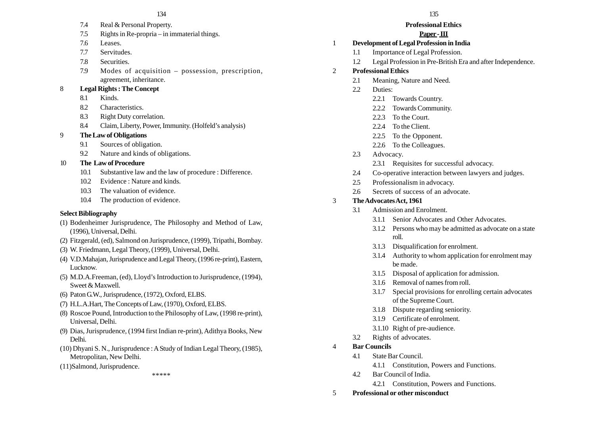- 7.4 Real & Personal Property.
- 7.5 Rights in Re-propria in immaterial things.
- 7.6 Leases.
- 7.7 Servitudes.
- 7.8 Securities.
- 7.9 Modes of acquisition possession, prescription, agreement, inheritance.

## 8 **Legal Rights : The Concept**

- 8.1 Kinds.
- 8.2 Characteristics.
- 8.3 Right Duty correlation.
- 8.4 Claim, Liberty, Power, Immunity. (Holfeld's analysis)

## 9 **The Law of Obligations**

- 9.1 Sources of obligation.
- 9.2 Nature and kinds of obligations.
- 10 **The Law of Procedure**
	- 10.1 Substantive law and the law of procedure : Difference.
	- 10.2 Evidence : Nature and kinds.
	- 10.3 The valuation of evidence.
	- 10.4 The production of evidence.

## **Select Bibliography**

- (1) Bodenheimer Jurisprudence, The Philosophy and Method of Law, (1996), Universal, Delhi.
- (2) Fitzgerald, (ed), Salmond on Jurisprudence, (1999), Tripathi, Bombay.
- (3) W. Friedmann, Legal Theory, (1999), Universal, Delhi.
- (4) V.D.Mahajan, Jurisprudence and Legal Theory, (1996 re-print), Eastern, Lucknow.
- (5) M.D.A.Freeman, (ed), Lloyd's Introduction to Jurisprudence, (1994), Sweet & Maxwell.
- (6) Paton G.W., Jurisprudence, (1972), Oxford, ELBS.
- (7) H.L.A.Hart, The Concepts of Law, (1970), Oxford, ELBS.
- (8) Roscoe Pound, Introduction to the Philosophy of Law, (1998 re-print), Universal, Delhi.
- (9) Dias, Jurisprudence, (1994 first Indian re-print), Adithya Books, New Delhi.
- (10) Dhyani S. N., Jurisprudence : A Study of Indian Legal Theory, (1985), Metropolitan, New Delhi.
- (11)Salmond, Jurisprudence.

\*\*\*\*\*

## **Professional Ethics**

## **Paper - III**

## 1 **Development of Legal Profession in India**

- 1.1 Importance of Legal Profession.
- 1.2 Legal Profession in Pre-British Era and after Independence.

## 2 **Professional Ethics**

- 2.1 Meaning, Nature and Need.
- 2.2 Duties:
	- 2.2.1 Towards Country.
	- 2.2.2 Towards Community.
	- 2.2.3 To the Court.
	- 2.2.4 To the Client.
	- 2.2.5 To the Opponent.
	- 2.2.6 To the Colleagues.
- 2.3 Advocacy.
	- 2.3.1 Requisites for successful advocacy.
- 2.4 Co-operative interaction between lawyers and judges.
- 2.5 Professionalism in advocacy.
- 2.6 Secrets of success of an advocate.

## 3 **The Advocates Act, 1961**

- 3.1 Admission and Enrolment.
	- 3.1.1 Senior Advocates and Other Advocates.
	- 3.1.2 Persons who may be admitted as advocate on a state roll.
	- 3.1.3 Disqualification for enrolment.
	- 3.1.4 Authority to whom application for enrolment may be made.
	- 3.1.5 Disposal of application for admission.
	- 3.1.6 Removal of names from roll.
	- 3.1.7 Special provisions for enrolling certain advocates of the Supreme Court.
	- 3.1.8 Dispute regarding seniority.
	- 3.1.9 Certificate of enrolment.
	- 3.1.10 Right of pre-audience.
- 3.2 Rights of advocates.
- 4 **Bar Councils**
	- 4.1 State Bar Council.
		- 4.1.1 Constitution, Powers and Functions.
	- 4.2 Bar Council of India.
		- 4.2.1 Constitution, Powers and Functions.
- 5 **Professional or other misconduct**
- 
-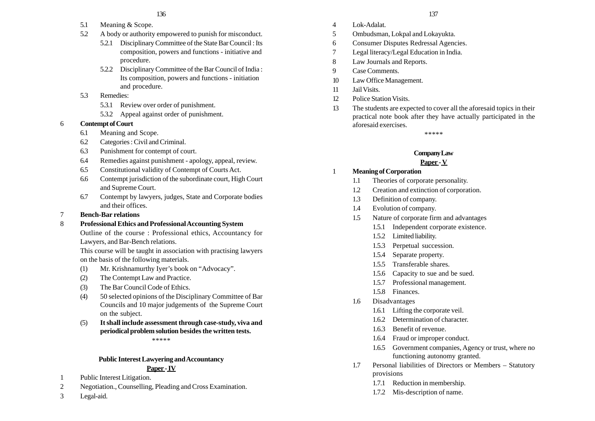- 5.1 Meaning & Scope.
- 5.2 A body or authority empowered to punish for misconduct.
	- 5.2.1 Disciplinary Committee of the State Bar Council : Its composition, powers and functions - initiative and procedure.
	- 5.2.2 Disciplinary Committee of the Bar Council of India : Its composition, powers and functions - initiation and procedure.
- 5.3 Remedies:
	- 5.3.1 Review over order of punishment.
	- 5.3.2 Appeal against order of punishment.

## 6 **Contempt of Court**

- 6.1 Meaning and Scope.
- 6.2 Categories : Civil and Criminal.
- 6.3 Punishment for contempt of court.
- 6.4 Remedies against punishment apology, appeal, review.
- 6.5 Constitutional validity of Contempt of Courts Act.
- 6.6 Contempt jurisdiction of the subordinate court, High Court and Supreme Court.
- 6.7 Contempt by lawyers, judges, State and Corporate bodies and their offices.
- 7 **Bench-Bar relations**
- 8 **Professional Ethics and Professional Accounting System**

Outline of the course : Professional ethics, Accountancy for Lawyers, and Bar-Bench relations.

This course will be taught in association with practising lawyers on the basis of the following materials.

- (1) Mr. Krishnamurthy Iyer's book on "Advocacy".
- (2) The Contempt Law and Practice.
- (3) The Bar Council Code of Ethics.
- (4) 50 selected opinions of the Disciplinary Committee of Bar Councils and 10 major judgements of the Supreme Court on the subject.
- (5) **It shall include assessment through case-study, viva and periodical problem solution besides the written tests.**

\*\*\*\*\*

## **Public Interest Lawyering and Accountancy Paper - IV**

- 1 Public Interest Litigation.
- 2 Negotiation., Counselling, Pleading and Cross Examination.
- 3 Legal-aid.
- 4 Lok-Adalat.
- 5 Ombudsman, Lokpal and Lokayukta.
- 6 Consumer Disputes Redressal Agencies.
- 7 Legal literacy/Legal Education in India.
- 8 Law Journals and Reports.
- 9 Case Comments.
- 10 Law Office Management.
- 11 Jail Visits.
- 12 Police Station Visits.
- 13 The students are expected to cover all the aforesaid topics in their practical note book after they have actually participated in the aforesaid exercises.

\*\*\*\*\*

# **Company Law**

## **Paper - V**

- 1 **Meaning of Corporation**
	- 1.1 Theories of corporate personality.
	- 1.2 Creation and extinction of corporation.
	- 1.3 Definition of company.
	- 1.4 Evolution of company.
	- 1.5 Nature of corporate firm and advantages
		- 1.5.1 Independent corporate existence.
		- 1.5.2 Limited liability.
		- 1.5.3 Perpetual succession.
		- 1.5.4 Separate property.
		- 1.5.5 Transferable shares.
		- 1.5.6 Capacity to sue and be sued.
		- 1.5.7 Professional management.
		- 1.5.8 Finances.
	- 1.6 Disadvantages
		- 1.6.1 Lifting the corporate veil.
		- 1.6.2 Determination of character.
		- 1.6.3 Benefit of revenue.
		- 1.6.4 Fraud or improper conduct.
		- 1.6.5 Government companies, Agency or trust, where no functioning autonomy granted.
	- 1.7 Personal liabilities of Directors or Members Statutory provisions
		- 1.7.1 Reduction in membership.
		- 1.7.2 Mis-description of name.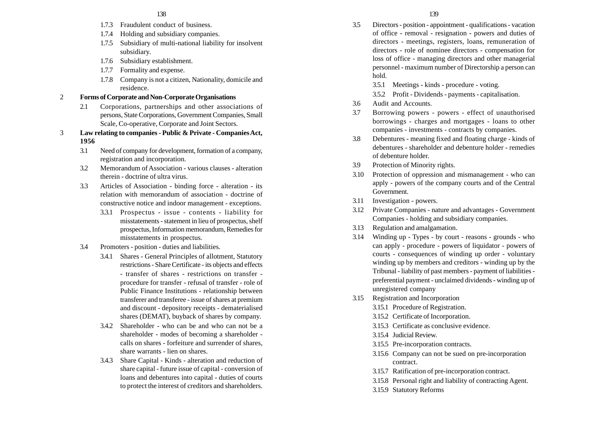- 1.7.3 Fraudulent conduct of business.
- 1.7.4 Holding and subsidiary companies.
- 1.7.5 Subsidiary of multi-national liability for insolvent subsidiary.
- 1.7.6 Subsidiary establishment.
- 1.7.7 Formality and expense.
- 1.7.8 Company is not a citizen, Nationality, domicile and residence.
- 2 **Forms of Corporate and Non-Corporate Organisations**
	- 2.1 Corporations, partnerships and other associations of persons, State Corporations, Government Companies, Small Scale, Co-operative, Corporate and Joint Sectors.
- 3 **Law relating to companies Public & Private Companies Act, 1956**
	- 3.1 Need of company for development, formation of a company, registration and incorporation.
	- 3.2 Memorandum of Association various clauses alteration therein - doctrine of ultra virus.
	- 3.3 Articles of Association binding force alteration its relation with memorandum of association - doctrine of constructive notice and indoor management - exceptions.
		- 3.3.1 Prospectus issue contents liability for misstatements - statement in lieu of prospectus, shelf prospectus, Information memorandum, Remedies for misstatements in prospectus.
	- 3.4 Promoters position duties and liabilities.
		- 3.4.1 Shares General Principles of allotment, Statutory restrictions - Share Certificate - its objects and effects - transfer of shares - restrictions on transfer procedure for transfer - refusal of transfer - role of Public Finance Institutions - relationship between transferer and transferee - issue of shares at premium and discount - depository receipts - dematerialised shares (DEMAT), buyback of shares by company.
		- 3.4.2 Shareholder who can be and who can not be a shareholder - modes of becoming a shareholder calls on shares - forfeiture and surrender of shares, share warrants - lien on shares.
		- 3.4.3 Share Capital Kinds alteration and reduction of share capital - future issue of capital - conversion of loans and debentures into capital - duties of courts to protect the interest of creditors and shareholders.
- 3.5 Directors position appointment qualifications vacation of office - removal - resignation - powers and duties of directors - meetings, registers, loans, remuneration of directors - role of nominee directors - compensation for
	- loss of office managing directors and other managerial personnel - maximum number of Directorship a person can hold.
	- 3.5.1 Meetings kinds procedure voting.
	- 3.5.2 Profit Dividends payments capitalisation.
- 3.6 Audit and Accounts.
- 3.7 Borrowing powers powers effect of unauthorised borrowings - charges and mortgages - loans to other companies - investments - contracts by companies.
- 3.8 Debentures meaning fixed and floating charge kinds of debentures - shareholder and debenture holder - remedies of debenture holder.
- 3.9 Protection of Minority rights.
- 3.10 Protection of oppression and mismanagement who can apply - powers of the company courts and of the Central Government.
- 3.11 Investigation powers.
- 3.12 Private Companies nature and advantages Government Companies - holding and subsidiary companies.
- 3.13 Regulation and amalgamation.
- 3.14 Winding up Types by court reasons grounds who can apply - procedure - powers of liquidator - powers of courts - consequences of winding up order - voluntary winding up by members and creditors - winding up by the Tribunal - liability of past members - payment of liabilities preferential payment - unclaimed dividends - winding up of unregistered company
- 3.15 Registration and Incorporation
	- 3.15.1 Procedure of Registration.
	- 3.15.2 Certificate of Incorporation.
	- 3.15.3 Certificate as conclusive evidence.
	- 3.15.4 Judicial Review.
	- 3.15.5 Pre-incorporation contracts.
	- 3.15.6 Company can not be sued on pre-incorporation contract.
	- 3.15.7 Ratification of pre-incorporation contract.
	- 3.15.8 Personal right and liability of contracting Agent.
	- 3.15.9 Statutory Reforms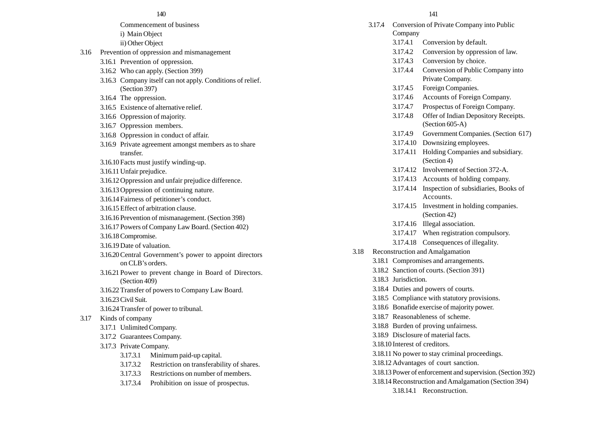- Commencement of business i) Main Object ii) Other Object 3.16 Prevention of oppression and mismanagement 3.16.1 Prevention of oppression. 3.16.2 Who can apply. (Section 399) 3.16.3 Company itself can not apply. Conditions of relief. (Section 397) 3.16.4 The oppression. 3.16.5 Existence of alternative relief. 140 141
	- 3.16.6 Oppression of majority.
	- 3.16.7 Oppression members.
	- 3.16.8 Oppression in conduct of affair.
	- 3.16.9 Private agreement amongst members as to share transfer.
	- 3.16.10 Facts must justify winding-up.
	- 3.16.11Unfair prejudice.
	- 3.16.12Oppression and unfair prejudice difference.
	- 3.16.13Oppression of continuing nature.
	- 3.16.14 Fairness of petitioner's conduct.
	- 3.16.15Effect of arbitration clause.
	- 3.16.16 Prevention of mismanagement. (Section 398)
	- 3.16.17 Powers of Company Law Board. (Section 402)
	- 3.16.18 Compromise.
	- 3.16.19 Date of valuation.
	- 3.16.20Central Government's power to appoint directors on CLB's orders.
	- 3.16.21 Power to prevent change in Board of Directors. (Section 409)
	- 3.16.22Transfer of powers to Company Law Board.
	- 3.16.23Civil Suit.
	- 3.16.24Transfer of power to tribunal.

#### 3.17 Kinds of company

- 3.17.1 Unlimited Company.
- 3.17.2 Guarantees Company.
- 3.17.3 Private Company.
	- 3.17.3.1 Minimum paid-up capital.
	- 3.17.3.2 Restriction on transferability of shares.
	- 3.17.3.3 Restrictions on number of members.
	- 3.17.3.4 Prohibition on issue of prospectus.

3.17.4 Conversion of Private Company into Public Company 3.17.4.1 Conversion by default. 3.17.4.2 Conversion by oppression of law. 3.17.4.3 Conversion by choice. 3.17.4.4 Conversion of Public Company into Private Company. 3.17.4.5 Foreign Companies. 3.17.4.6 Accounts of Foreign Company. 3.17.4.7 Prospectus of Foreign Company. 3.17.4.8 Offer of Indian Depository Receipts. (Section 605-A) 3.17.4.9 Government Companies. (Section 617) 3.17.4.10 Downsizing employees. 3.17.4.11 Holding Companies and subsidiary. (Section 4) 3.17.4.12 Involvement of Section 372-A. 3.17.4.13 Accounts of holding company. 3.17.4.14 Inspection of subsidiaries, Books of Accounts. 3.17.4.15 Investment in holding companies. (Section 42) 3.17.4.16 Illegal association. 3.17.4.17 When registration compulsory. 3.17.4.18 Consequences of illegality. 3.18 Reconstruction and Amalgamation 3.18.1 Compromises and arrangements. 3.18.2 Sanction of courts. (Section 391) 3.18.3 Jurisdiction. 3.18.4 Duties and powers of courts. 3.18.5 Compliance with statutory provisions. 3.18.6 Bonafide exercise of majority power. 3.18.7 Reasonableness of scheme. 3.18.8 Burden of proving unfairness. 3.18.9 Disclosure of material facts. 3.18.10 Interest of creditors. 3.18.11 No power to stay criminal proceedings. 3.18.12Advantages of court sanction. 3.18.13 Power of enforcement and supervision. (Section 392) 3.18.14Reconstruction and Amalgamation (Section 394) 3.18.14.1 Reconstruction.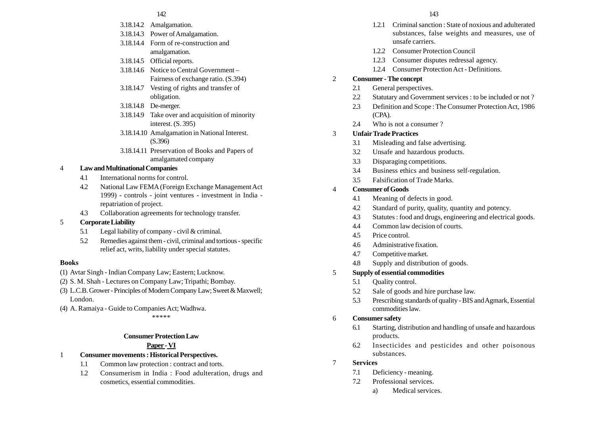#### 142 143

- 3.18.14.2 Amalgamation.
- 3.18.14.3 Power of Amalgamation.
- 3.18.14.4 Form of re-construction and amalgamation.
- 3.18.14.5 Official reports.
- 3.18.14.6 Notice to Central Government Fairness of exchange ratio. (S.394)
- 3.18.14.7 Vesting of rights and transfer of obligation.
- 3.18.14.8 De-merger.
- 3.18.14.9 Take over and acquisition of minority interest. (S. 395)
- 3.18.14.10 Amalgamation in National Interest. (S.396)
- 3.18.14.11 Preservation of Books and Papers of amalgamated company

## 4 **Law and Multinational Companies**

- 4.1 International norms for control.
- 4.2 National Law FEMA (Foreign Exchange Management Act 1999) - controls - joint ventures - investment in India repatriation of project.
- 4.3 Collaboration agreements for technology transfer.
- 5 **Corporate Liability**
	- 5.1 Legal liability of company civil & criminal.
	- 5.2 Remedies against them civil, criminal and tortious specific relief act, writs, liability under special statutes.

#### **Books**

- (1) Avtar Singh Indian Company Law; Eastern; Lucknow.
- (2) S. M. Shah Lectures on Company Law; Tripathi; Bombay.
- (3) L.C.B. Grower Principles of Modern Company Law; Sweet & Maxwell; London.
- (4) A. Ramaiya Guide to Companies Act; Wadhwa.

\*\*\*\*\*

## **Consumer Protection Law**

## **Paper - VI**

- 1 **Consumer movements : Historical Perspectives.**
	- 1.1 Common law protection : contract and torts.
	- 1.2 Consumerism in India : Food adulteration, drugs and cosmetics, essential commodities.
- 1.2.1 Criminal sanction : State of noxious and adulterated substances, false weights and measures, use of unsafe carriers.
- 1.2.2 Consumer Protection Council
- 1.2.3 Consumer disputes redressal agency.
- 1.2.4 Consumer Protection Act Definitions.

#### 2 **Consumer - The concept**

- 2.1 General perspectives.
- 2.2 Statutary and Government services : to be included or not ?
- 2.3 Definition and Scope : The Consumer Protection Act, 1986 (CPA).
- 2.4 Who is not a consumer?

## 3 **Unfair Trade Practices**

- 3.1 Misleading and false advertising.
- 3.2 Unsafe and hazardous products.
- 3.3 Disparaging competitions.
- 3.4 Business ethics and business self-regulation.
- 3.5 Falsification of Trade Marks.

## 4 **Consumer of Goods**

- 4.1 Meaning of defects in good.
- 4.2 Standard of purity, quality, quantity and potency.
- 4.3 Statutes : food and drugs, engineering and electrical goods.
- 4.4 Common law decision of courts.
- 4.5 Price control.
- 4.6 Administrative fixation.
- 4.7 Competitive market.
- 4.8 Supply and distribution of goods.
- 5 **Supply of essential commodities**
	- 5.1 Quality control.
	- 5.2 Sale of goods and hire purchase law.
	- 5.3 Prescribing standards of quality BIS and Agmark, Essential commodities law.

## 6 **Consumer safety**

- 6.1 Starting, distribution and handling of unsafe and hazardous products.
- 6.2 Insecticides and pesticides and other poisonous substances.
- 7 **Services**
	- 7.1 Deficiency meaning.
	- 7.2 Professional services.
		- a) Medical services.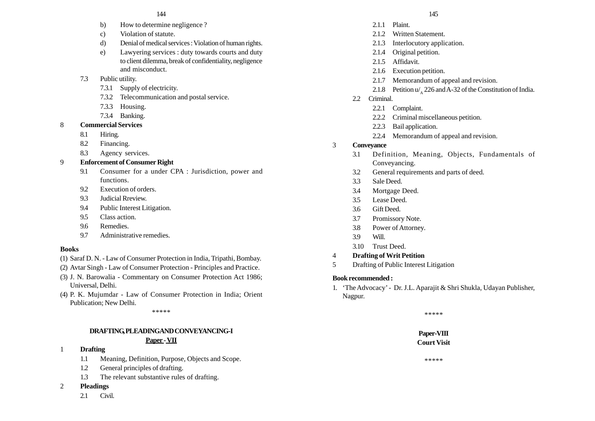- b) How to determine negligence ?
- c) Violation of statute.
- d) Denial of medical services : Violation of human rights.
- e) Lawyering services : duty towards courts and duty to client dilemma, break of confidentiality, negligence and misconduct.
- 7.3 Public utility.
	- 7.3.1 Supply of electricity.
	- 7.3.2 Telecommunication and postal service.
	- 7.3.3 Housing.
	- 7.3.4 Banking.
- 8 **Commercial Services**
	- 8.1 Hiring.
	- 8.2 Financing.
	- 8.3 Agency services.
- 9 **Enforcement of Consumer Right**
	- 9.1 Consumer for a under CPA : Jurisdiction, power and functions.
	- 9.2 Execution of orders.
	- 9.3 Judicial Rreview.
	- 9.4 Public Interest Litigation.
	- 9.5 Class action.
	- 9.6 Remedies.
	- 9.7 Administrative remedies.

## **Books**

- (1) Saraf D. N. Law of Consumer Protection in India, Tripathi, Bombay.
- (2) Avtar Singh Law of Consumer Protection Principles and Practice.
- (3) J. N. Barowalia Commentary on Consumer Protection Act 1986; Universal, Delhi.
- (4) P. K. Mujumdar Law of Consumer Protection in India; Orient Publication; New Delhi.

\*\*\*\*\*

#### **DRAFTING, PLEADING AND CONVEYANCING-I Paper - VII**

## 1 **Drafting**

- 1.1 Meaning, Definition, Purpose, Objects and Scope.
- 1.2 General principles of drafting.
- 1.3 The relevant substantive rules of drafting.

## 2 **Pleadings**

2.1 Civil.

- 2.1.1 Plaint.
- 2.1.2 Written Statement.
- 2.1.3 Interlocutory application.
- 2.1.4 Original petition.
- 2.1.5 Affidavit.
- 2.1.6 Execution petition.
- 2.1.7 Memorandum of appeal and revision.
- 2.1.8 Petition  $u'_{\lambda}$  226 and A-32 of the Constitution of India.
- 2.2 Criminal.
	- 2.2.1 Complaint.
	- 2.2.2 Criminal miscellaneous petition.
	- 2.2.3 Bail application.
	- 2.2.4 Memorandum of appeal and revision.
- 3 **Conveyance**
	- 3.1 Definition, Meaning, Objects, Fundamentals of Conveyancing.
	- 3.2 General requirements and parts of deed.
	- 3.3 Sale Deed.
	- 3.4 Mortgage Deed.
	- 3.5 Lease Deed.
	- 3.6 Gift Deed.
	- 3.7 Promissory Note.
	- 3.8 Power of Attorney.
	- 3.9 Will.
	- 3.10 Trust Deed.
- 4 **Drafting of Writ Petition**
- 5 Drafting of Public Interest Litigation

## **Book recommended :**

1. 'The Advocacy' - Dr. J.L. Aparajit & Shri Shukla, Udayan Publisher, Nagpur.

\*\*\*\*\*

**Paper-VIII Court Visit**

\*\*\*\*\*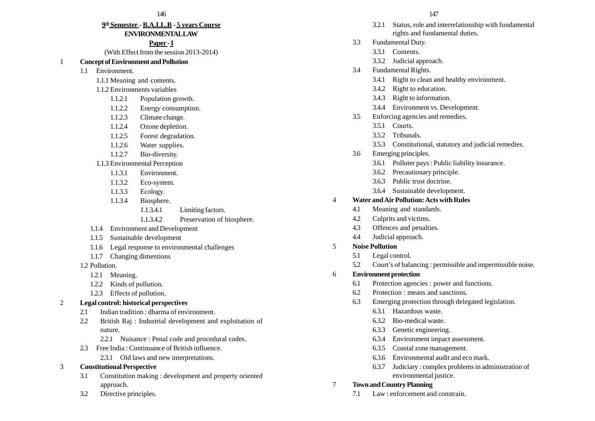# **9th Semester - B.A.LL.B - 5 years Course**

# **ENVIRONMENTAL LAW**

#### **Paper - I**

(With Effect from the session 2013-2014)

#### 1 **Concept of Environment and Pollution**

- 1.1 Environment.
	- 1.1.1 Meaning and contents.
	- 1.1.2 Environments variables
		- 1.1.2.1 Population growth.
		- 1.1.2.2 Energy consumption.
		- 1.1.2.3 Climate change.
		- 1.1.2.4 Ozone depletion.
		- 1.1.2.5 Forest degradation.
		- 1.1.2.6 Water supplies.
		- 1.1.2.7 Bio-diversity.
	- 1.1.3 Environmental Perception
		- 1.1.3.1 Environment.
		- 1.1.3.2 Eco-system.
		- 1.1.3.3 Ecology.
		- 1.1.3.4 Biosphere.
			- 1.1.3.4.1 Limiting factors.

### 1.1.3.4.2 Preservation of biosphere.

- 1.1.4 Environment and Development
- 1.1.5 Sustainable development
- 1.1.6 Legal response to environmental challenges
- 1.1.7 Changing dimentions
- 1.2 Pollution.
	- 1.2.1 Meaning.
	- 1.2.2 Kinds of pollution.
	- 1.2.3 Effects of pollution.
- 2 **Legal control: historical perspectives**
	- 2.1 Indian tradition : dharma of environment.
	- 2.2 British Raj : Industrial development and exploitation of nature.
		- 2.2.1 Nuisance : Penal code and procedural codes.
	- 2.3 Free India : Continuance of British influence.
		- 2.3.1 Old laws and new interpretations.

#### 3 **Constitutional Perspective**

- 3.1 Constitution making : development and property oriented approach.
- 3.2 Directive principles.
- 3.2.1 Status, role and interrelationship with fundamental rights and fundamental duties.
- 3.3 Fundamental Duty.
	- 3.3.1 Contents.
	- 3.3.2 Judicial approach.
- 3.4 Fundamental Rights.
	- 3.4.1 Right to clean and healthy environment.
	- 3.4.2 Right to education.
	- 3.4.3 Right to information.
	- 3.4.4 Environment vs. Development.
- 3.5 Enforcing agencies and remedies.
	- 3.5.1 Courts.
	- 3.5.2 Tribunals.
	- 3.5.3 Constitutional, statutory and judicial remedies.
- 3.6 Emerging principles.
	- 3.6.1 Polluter pays : Public liability insurance.
	- 3.6.2 Precautionary principle.
	- 3.6.3 Public trust doctrine.
	- 3.6.4 Sustainable development.

#### 4 **Water and Air Pollution: Acts with Rules**

- 4.1 Meaning and standards.
- 4.2 Culprits and victims.
- 4.3 Offences and penalties.
- 4.4 Judicial approach.

#### 5 **Noise Pollution**

- 5.1 Legal control.
- 5.2 Court's of balancing : permissible and impermissible noise.
- 6 **Environment protection**
	- 6.1 Protection agencies : power and functions.
	- 6.2 Protection : means and sanctions.
	- 6.3 Emerging protection through delegated legislation.
		-
		- 6.3.2 Bio-medical waste.
		- 6.3.3 Genetic engineering.
		- 6.3.4 Environment impact assessment.
		- 6.3.5 Coastal zone management.
		- 6.3.6 Environmental audit and eco mark.
		- 6.3.7 Judiciary : complex problems in administration of environmental justice.

#### 7 **Town and Country Planning**

7.1 Law : enforcement and constrain.

- 
- -
- - 6.3.1 Hazardous waste.
	-
	-
	-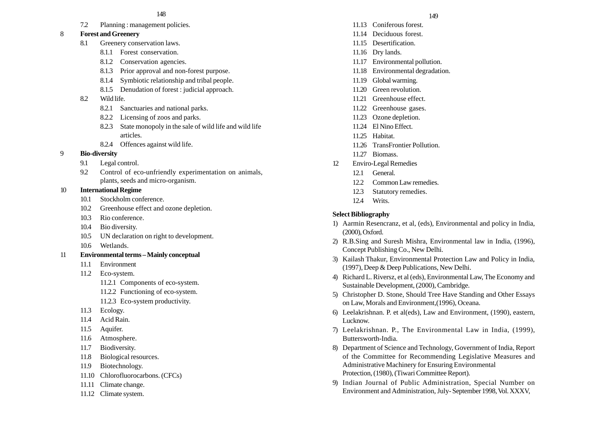7.2 Planning : management policies.

### 8 **Forest and Greenery**

- 8.1 Greenery conservation laws.
	- 8.1.1 Forest conservation.
	- 8.1.2 Conservation agencies.
	- 8.1.3 Prior approval and non-forest purpose.
	- 8.1.4 Symbiotic relationship and tribal people.
	- 8.1.5 Denudation of forest : judicial approach.
- 8.2 Wild life.
	- 8.2.1 Sanctuaries and national parks.
	- 8.2.2 Licensing of zoos and parks.
	- 8.2.3 State monopoly in the sale of wild life and wild life articles.
	- 8.2.4 Offences against wild life.

### 9 **Bio-diversity**

- 9.1 Legal control.
- 9.2 Control of eco-unfriendly experimentation on animals, plants, seeds and micro-organism.

### 10 **International Regime**

- 10.1 Stockholm conference.
- 10.2 Greenhouse effect and ozone depletion.
- 10.3 Rio conference.
- 10.4 Bio diversity.
- 10.5 UN declaration on right to development.
- 10.6 Wetlands.
- 11 **Environmental terms Mainly conceptual**
	- 11.1 Environment
	- 11.2 Eco-system.
		- 11.2.1 Components of eco-system.
		- 11.2.2 Functioning of eco-system.
		- 11.2.3 Eco-system productivity.
	- 11.3 Ecology.
	- 11.4 Acid Rain.
	- 11.5 Aquifer.
	- 11.6 Atmosphere.
	- 11.7 Biodiversity.
	- 11.8 Biological resources.
	- 11.9 Biotechnology.
	- 11.10 Chlorofluorocarbons. (CFCs)
	- 11.11 Climate change.
	- 11.12 Climate system.
- 11.13 Coniferous forest.
- 11.14 Deciduous forest.
- 11.15 Desertification.
- 11.16 Dry lands.
- 11.17 Environmental pollution.
- 11.18 Environmental degradation.
- 11.19 Global warming.
- 11.20 Green revolution.
- 11.21 Greenhouse effect.
- 11.22 Greenhouse gases.
- 11.23 Ozone depletion.
- 11.24 El Nino Effect.
- 11.25 Habitat.
- 11.26 TransFrontier Pollution.
- 11.27 Biomass.
- 12 Enviro-Legal Remedies
	- 12.1 General.
	- 12.2 Common Law remedies.
	- 12.3 Statutory remedies.
	- 12.4 Writs.

# **Select Bibliography**

- 1) Aarmin Resencranz, et al, (eds), Environmental and policy in India, (2000), Oxford.
- 2) R.B.Sing and Suresh Mishra, Environmental law in India, (1996), Concept Publishing Co., New Delhi.
- 3) Kailash Thakur, Environmental Protection Law and Policy in India, (1997), Deep & Deep Publications, New Delhi.
- 4) Richard L. Riversz, et al (eds), Environmental Law, The Economy and Sustainable Development, (2000), Cambridge.
- 5) Christopher D. Stone, Should Tree Have Standing and Other Essays on Law, Morals and Environment,(1996), Oceana.
- 6) Leelakrishnan. P. et al(eds), Law and Environment, (1990), eastern, Lucknow.
- 7) Leelakrishnan. P., The Environmental Law in India, (1999), Buttersworth-India.
- 8) Department of Science and Technology, Government of India, Report of the Committee for Recommending Legislative Measures and Administrative Machinery for Ensuring Environmental Protection, (1980), (Tiwari Committee Report).
- 9) Indian Journal of Public Administration, Special Number on Environment and Administration, July- September 1998, Vol. XXXV,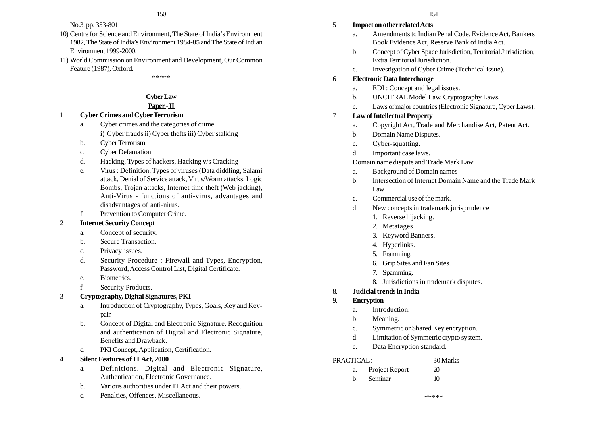- 10) Centre for Science and Environment, The State of India's Environment 1982, The State of India's Environment 1984-85 and The State of Indian Environment 1999-2000.
- 11) World Commission on Environment and Development, Our Common Feature (1987), Oxford.

\*\*\*\*\*

# **Cyber Law**

# **Paper - II**

- 1 **Cyber Crimes and Cyber Terrorism**
	- a. Cyber crimes and the categories of crime i) Cyber frauds ii) Cyber thefts iii) Cyber stalking
	- b. Cyber Terrorism
	- c. Cyber Defamation
	- d. Hacking, Types of hackers, Hacking v/s Cracking
	- e. Virus : Definition, Types of viruses (Data diddling, Salami attack, Denial of Service attack, Virus/Worm attacks, Logic Bombs, Trojan attacks, Internet time theft (Web jacking), Anti-Virus - functions of anti-virus, advantages and disadvantages of anti-nirus.
	- f. Prevention to Computer Crime.

### 2 **Internet Security Concept**

- a. Concept of security.
- b. Secure Transaction.
- c. Privacy issues.
- d. Security Procedure : Firewall and Types, Encryption, Password, Access Control List, Digital Certificate.
- e. Biometrics.
- f. Security Products.

# 3 **Cryptography, Digital Signatures, PKI**

- a. Introduction of Cryptography, Types, Goals, Key and Keypair.
- b. Concept of Digital and Electronic Signature, Recognition and authentication of Digital and Electronic Signature, Benefits and Drawback.
- c. PKI Concept, Application, Certification.

### 4 **Silent Features of IT Act, 2000**

- a. Definitions. Digital and Electronic Signature, Authentication, Electronic Governance.
- b. Various authorities under IT Act and their powers.
- c. Penalties, Offences, Miscellaneous.

### 5 **Impact on other related Acts**

- a. Amendments to Indian Penal Code, Evidence Act, Bankers Book Evidence Act, Reserve Bank of India Act.
- b. Concept of Cyber Space Jurisdiction, Territorial Jurisdiction, Extra Territorial Jurisdiction.
- c. Investigation of Cyber Crime (Technical issue).

# 6 **Electronic Data Interchange**

- a. EDI : Concept and legal issues.
- b. UNCITRAL Model Law, Cryptography Laws.
- c. Laws of major countries (Electronic Signature, Cyber Laws).

### 7 **Law of Intellectual Property**

- a. Copyright Act, Trade and Merchandise Act, Patent Act.
- b. Domain Name Disputes.
- c. Cyber-squatting.
- d. Important case laws.

### Domain name dispute and Trade Mark Law

- a. Background of Domain names
- b. Intersection of Internet Domain Name and the Trade Mark Law
- c. Commercial use of the mark.
- d. New concepts in trademark jurisprudence
	- 1. Reverse hijacking.
	- 2. Metatages
	- 3. Keyword Banners.
	- 4. Hyperlinks.
	- 5. Framming.
	- 6. Grip Sites and Fan Sites.
	- 7. Spamming.
	- 8. Jurisdictions in trademark disputes.

# 8. **Judicial trends in India**

- 9. **Encryption**
	- a. Introduction.
	- b. Meaning.
	- c. Symmetric or Shared Key encryption.
	- d. Limitation of Symmetric crypto system.
	- e. Data Encryption standard.

### PRACTICAL : 30 Marks

|    | Project Report | $\mathfrak{D}$ |
|----|----------------|----------------|
| h. | Seminar        | 10             |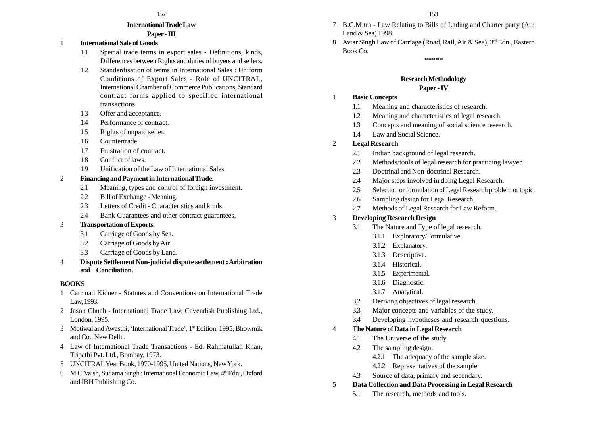#### **International Trade Law**

### **Paper - III**

- 1 **International Sale of Goods**
	- 1.1 Special trade terms in export sales Definitions, kinds, Differences between Rights and duties of buyers and sellers.
	- 1.2 Standerdisation of terms in International Sales : Uniform Conditions of Export Sales - Role of UNCITRAL, International Chamber of Commerce Publications, Standard contract forms applied to specified international transactions.
	- 1.3 Offer and acceptance.
	- 1.4 Performance of contract.
	- 1.5 Rights of unpaid seller.
	- 1.6 Countertrade.
	- 1.7 Frustration of contract.
	- 1.8 Conflict of laws.
	- 1.9 Unification of the Law of International Sales.

### 2 **Financing and Payment in International Trade.**

- 2.1 Meaning, types and control of foreign investment.
- 2.2 Bill of Exchange Meaning.
- 2.3 Letters of Credit Characteristics and kinds.
- 2.4 Bank Guarantees and other contract guarantees.
- 3 **Transportation of Exports.**
	- 3.1 Carriage of Goods by Sea.
	- 3.2 Carriage of Goods by Air.
	- 3.3 Carriage of Goods by Land.
- 4 **Dispute Settlement Non-judicial dispute settlement : Arbitration and Conciliation.**

### **BOOKS**

- 1 Carr nad Kidner Statutes and Conventions on International Trade Law, 1993.
- 2 Jason Chuah International Trade Law, Cavendish Publishing Ltd., London, 1995.
- 3 Motiwal and Awasthi, 'International Trade', 1st Edition, 1995, Bhowmik and Co., New Delhi.
- 4 Law of International Trade Transactions Ed. Rahmatullah Khan, Tripathi Pvt. Ltd., Bombay, 1973.
- 5 UNCITRAL Year Book, 1970-1995, United Nations, New York.
- 6 M.C. Vaish, Sudama Singh : International Economic Law, 4th Edn., Oxford and IBH Publishing Co.
- 7 B.C.Mitra Law Relating to Bills of Lading and Charter party (Air, Land & Sea) 1998.
- 8 Avtar Singh Law of Carriage (Road, Rail, Air & Sea), 3<sup>rd</sup> Edn., Eastern Book Co.

\*\*\*\*\*

# **Research Methodology**

### **Paper - IV**

- 1 **Basic Concepts**
	- 1.1 Meaning and characteristics of research.
	- 1.2 Meaning and characteristics of legal research.
	- 1.3 Concepts and meaning of social science research.
	- 1.4 Law and Social Science.

### 2 **Legal Research**

- 2.1 Indian background of legal research.
- 2.2 Methods/tools of legal research for practicing lawyer.
- 2.3 Doctrinal and Non-doctrinal Research.
- 2.4 Major steps involved in doing Legal Research.
- 2.5 Selection or formulation of Legal Research problem or topic.
- 2.6 Sampling design for Legal Research.
- 2.7 Methods of Legal Research for Law Reform.

### 3 **Developing Research Design**

- 3.1 The Nature and Type of legal research.
	- 3.1.1 Exploratory/Formulative.
	- 3.1.2 Explanatory.
	- 3.1.3 Descriptive.
	- 3.1.4 Historical.
	- 3.1.5 Experimental.
	- 3.1.6 Diagnostic.
	- 3.1.7 Analytical.
- 3.2 Deriving objectives of legal research.
- 3.3 Major concepts and variables of the study.
- 3.4 Developing hypotheses and research questions.

### 4 **The Nature of Data in Legal Research**

- 4.1 The Universe of the study.
- 4.2 The sampling design.
	- 4.2.1 The adequacy of the sample size.
	- 4.2.2 Representatives of the sample.
- 4.3 Source of data, primary and secondary.

### 5 **Data Collection and Data Processing in Legal Research**

- 5.1 The research, methods and tools.
-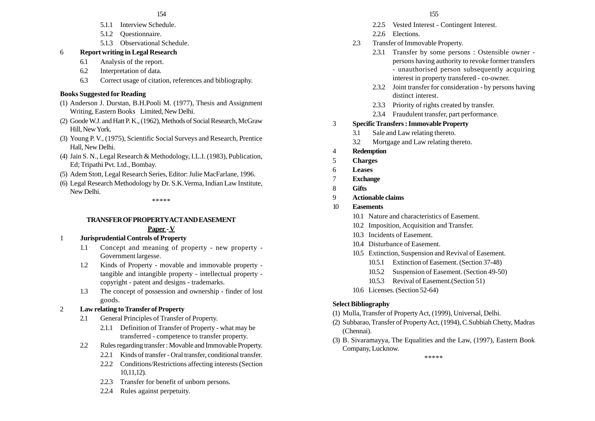- 5.1.1 Interview Schedule.
- 5.1.2 Questionnaire.
- 5.1.3 Observational Schedule.

# 6 **Report writing in Legal Research**

- 6.1 Analysis of the report.
- 6.2 Interpretation of data.
- 6.3 Correct usage of citation, references and bibliography.

# **Books Suggested for Reading**

- (1) Anderson J. Durstan, B.H.Pooli M. (1977), Thesis and Assignment Writing, Eastern Books Limited, New Delhi.
- (2) Goode W.J. and Hatt P. K., (1962), Methods of Social Research, McGraw Hill, New York.
- (3) Young P. V., (1975), Scientific Social Surveys and Research, Prentice Hall, New Delhi.
- (4) Jain S. N., Legal Research & Methodology, I.L.I. (1983), Publication, Ed; Tripathi Pvt. Ltd., Bombay.
- (5) Adem Stott, Legal Research Series, Editor: Julie MacFarlane, 1996.
- (6) Legal Research Methodology by Dr. S.K.Verma, Indian Law Institute, New Delhi.

### \*\*\*\*\*

### **TRANSFER OF PROPERTY ACT AND EASEMENT Paper - V**

# 1 **Jurisprudential Controls of Property**

- 1.1 Concept and meaning of property new property Government largesse.
- 1.2 Kinds of Property movable and immovable property tangible and intangible property - intellectual property copyright - patent and designs - trademarks.
- 1.3 The concept of possession and ownership finder of lost goods.

# 2 **Law relating to Transfer of Property**

- 2.1 General Principles of Transfer of Property.
	- 2.1.1 Definition of Transfer of Property what may be transferred - competence to transfer property.
- 2.2 Rules regarding transfer : Movable and Immovable Property.
	- 2.2.1 Kinds of transfer Oral transfer, conditional transfer.
	- 2.2.2 Conditions/Restrictions affecting interests (Section 10,11,12).
	- 2.2.3 Transfer for benefit of unborn persons.
	- 2.2.4 Rules against perpetuity.
- 2.2.5 Vested Interest Contingent Interest.
- 2.2.6 Elections.
- 2.3 Transfer of Immovable Property.
	- 2.3.1 Transfer by some persons : Ostensible owner persons having authority to revoke former transfers - unauthorised person subsequently acquiring interest in property transfered - co-owner.
	- 2.3.2 Joint transfer for consideration by persons having distinct interest.
	- 2.3.3 Priority of rights created by transfer.
	- 2.3.4 Fraudulent transfer, part performance.

# 3 **Specific Transfers : Immovable Property**

- 3.1 Sale and Law relating thereto.
- 3.2 Mortgage and Law relating thereto.
- 4 **Redemption**
- 5 **Charges**
- 6 **Leases**
- 7 **Exchange**
- 8 **Gifts**
- 9 **Actionable claims**
- 10 **Easements**
	- 10.1 Nature and characteristics of Easement.
	- 10.2 Imposition, Acquisition and Transfer.
	- 10.3 Incidents of Easement.
	- 10.4 Disturbance of Easement.
	- 10.5 Extinction, Suspension and Revival of Easement.
		- 10.5.1 Extinction of Easement. (Section 37-48)
		- 10.5.2 Suspension of Easement. (Section 49-50)
		- 10.5.3 Revival of Easement.(Section 51)
	- 10.6 Licenses. (Section 52-64)

# **Select Bibliography**

- (1) Mulla, Transfer of Property Act, (1999), Universal, Delhi.
- (2) Subbarao, Transfer of Property Act, (1994), C.Subbiah Chetty, Madras (Chennai).
- (3) B. Sivaramayya, The Equalities and the Law, (1997), Eastern Book Company, Lucknow.

\*\*\*\*\*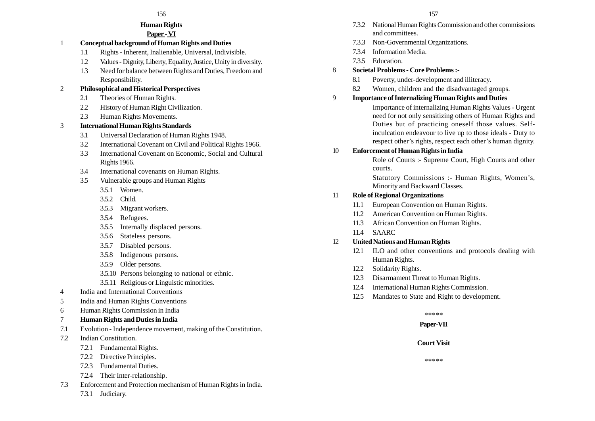### **Human Rights**

# **Paper - VI**

- 1 **Conceptual background of Human Rights and Duties**
	- 1.1 Rights Inherent, Inalienable, Universal, Indivisible.
	- 1.2 Values Dignity, Liberty, Equality, Justice, Unity in diversity.
	- 1.3 Need for balance between Rights and Duties, Freedom and Responsibility.

### 2 **Philosophical and Historical Perspectives**

- 2.1 Theories of Human Rights.
- 2.2 History of Human Right Civilization.
- 2.3 Human Rights Movements.

### 3 **International Human Rights Standards**

- 3.1 Universal Declaration of Human Rights 1948.
- 3.2 International Covenant on Civil and Political Rights 1966.
- 3.3 International Covenant on Economic, Social and Cultural Rights 1966.
- 3.4 International covenants on Human Rights.
- 3.5 Vulnerable groups and Human Rights
	- 3.5.1 Women.
	- 3.5.2 Child.
	- 3.5.3 Migrant workers.
	- 3.5.4 Refugees.
	- 3.5.5 Internally displaced persons.
	- 3.5.6 Stateless persons.
	- 3.5.7 Disabled persons.
	- 3.5.8 Indigenous persons.
	- 3.5.9 Older persons.
	- 3.5.10 Persons belonging to national or ethnic.
	- 3.5.11 Religious or Linguistic minorities.
- 4 India and International Conventions
- 5 India and Human Rights Conventions
- 6 Human Rights Commission in India
- 7 **Human Rights and Duties in India**
- 7.1 Evolution Independence movement, making of the Constitution.
- 7.2 Indian Constitution.
	- 7.2.1 Fundamental Rights.
	- 7.2.2 Directive Principles.
	- 7.2.3 Fundamental Duties.
	- 7.2.4 Their Inter-relationship.
- 7.3 Enforcement and Protection mechanism of Human Rights in India.
	- 7.3.1 Judiciary.
- 7.3.2 National Human Rights Commission and other commissions and committees.
- 7.3.3 Non-Governmental Organizations.
- 7.3.4 Information Media.
- 7.3.5 Education.
- 8 **Societal Problems Core Problems :-**
	- 8.1 Poverty, under-development and illiteracy.
	- 8.2 Women, children and the disadvantaged groups.
- 9 **Importance of Internalizing Human Rights and Duties**

Importance of internalizing Human Rights Values - Urgent need for not only sensitizing others of Human Rights and Duties but of practicing oneself those values. Selfinculcation endeavour to live up to those ideals - Duty to respect other's rights, respect each other's human dignity.

### 10 **Enforcement of Human Rights in India**

Role of Courts :- Supreme Court, High Courts and other courts.

Statutory Commissions :- Human Rights, Women's, Minority and Backward Classes.

### 11 **Role of Regional Organizations**

- 11.1 European Convention on Human Rights.
- 11.2 American Convention on Human Rights.
- 11.3 African Convention on Human Rights.
- 11.4 SAARC

### 12 **United Nations and Human Rights**

- 12.1 ILO and other conventions and protocols dealing with Human Rights.
- 12.2 Solidarity Rights.
- 12.3 Disarmament Threat to Human Rights.
- 12.4 International Human Rights Commission.
- 12.5 Mandates to State and Right to development.

### \*\*\*\*\*

### **Paper-VII**

### **Court Visit**

\*\*\*\*\*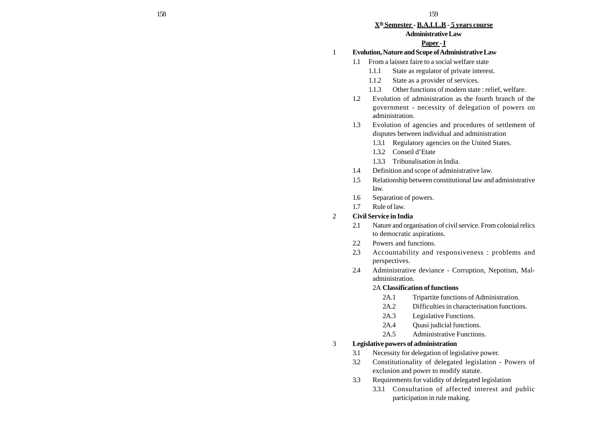#### **Xth Semester - B.A.LL.B - 5 years course**

#### **Administrative Law**

#### **Paper - I**

- 1 **Evolution, Nature and Scope of Administrative Law**
	- 1.1 From a laissez faire to a social welfare state
		- 1.1.1 State as regulator of private interest.
		- 1.1.2 State as a provider of services.
		- 1.1.3 Other functions of modern state : relief, welfare.
	- 1.2 Evolution of administration as the fourth branch of the government - necessity of delegation of powers on administration.
	- 1.3 Evolution of agencies and procedures of settlement of disputes between individual and administration
		- 1.3.1 Regulatory agencies on the United States.
		- 1.3.2 Conseil d'Etate
		- 1.3.3 Tribunalisation in India.
	- 1.4 Definition and scope of administrative law.
	- 1.5 Relationship between constitutional law and administrative law.
	- 1.6 Separation of powers.
	- 1.7 Rule of law.

#### 2 **Civil Service in India**

- 2.1 Nature and organisation of civil service. From colonial relics to democratic aspirations.
- 2.2 Powers and functions.
- 2.3 Accountability and responsiveness : problems and perspectives.
- 2.4 Administrative deviance Corruption, Nepotism, Maladministration.

#### 2A **Classification of functions**

- 2A.1 Tripartite functions of Administration.
- 2A.2 Difficulties in characterisation functions.
- 2A.3 Legislative Functions.
- 2A.4 Quasi judicial functions.
- 2A.5 Administrative Functions.

#### 3 **Legislative powers of administration**

- 3.1 Necessity for delegation of legislative power.
- 3.2 Constitutionality of delegated legislation Powers of exclusion and power to modify statute.
- 3.3 Requirements for validity of delegated legislation
	- 3.3.1 Consultation of affected interest and public participation in rule making.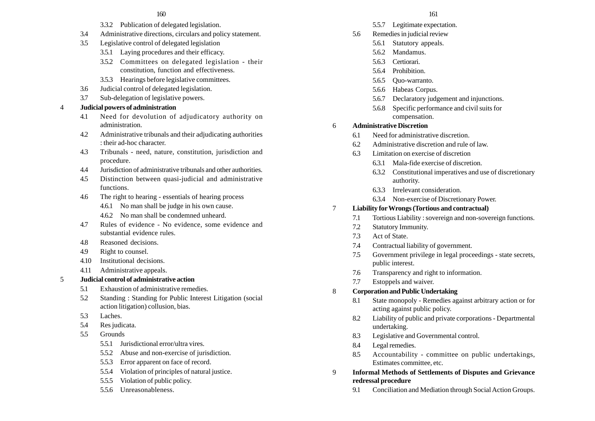- 3.3.2 Publication of delegated legislation.
- 3.4 Administrative directions, circulars and policy statement.
- 3.5 Legislative control of delegated legislation
	- 3.5.1 Laying procedures and their efficacy.
	- 3.5.2 Committees on delegated legislation their constitution, function and effectiveness.
	- 3.5.3 Hearings before legislative committees.
- 3.6 Judicial control of delegated legislation.
- 3.7 Sub-delegation of legislative powers.

### 4 **Judicial powers of administration**

- 4.1 Need for devolution of adjudicatory authority on administration.
- 4.2 Administrative tribunals and their adjudicating authorities : their ad-hoc character.
- 4.3 Tribunals need, nature, constitution, jurisdiction and procedure.
- 4.4 Jurisdiction of administrative tribunals and other authorities.
- 4.5 Distinction between quasi-judicial and administrative functions.
- 4.6 The right to hearing essentials of hearing process
	- 4.6.1 No man shall be judge in his own cause.
	- 4.6.2 No man shall be condemned unheard.
- 4.7 Rules of evidence No evidence, some evidence and substantial evidence rules.
- 4.8 Reasoned decisions.
- 4.9 Right to counsel.
- 4.10 Institutional decisions.
- 4.11 Administrative appeals.

#### 5 **Judicial control of administrative action**

- 5.1 Exhaustion of administrative remedies.
- 5.2 Standing : Standing for Public Interest Litigation (social action litigation) collusion, bias.
- 5.3 Laches.
- 5.4 Res judicata.
- 5.5 Grounds
	- 5.5.1 Jurisdictional error/ultra vires.
	- 5.5.2 Abuse and non-exercise of jurisdiction.
	- 5.5.3 Error apparent on face of record.
	- 5.5.4 Violation of principles of natural justice.
	- 5.5.5 Violation of public policy.
	- 5.5.6 Unreasonableness.
- 5.5.7 Legitimate expectation.
- 5.6 Remedies in judicial review
	- 5.6.1 Statutory appeals.
	- 5.6.2 Mandamus.
	- 5.6.3 Certiorari.
	- 5.6.4 Prohibition.
	- 5.6.5 Quo-warranto.
	- 5.6.6 Habeas Corpus.
	- 5.6.7 Declaratory judgement and injunctions.
	- 5.6.8 Specific performance and civil suits for compensation.

### 6 **Administrative Discretion**

- 6.1 Need for administrative discretion.
- 6.2 Administrative discretion and rule of law.
- 6.3 Limitation on exercise of discretion
	- 6.3.1 Mala-fide exercise of discretion.
	- 6.3.2 Constitutional imperatives and use of discretionary authority.
	- 6.3.3 Irrelevant consideration.
	- 6.3.4 Non-exercise of Discretionary Power.

### 7 **Liability for Wrongs (Tortious and contractual)**

- 7.1 Tortious Liability : sovereign and non-sovereign functions.
- 7.2 Statutory Immunity.
- 7.3 Act of State.
- 7.4 Contractual liability of government.
- 7.5 Government privilege in legal proceedings state secrets, public interest.
- 7.6 Transparency and right to information.
- 7.7 Estoppels and waiver.

### 8 **Corporation and Public Undertaking**

- 8.1 State monopoly Remedies against arbitrary action or for acting against public policy.
- 8.2 Liability of public and private corporations Departmental undertaking.
- 8.3 Legislative and Governmental control.
- 8.4 Legal remedies.
- 8.5 Accountability committee on public undertakings, Estimates committee, etc.
- 9 **Informal Methods of Settlements of Disputes and Grievance redressal procedure**
	- 9.1 Conciliation and Mediation through Social Action Groups.
- -
	-
	-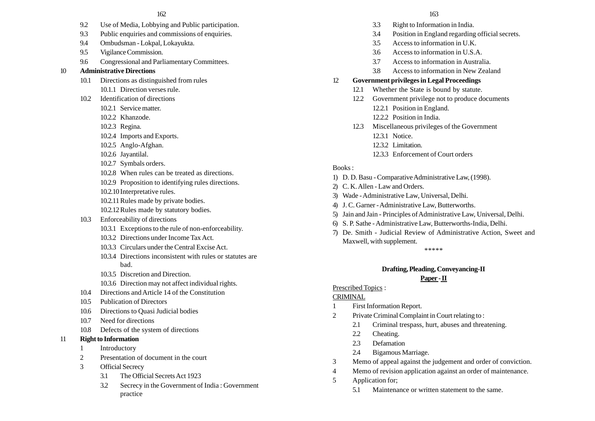- 9.2 Use of Media, Lobbying and Public participation.
- 9.3 Public enquiries and commissions of enquiries.
- 9.4 Ombudsman Lokpal, Lokayukta.
- 9.5 Vigilance Commission.
- 9.6 Congressional and Parliamentary Committees.

#### 10 **Administrative Directions**

- 10.1 Directions as distinguished from rules 10.1.1 Direction verses rule.
- 10.2 Identification of directions
	- 10.2.1 Service matter.
	- 10.2.2 Khanzode.
	- 10.2.3 Regina.
	- 10.2.4 Imports and Exports.
	- 10.2.5 Anglo-Afghan.
	- 10.2.6 Jayantilal.
	- 10.2.7 Symbals orders.
	- 10.2.8 When rules can be treated as directions.
	- 10.2.9 Proposition to identifying rules directions.
	- 10.2.10 Interpretative rules.
	- 10.2.11Rules made by private bodies.
	- 10.2.12Rules made by statutory bodies.
- 10.3 Enforceability of directions
	- 10.3.1 Exceptions to the rule of non-enforceability.
	- 10.3.2 Directions under Income Tax Act.
	- 10.3.3 Circulars under the Central Excise Act.
	- 10.3.4 Directions inconsistent with rules or statutes are bad.
	- 10.3.5 Discretion and Direction.
	- 10.3.6 Direction may not affect individual rights.
- 10.4 Directions and Article 14 of the Constitution
- 10.5 Publication of Directors
- 10.6 Directions to Quasi Judicial bodies
- 10.7 Need for directions
- 10.8 Defects of the system of directions

#### 11 **Right to Information**

- 1 Introductory
- 2 Presentation of document in the court
- 3 Official Secrecy
	- 3.1 The Official Secrets Act 1923
	- 3.2 Secrecy in the Government of India : Government practice
- 3.3 Right to Information in India.
- 3.4 Position in England regarding official secrets.
- 3.5 Access to information in U.K.
- 3.6 Access to information in U.S.A.
- 3.7 Access to information in Australia.
- 3.8 Access to information in New Zealand
- 12 **Government privileges in Legal Proceedings**
	- 12.1 Whether the State is bound by statute.
	- 12.2 Government privilege not to produce documents 12.2.1 Position in England.
		- 12.2.2 Position in India.
	- 12.3 Miscellaneous privileges of the Government 12.3.1 Notice.
		-
		- 12.3.2 Limitation.
		- 12.3.3 Enforcement of Court orders

#### Books :

- 1) D. D. Basu Comparative Administrative Law, (1998).
- 2) C. K. Allen Law and Orders.
- 3) Wade Administrative Law, Universal, Delhi.
- 4) J. C. Garner Administrative Law, Butterworths.
- 5) Jain and Jain Principles of Administrative Law, Universal, Delhi.
- 6) S. P. Sathe Administrative Law, Butterworths-India, Delhi.
- 7) De. Smith Judicial Review of Administrative Action, Sweet and Maxwell, with supplement.

\*\*\*\*\*

# **Drafting, Pleading, Conveyancing-II**

### **Paper - II**

### Prescribed Topics :

#### **CRIMINAL**

- 1 First Information Report.
- 2 Private Criminal Complaint in Court relating to :
	- 2.1 Criminal trespass, hurt, abuses and threatening.
	- 2.2 Cheating.
	- 2.3 Defamation
	- 2.4 Bigamous Marriage.
- 3 Memo of appeal against the judgement and order of conviction.
- 4 Memo of revision application against an order of maintenance.
- 5 Application for;
	- 5.1 Maintenance or written statement to the same.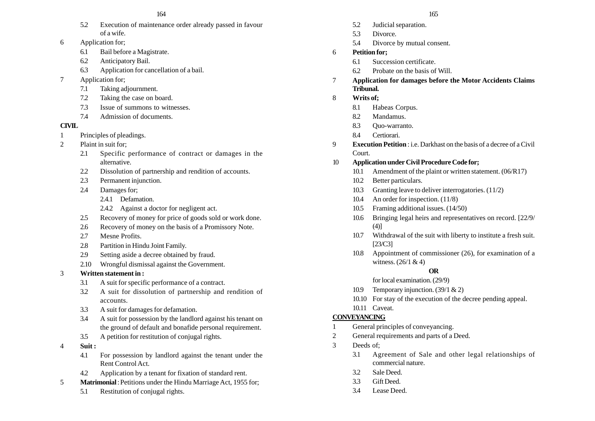- 5.2 Execution of maintenance order already passed in favour of a wife.
- 6 Application for;
	- 6.1 Bail before a Magistrate.
	- 6.2 Anticipatory Bail.
	- 6.3 Application for cancellation of a bail.
- 7 Application for;
	- 7.1 Taking adjournment.
	- 7.2 Taking the case on board.
	- 7.3 Issue of summons to witnesses.
	- 7.4 Admission of documents.

### **CIVIL**

- 1 Principles of pleadings.
- 2 Plaint in suit for;
	- 2.1 Specific performance of contract or damages in the alternative.
	- 2.2 Dissolution of partnership and rendition of accounts.
	- 2.3 Permanent injunction.
	- 2.4 Damages for;
		- 2.4.1 Defamation.
		- 2.4.2 Against a doctor for negligent act.
	- 2.5 Recovery of money for price of goods sold or work done.
	- 2.6 Recovery of money on the basis of a Promissory Note.
	- 2.7 Mesne Profits.
	- 2.8 Partition in Hindu Joint Family.
	- 2.9 Setting aside a decree obtained by fraud.
	- 2.10 Wrongful dismissal against the Government.
- 3 **Written statement in :**
	- 3.1 A suit for specific performance of a contract.
	- 3.2 A suit for dissolution of partnership and rendition of accounts.
	- 3.3 A suit for damages for defamation.
	- 3.4 A suit for possession by the landlord against his tenant on the ground of default and bonafide personal requirement.
	- 3.5 A petition for restitution of conjugal rights.
- 4 **Suit :**
	- 4.1 For possession by landlord against the tenant under the Rent Control Act.
	- 4.2 Application by a tenant for fixation of standard rent.
- 5 **Matrimonial** :Petitions under the Hindu Marriage Act, 1955 for;
	- 5.1 Restitution of conjugal rights.
- 5.2 Judicial separation.
- 5.3 Divorce.
- 5.4 Divorce by mutual consent.
- 6 **Petition for;**
	- 6.1 Succession certificate.
	- 6.2 Probate on the basis of Will.
- 7 **Application for damages before the Motor Accidents Claims Tribunal.**
- 8 **Writs of;**
	- 8.1 Habeas Corpus.
	- 8.2 Mandamus.
	- 8.3 Quo-warranto.
	- 8.4 Certiorari.
- 9 **Execution Petition** : i.e. Darkhast on the basis of a decree of a Civil Court.
- 10 **Application under Civil Procedure Code for;**
	- 10.1 Amendment of the plaint or written statement. (06/R17)
	- 10.2 Better particulars.
	- 10.3 Granting leave to deliver interrogatories. (11/2)
	- 10.4 An order for inspection. (11/8)
	- 10.5 Framing additional issues. (14/50)
	- 10.6 Bringing legal heirs and representatives on record. [22/9/ (4)]
	- 10.7 Withdrawal of the suit with liberty to institute a fresh suit. [23/C3]
	- 10.8 Appointment of commissioner (26), for examination of a witness. (26/1 & 4)

# **OR**

- for local examination. (29/9)
- 10.9 Temporary injunction. (39/1 & 2)
- 10.10 For stay of the execution of the decree pending appeal.
- 10.11 Caveat.

# **CONVEYANCING**

- 1 General principles of conveyancing.
- 2 General requirements and parts of a Deed.
- 3 Deeds of;
	- 3.1 Agreement of Sale and other legal relationships of commercial nature.
	- 3.2. Sale Deed.
	- 3.3 Gift Deed.
	- 3.4 Lease Deed.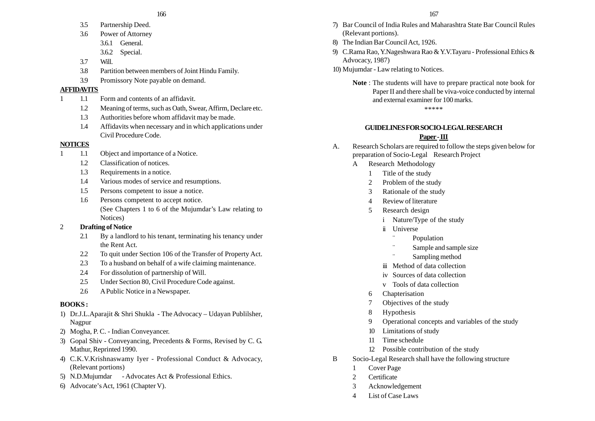- 3.5 Partnership Deed.
- 3.6 Power of Attorney
	- 3.6.1 General.
	- 3.6.2 Special.
- 3.7 Will.
- 3.8 Partition between members of Joint Hindu Family.
- 3.9 Promissory Note payable on demand.

### **AFFIDAVITS**

- 1 1.1 Form and contents of an affidavit.
	- 1.2 Meaning of terms, such as Oath, Swear, Affirm, Declare etc.
	- 1.3 Authorities before whom affidavit may be made.
	- 1.4 Affidavits when necessary and in which applications under Civil Procedure Code.

# **NOTICES**

- 1 1.1 Object and importance of a Notice.
	- 1.2 Classification of notices.
	- 1.3 Requirements in a notice.
	- 1.4 Various modes of service and resumptions.
	- 1.5 Persons competent to issue a notice.
	- 1.6 Persons competent to accept notice. (See Chapters 1 to 6 of the Mujumdar's Law relating to Notices)

# 2 **Drafting of Notice**

- 2.1 By a landlord to his tenant, terminating his tenancy under the Rent Act.
- 2.2 To quit under Section 106 of the Transfer of Property Act.
- 2.3 To a husband on behalf of a wife claiming maintenance.
- 2.4 For dissolution of partnership of Will.
- 2.5 Under Section 80, Civil Procedure Code against.
- 2.6 A Public Notice in a Newspaper.

# **BOOKS :**

- 1) Dr.J.L.Aparajit & Shri Shukla The Advocacy Udayan Publilsher, Nagpur
- 2) Mogha, P. C. Indian Conveyancer.
- 3) Gopal Shiv Conveyancing, Precedents & Forms, Revised by C. G. Mathur, Reprinted 1990.
- 4) C.K.V.Krishnaswamy Iyer Professional Conduct & Advocacy, (Relevant portions)
- 5) N.D.Mujumdar Advocates Act & Professional Ethics.
- 6) Advocate's Act, 1961 (Chapter V).
- 7) Bar Council of India Rules and Maharashtra State Bar Council Rules (Relevant portions).
- 8) The Indian Bar Council Act, 1926.
- 9) C.Rama Rao, Y.Nageshwara Rao & Y.V.Tayaru Professional Ethics & Advocacy, 1987)
- 10) Mujumdar Law relating to Notices.
	- **Note** : The students will have to prepare practical note book for Paper II and there shall be viva-voice conducted by internal and external examiner for 100 marks.

\*\*\*\*\*

### **GUIDELINES FOR SOCIO-LEGAL RESEARCH Paper - III**

- A. Research Scholars are required to follow the steps given below for preparation of Socio-Legal Research Project
	- A Research Methodology
		- 1 Title of the study
		- 2 Problem of the study
		- 3 Rationale of the study
		- 4 Review of literature
		- 5 Research design
			- i Nature/Type of the study
			- ii Universe
				- ¨Population
				- ¨Sample and sample size
				- ¨Sampling method
			- iii Method of data collection
			- iv Sources of data collection
			- <sup>v</sup> Tools of data collection
		- 6 Chapterisation
		- 7 Objectives of the study
		- 8 Hypothesis
		- 9 Operational concepts and variables of the study
		- 10 Limitations of study
		- 11 Time schedule
		- 12 Possible contribution of the study
- B Socio-Legal Research shall have the following structure
	- 1 Cover Page
	- 2 Certificate
	- 3 Acknowledgement
	- 4 List of Case Laws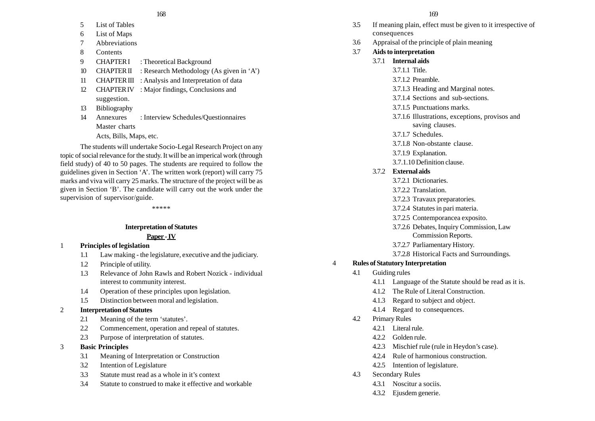#### $168$  169

- 5 List of Tables
- 6 List of Maps
- 7 Abbreviations
- 8 Contents
- 9 CHAPTER I : Theoretical Background
- 10 CHAPTER II : Research Methodology (As given in 'A')
- 11 CHAPTER III : Analysis and Interpretation of data
- 12 CHAPTER IV : Major findings, Conclusions and suggestion.
- 13 Bibliography
- 14 Annexures : Interview Schedules/Questionnaires Master charts
	- Acts, Bills, Maps, etc.

The students will undertake Socio-Legal Research Project on any topic of social relevance for the study. It will be an imperical work (through field study) of 40 to 50 pages. The students are required to follow the guidelines given in Section 'A'. The written work (report) will carry 75 marks and viva will carry 25 marks. The structure of the project will be as given in Section 'B'. The candidate will carry out the work under the supervision of supervisor/guide.

\*\*\*\*\*

### **Interpretation of Statutes**

### **Paper - IV**

### 1 **Principles of legislation**

- 1.1 Law making the legislature, executive and the judiciary.
- 1.2 Principle of utility.
- 1.3 Relevance of John Rawls and Robert Nozick individual interest to community interest.
- 1.4 Operation of these principles upon legislation.
- 1.5 Distinction between moral and legislation.

### 2 **Interpretation of Statutes**

- 2.1 Meaning of the term 'statutes'.
- 2.2 Commencement, operation and repeal of statutes.
- 2.3 Purpose of interpretation of statutes.

### 3 **Basic Principles**

- 3.1 Meaning of Interpretation or Construction
- 3.2 Intention of Legislature
- 3.3 Statute must read as a whole in it's context
- 3.4 Statute to construed to make it effective and workable

- 3.5 If meaning plain, effect must be given to it irrespective of consequences
- 3.6 Appraisal of the principle of plain meaning
- 3.7 **Aids to interpretation**
	- 3.7.1 **Internal aids**
		- 3.7.1.1 Title.
		- 3.7.1.2 Preamble.
		- 3.7.1.3 Heading and Marginal notes.
		- 3.7.1.4 Sections and sub-sections.
		- 3.7.1.5 Punctuations marks.
		- 3.7.1.6 Illustrations, exceptions, provisos and saving clauses.
		- 3.7.1.7 Schedules.
		- 3.7.1.8 Non-obstante clause.
		- 3.7.1.9 Explanation.
		- 3.7.1.10 Definition clause.

### 3.7.2 **External aids**

- 3.7.2.1 Dictionaries.
- 3.7.2.2 Translation.
- 3.7.2.3 Travaux preparatories.
- 3.7.2.4 Statutes in pari materia.
- 3.7.2.5 Contemporancea exposito.
- 3.7.2.6 Debates, Inquiry Commission, Law Commission Reports.
- 3.7.2.7 Parliamentary History.
- 3.7.2.8 Historical Facts and Surroundings.

### 4 **Rules of Statutory Interpretation**

- 4.1 Guiding rules
	- 4.1.1 Language of the Statute should be read as it is.
	- 4.1.2 The Rule of Literal Construction.
	- 4.1.3 Regard to subject and object.
	- 4.1.4 Regard to consequences.
- 4.2 Primary Rules
	- 4.2.1 Literal rule.
	- 4.2.2 Golden rule.
	- 4.2.3 Mischief rule (rule in Heydon's case).
	- 4.2.4 Rule of harmonious construction.
	- 4.2.5 Intention of legislature.
- 4.3 Secondary Rules
	- 4.3.1 Noscitur a sociis.
	- 4.3.2 Ejusdem generie.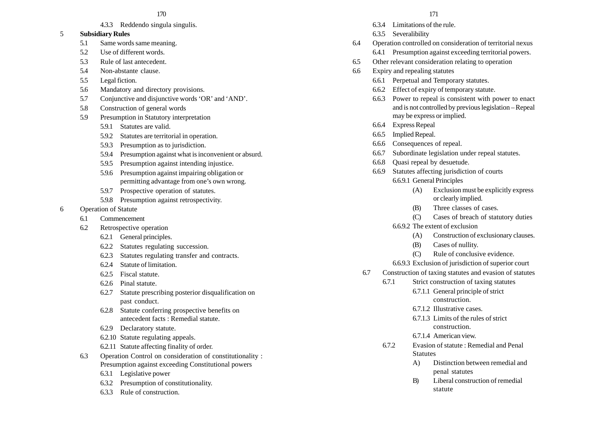4.3.3 Reddendo singula singulis.

#### 5 **Subsidiary Rules**

- 5.1 Same words same meaning.
- 5.2 Use of different words.
- 5.3 Rule of last antecedent.
- 5.4 Non-abstante clause.
- 5.5 Legal fiction.
- 5.6 Mandatory and directory provisions.
- 5.7 Conjunctive and disjunctive words 'OR' and 'AND'.
- 5.8 Construction of general words
- 5.9 Presumption in Statutory interpretation
	- 5.9.1 Statutes are valid.
	- 5.9.2 Statutes are territorial in operation.
	- 5.9.3 Presumption as to jurisdiction.
	- 5.9.4 Presumption against what is inconvenient or absurd.
	- 5.9.5 Presumption against intending injustice.
	- 5.9.6 Presumption against impairing obligation or permitting advantage from one's own wrong.
	- 5.9.7 Prospective operation of statutes.
	- 5.9.8 Presumption against retrospectivity.
- 6 Operation of Statute
	- 6.1 Commencement
	- 6.2 Retrospective operation
		- 6.2.1 General principles.
		- 6.2.2 Statutes regulating succession.
		- 6.2.3 Statutes regulating transfer and contracts.
		- 6.2.4 Statute of limitation.
		- 6.2.5 Fiscal statute.
		- 6.2.6 Pinal statute.
		- 6.2.7 Statute prescribing posterior disqualification on past conduct.
		- 6.2.8 Statute conferring prospective benefits on antecedent facts : Remedial statute.
		- 6.2.9 Declaratory statute.
		- 6.2.10 Statute regulating appeals.
		- 6.2.11 Statute affecting finality of order.
	- 6.3 Operation Control on consideration of constitutionality : Presumption against exceeding Constitutional powers
		- 6.3.1 Legislative power
		- 6.3.2 Presumption of constitutionality.
		- 6.3.3 Rule of construction.
- 6.3.4 Limitations of the rule.
- 6.3.5 Severalibility
- 6.4 Operation controlled on consideration of territorial nexus 6.4.1 Presumption against exceeding territorial powers.
- 6.5 Other relevant consideration relating to operation
- 6.6 Expiry and repealing statutes
	- 6.6.1 Perpetual and Temporary statutes.
	- 6.6.2 Effect of expiry of temporary statute.
	- 6.6.3 Power to repeal is consistent with power to enact and is not controlled by previous legislation – Repeal may be express or implied.
	- 6.6.4 Express Repeal
	- 6.6.5 Implied Repeal.
	- 6.6.6 Consequences of repeal.
	- 6.6.7 Subordinate legislation under repeal statutes.
	- 6.6.8 Quasi repeal by desuetude.
	- 6.6.9 Statutes affecting jurisdiction of courts 6.6.9.1 General Principles
		- (A) Exclusion must be explicitly express or clearly implied.
		- (B) Three classes of cases.
		- (C) Cases of breach of statutory duties
		- 6.6.9.2 The extent of exclusion
			- (A) Construction of exclusionary clauses.
			- (B) Cases of nullity.
			- (C) Rule of conclusive evidence.
		- 6.6.9.3 Exclusion of jurisdiction of superior court
	- 6.7 Construction of taxing statutes and evasion of statutes
		- 6.7.1 Strict construction of taxing statutes 6.7.1.1 General principle of strict
			- construction.
			- 6.7.1.2 Illustrative cases.
			- 6.7.1.3 Limits of the rules of strict construction.
			- 6.7.1.4 American view.
		- 6.7.2 Evasion of statute : Remedial and Penal **Statutes** 
			- A) Distinction between remedial and penal statutes
			- B) Liberal construction of remedial statute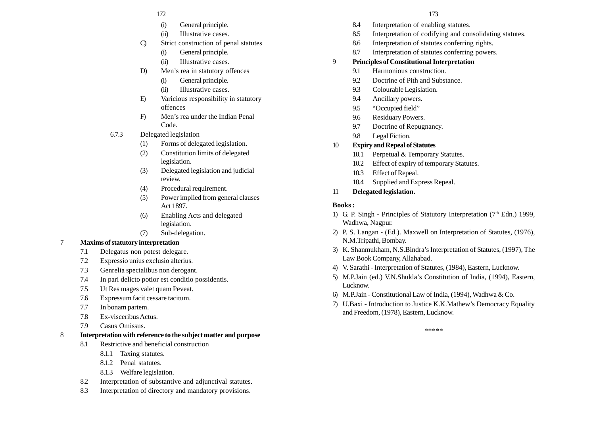#### 172 173

- (i) General principle.
- (ii) Illustrative cases.
- C) Strict construction of penal statutes
	- (i) General principle.
	- (ii) Illustrative cases.
- D) Men's rea in statutory offences
	- (i) General principle.
	- (ii) Illustrative cases.
- E) Varicious responsibility in statutory offences
- F) Men's rea under the Indian Penal Code.
- 6.7.3 Delegated legislation
	- (1) Forms of delegated legislation.
	- (2) Constitution limits of delegated legislation.
	- (3) Delegated legislation and judicial review.
	- (4) Procedural requirement.
	- (5) Power implied from general clauses Act 1897.
	- (6) Enabling Acts and delegated legislation.
	- (7) Sub-delegation.

### 7 **Maxims of statutory interpretation**

- 7.1 Delegatus non potest delegare.
- 7.2 Expressio unius exclusio alterius.
- 7.3 Genrelia specialibus non derogant.
- 7.4 In pari delicto potior est conditio possidentis.
- 7.5 Ut Res mages valet quam Peveat.
- 7.6 Expressum facit cessare tacitum.
- 7.7 In bonam partem.
- 7.8 Ex-visceribus Actus.
- 7.9 Casus Omissus.

### 8 **Interpretation with reference to the subject matter and purpose**

- 8.1 Restrictive and beneficial construction
	- 8.1.1 Taxing statutes.
	- 8.1.2 Penal statutes.
	- 8.1.3 Welfare legislation.
- 8.2 Interpretation of substantive and adjunctival statutes.
- 8.3 Interpretation of directory and mandatory provisions.
- 8.4 Interpretation of enabling statutes.
- 8.5 Interpretation of codifying and consolidating statutes.
- 8.6 Interpretation of statutes conferring rights.
- 8.7 Interpretation of statutes conferring powers.

### 9 **Principles of Constitutional Interpretation**

- 9.1 Harmonious construction.
- 9.2 Doctrine of Pith and Substance.
- 9.3 Colourable Legislation.
- 9.4 Ancillary powers.
- 9.5 "Occupied field"
- 9.6 Residuary Powers.
- 9.7 Doctrine of Repugnancy.
- 9.8 Legal Fiction.

### 10 **Expiry and Repeal of Statutes**

- 10.1 Perpetual & Temporary Statutes.
- 10.2 Effect of expiry of temporary Statutes.
- 10.3 Effect of Repeal.
- 10.4 Supplied and Express Repeal.
- 11 **Delegated legislation.**

### **Books :**

- 1) G. P. Singh Principles of Statutory Interpretation  $(7<sup>th</sup>$  Edn.) 1999, Wadhwa, Nagpur.
- 2) P. S. Langan (Ed.). Maxwell on Interpretation of Statutes, (1976), N.M.Tripathi, Bombay.
- 3) K. Shanmukham, N.S.Bindra's Interpretation of Statutes, (1997), The Law Book Company, Allahabad.
- 4) V. Sarathi Interpretation of Statutes, (1984), Eastern, Lucknow.
- 5) M.P.Jain (ed.) V.N.Shukla's Constitution of India, (1994), Eastern, Lucknow.
- 6) M.P.Jain Constitutional Law of India, (1994), Wadhwa & Co.
- 7) U.Baxi Introduction to Justice K.K.Mathew's Democracy Equality and Freedom, (1978), Eastern, Lucknow.

\*\*\*\*\*